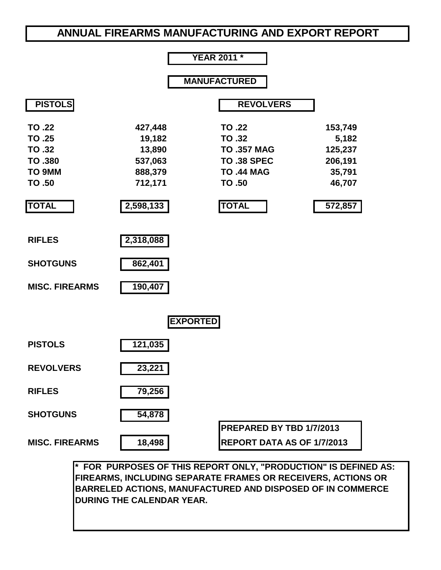# **ANNUAL FIREARMS MANUFACTURING AND EXPORT REPORT**

#### **YEAR 2011 \***

#### **MANUFACTURED**

| <b>PISTOLS</b> |         | <b>REVOLVERS</b> |         |
|----------------|---------|------------------|---------|
| TO .22         | 427,448 | TO .22           | 153,749 |
| TN 95          | 10 182  | TO 32            | 5182    |

| TO .25  | 19,182  | TO .32             | 5,182   |
|---------|---------|--------------------|---------|
| TO .32  | 13,890  | <b>TO .357 MAG</b> | 125,237 |
| TO .380 | 537,063 | <b>TO .38 SPEC</b> | 206,191 |
| MMP OT  | 888,379 | <b>TO .44 MAG</b>  | 35,791  |
| TO .50  | 712,171 | <b>TO .50</b>      | 46,707  |
|         |         |                    |         |

| <b>RIFLES</b>   | 2,318,088 |
|-----------------|-----------|
| <b>SHOTGUNS</b> | 862,401   |

**MISC. FIREARMS 190,407**



**TOTAL 2,598,133 TOTAL 572,857**

**\* FOR PURPOSES OF THIS REPORT ONLY, "PRODUCTION" IS DEFINED AS: FIREARMS, INCLUDING SEPARATE FRAMES OR RECEIVERS, ACTIONS OR BARRELED ACTIONS, MANUFACTURED AND DISPOSED OF IN COMMERCE DURING THE CALENDAR YEAR.**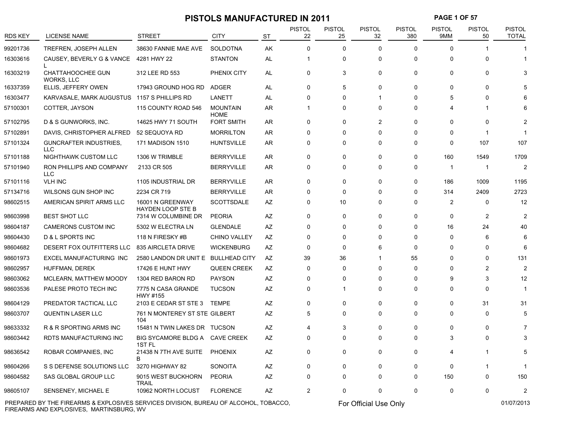### PISTOLS MANUFACTURED IN 2011 **PAGE 1 OF 57**

| <b>RDS KEY</b> | <b>LICENSE NAME</b>                         | <b>STREET</b>                                | <b>CITY</b>                    | <b>ST</b> | <b>PISTOL</b><br>22 | <b>PISTOL</b><br>25 | <b>PISTOL</b><br>32 | <b>PISTOL</b><br>380 | <b>PISTOL</b><br>9MM | <b>PISTOL</b><br>50 | <b>PISTOL</b><br><b>TOTAL</b> |
|----------------|---------------------------------------------|----------------------------------------------|--------------------------------|-----------|---------------------|---------------------|---------------------|----------------------|----------------------|---------------------|-------------------------------|
| 99201736       | TREFREN, JOSEPH ALLEN                       | 38630 FANNIE MAE AVE                         | <b>SOLDOTNA</b>                | AK        | 0                   | $\mathbf 0$         | $\mathbf 0$         | $\mathbf 0$          | $\Omega$             | -1                  | 1                             |
| 16303616       | CAUSEY, BEVERLY G & VANCE                   | 4281 HWY 22                                  | <b>STANTON</b>                 | AL        | 1                   | $\mathbf 0$         | $\Omega$            | $\mathbf 0$          | $\Omega$             | $\Omega$            |                               |
| 16303219       | CHATTAHOOCHEE GUN<br><b>WORKS, LLC</b>      | 312 LEE RD 553                               | PHENIX CITY                    | AL        | 0                   | 3                   | $\mathbf 0$         | $\mathbf 0$          | 0                    | 0                   | 3                             |
| 16337359       | ELLIS, JEFFERY OWEN                         | 17943 GROUND HOG RD                          | <b>ADGER</b>                   | AL        | 0                   | 5                   | 0                   | 0                    | 0                    | $\Omega$            |                               |
| 16303477       | KARVASALE, MARK AUGUSTUS 1157 S PHILLIPS RD |                                              | LANETT                         | AL        | $\Omega$            | $\Omega$            | 1                   | $\Omega$             | 5                    | $\Omega$            |                               |
| 57100301       | COTTER, JAYSON                              | 115 COUNTY ROAD 546                          | <b>MOUNTAIN</b><br><b>HOME</b> | AR        | 1                   | $\mathbf 0$         | $\Omega$            | 0                    | 4                    |                     |                               |
| 57102795       | D & S GUNWORKS, INC.                        | 14625 HWY 71 SOUTH                           | <b>FORT SMITH</b>              | AR        | $\Omega$            | $\Omega$            | 2                   | $\mathbf{0}$         | $\Omega$             | $\Omega$            | $\mathfrak{p}$                |
| 57102891       | DAVIS, CHRISTOPHER ALFRED                   | 52 SEQUOYA RD                                | <b>MORRILTON</b>               | AR        | 0                   | 0                   | $\mathbf 0$         | $\mathbf 0$          | $\Omega$             | -1                  | -1                            |
| 57101324       | <b>GUNCRAFTER INDUSTRIES.</b><br>LLC        | <b>171 MADISON 1510</b>                      | <b>HUNTSVILLE</b>              | AR.       | $\Omega$            | 0                   | $\Omega$            | $\Omega$             | $\Omega$             | 107                 | 107                           |
| 57101188       | NIGHTHAWK CUSTOM LLC                        | 1306 W TRIMBLE                               | <b>BERRYVILLE</b>              | AR        | 0                   | $\Omega$            | $\mathbf 0$         | $\mathbf 0$          | 160                  | 1549                | 1709                          |
| 57101940       | RON PHILLIPS AND COMPANY<br><b>LLC</b>      | 2133 CR 505                                  | <b>BERRYVILLE</b>              | AR        | 0                   | $\Omega$            | $\Omega$            | 0                    | -1                   | 1                   | $\overline{2}$                |
| 57101116       | <b>VLH INC</b>                              | 1105 INDUSTRIAL DR                           | <b>BERRYVILLE</b>              | AR.       | 0                   | $\Omega$            | $\mathbf 0$         | 0                    | 186                  | 1009                | 1195                          |
| 57134716       | WILSONS GUN SHOP INC                        | 2234 CR 719                                  | <b>BERRYVILLE</b>              | AR.       | 0                   | $\Omega$            | $\Omega$            | 0                    | 314                  | 2409                | 2723                          |
| 98602515       | AMERICAN SPIRIT ARMS LLC                    | 16001 N GREENWAY<br><b>HAYDEN LOOP STE B</b> | <b>SCOTTSDALE</b>              | AZ        | $\Omega$            | 10                  | $\Omega$            | $\Omega$             | $\overline{2}$       | $\Omega$            | 12                            |
| 98603998       | <b>BEST SHOT LLC</b>                        | 7314 W COLUMBINE DR                          | <b>PEORIA</b>                  | AZ        | 0                   | $\mathbf 0$         | $\mathbf 0$         | $\mathbf 0$          | $\Omega$             | 2                   | $\overline{2}$                |
| 98604187       | <b>CAMERONS CUSTOM INC</b>                  | 5302 W ELECTRA LN                            | <b>GLENDALE</b>                | AZ        | 0                   | $\mathbf 0$         | 0                   | 0                    | 16                   | 24                  | 40                            |
| 98604430       | D & L SPORTS INC                            | 118 N FIRESKY #B                             | <b>CHINO VALLEY</b>            | AZ        | 0                   | $\Omega$            | $\mathbf 0$         | $\mathbf 0$          | $\Omega$             | 6                   | 6                             |
| 98604682       | DESERT FOX OUTFITTERS LLC                   | 835 AIRCLETA DRIVE                           | <b>WICKENBURG</b>              | AZ        | $\Omega$            | $\Omega$            | 6                   | $\Omega$             | $\Omega$             | $\Omega$            | 6                             |
| 98601973       | EXCEL MANUFACTURING INC                     | 2580 LANDON DR UNIT E                        | <b>BULLHEAD CITY</b>           | AZ        | 39                  | 36                  | 1                   | 55                   | $\Omega$             | $\Omega$            | 131                           |
| 98602957       | HUFFMAN, DEREK                              | 17426 E HUNT HWY                             | <b>QUEEN CREEK</b>             | AZ        | 0                   | 0                   | $\Omega$            | 0                    | $\Omega$             | 2                   | $\overline{2}$                |
| 98603062       | MCLEARN, MATTHEW MOODY                      | 1304 RED BARON RD                            | <b>PAYSON</b>                  | AZ        | $\Omega$            | 0                   | $\Omega$            | $\Omega$             | 9                    | 3                   | 12                            |
| 98603536       | PALESE PROTO TECH INC                       | 7775 N CASA GRANDE<br><b>HWY #155</b>        | <b>TUCSON</b>                  | AZ        | 0                   | 1                   | $\mathbf 0$         | $\mathbf 0$          | $\Omega$             | $\mathbf 0$         | -1                            |
| 98604129       | PREDATOR TACTICAL LLC                       | 2103 E CEDAR ST STE 3 TEMPE                  |                                | AZ        | 0                   | 0                   | $\Omega$            | 0                    | $\Omega$             | 31                  | 31                            |
| 98603707       | <b>QUENTIN LASER LLC</b>                    | 761 N MONTEREY ST STE GILBERT<br>104         |                                | AZ        | 5                   | $\Omega$            | $\Omega$            | $\Omega$             | $\Omega$             | $\mathbf 0$         | 5                             |
| 98633332       | R & R SPORTING ARMS INC                     | 15481 N TWIN LAKES DR TUCSON                 |                                | AZ        | 4                   | 3                   | 0                   | 0                    | $\mathbf 0$          | 0                   | 7                             |
| 98603442       | RDTS MANUFACTURING INC                      | BIG SYCAMORE BLDG A CAVE CREEK<br>1ST FL     |                                | AZ        | $\Omega$            | $\Omega$            | $\Omega$            | $\Omega$             | 3                    | $\Omega$            |                               |
| 98636542       | ROBAR COMPANIES, INC                        | 21438 N 7TH AVE SUITE<br>B                   | <b>PHOENIX</b>                 | AZ        | 0                   | 0                   | 0                   | 0                    | 4                    |                     |                               |
| 98604266       | S S DEFENSE SOLUTIONS LLC                   | 3270 HIGHWAY 82                              | SONOITA                        | AZ        | $\Omega$            | $\Omega$            | $\Omega$            | 0                    | $\Omega$             | -1                  |                               |
| 98604582       | SAS GLOBAL GROUP LLC                        | 9015 WEST BUCKHORN<br><b>TRAIL</b>           | <b>PEORIA</b>                  | AZ        | 0                   | 0                   | $\mathbf 0$         | $\mathbf 0$          | 150                  | $\Omega$            | 150                           |
| 98605107       | SENSENEY, MICHAEL E                         | 10962 NORTH LOCUST                           | <b>FLORENCE</b>                | AZ        | $\overline{c}$      | $\Omega$            | $\Omega$            | $\Omega$             | $\Omega$             | $\Omega$            | $\overline{2}$                |

PREPARED BY THE FIREARMS & EXPLOSIVES SERVICES DIVISION, BUREAU OF ALCOHOL, TOBACCO, FIREARMS AND EXPLOSIVES, MARTINSBURG, WV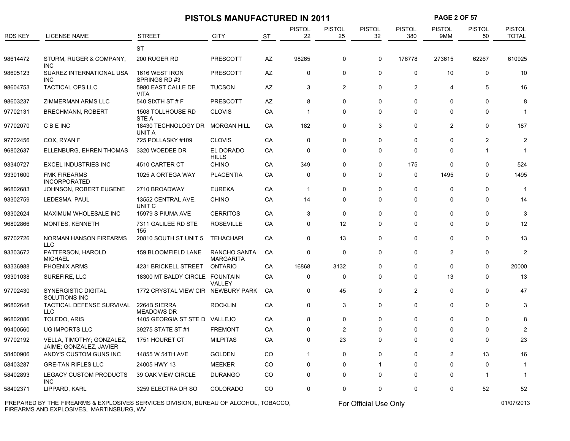|                |                                                      | <b>PISTOLS MANUFACTURED IN 2011</b>    |                                  |            |                     |                     |                     | <b>PAGE 2 OF 57</b>  |                      |                     |                               |  |
|----------------|------------------------------------------------------|----------------------------------------|----------------------------------|------------|---------------------|---------------------|---------------------|----------------------|----------------------|---------------------|-------------------------------|--|
| <b>RDS KEY</b> | <b>LICENSE NAME</b>                                  | <b>STREET</b>                          | <b>CITY</b>                      | <b>ST</b>  | <b>PISTOL</b><br>22 | <b>PISTOL</b><br>25 | <b>PISTOL</b><br>32 | <b>PISTOL</b><br>380 | <b>PISTOL</b><br>9MM | <b>PISTOL</b><br>50 | <b>PISTOL</b><br><b>TOTAL</b> |  |
|                |                                                      | <b>ST</b>                              |                                  |            |                     |                     |                     |                      |                      |                     |                               |  |
| 98614472       | STURM, RUGER & COMPANY,<br><b>INC</b>                | 200 RUGER RD                           | <b>PRESCOTT</b>                  | AZ         | 98265               | 0                   | 0                   | 176778               | 273615               | 62267               | 610925                        |  |
| 98605123       | SUAREZ INTERNATIONAL USA<br><b>INC</b>               | 1616 WEST IRON<br>SPRINGS RD#3         | <b>PRESCOTT</b>                  | AZ         | 0                   | 0                   | $\Omega$            | $\mathbf 0$          | 10                   | $\mathbf{0}$        | 10                            |  |
| 98604753       | TACTICAL OPS LLC                                     | 5980 EAST CALLE DE<br><b>VITA</b>      | <b>TUCSON</b>                    | AZ         | 3                   | 2                   | 0                   | $\overline{2}$       | 4                    | 5                   | 16                            |  |
| 98603237       | ZIMMERMAN ARMS LLC                                   | 540 SIXTH ST # F                       | <b>PRESCOTT</b>                  | AZ         | 8                   | $\mathbf 0$         | $\Omega$            | $\mathbf 0$          | $\mathbf{0}$         | $\Omega$            |                               |  |
| 97702131       | <b>BRECHMANN, ROBERT</b>                             | 1508 TOLLHOUSE RD                      | <b>CLOVIS</b>                    | CA         | -1                  | 0                   | $\Omega$            | $\Omega$             | $\mathbf{0}$         | 0                   |                               |  |
| 97702070       | <b>CBEINC</b>                                        | STE A<br>18430 TECHNOLOGY DR<br>UNIT A | <b>MORGAN HILL</b>               | CA         | 182                 | 0                   | 3                   | 0                    | 2                    | $\Omega$            | 187                           |  |
| 97702456       | COX, RYAN F                                          | 725 POLLASKY #109                      | <b>CLOVIS</b>                    | CA         | 0                   | 0                   | $\Omega$            | 0                    | $\mathbf{0}$         | $\overline{2}$      | 2                             |  |
| 96802637       | ELLENBURG, EHREN THOMAS                              | 3320 WOEDEE DR                         | EL DORADO<br><b>HILLS</b>        | CA         | 0                   | 0                   | $\Omega$            | $\Omega$             | $\Omega$             |                     |                               |  |
| 93340727       | <b>EXCEL INDUSTRIES INC</b>                          | 4510 CARTER CT                         | <b>CHINO</b>                     | CA         | 349                 | 0                   | 0                   | 175                  | $\Omega$             | $\Omega$            | 524                           |  |
| 93301600       | <b>FMK FIREARMS</b><br><b>INCORPORATED</b>           | 1025 A ORTEGA WAY                      | <b>PLACENTIA</b>                 | CA         | 0                   | 0                   | $\Omega$            | 0                    | 1495                 | $\Omega$            | 1495                          |  |
| 96802683       | JOHNSON, ROBERT EUGENE                               | 2710 BROADWAY                          | <b>EUREKA</b>                    | CA         | $\mathbf{1}$        | 0                   | $\Omega$            | 0                    | $\mathbf{0}$         | 0                   |                               |  |
| 93302759       | LEDESMA, PAUL                                        | 13552 CENTRAL AVE,<br>UNIT C           | <b>CHINO</b>                     | CA         | 14                  | 0                   | $\Omega$            | $\Omega$             | $\mathbf{0}$         | 0                   | 14                            |  |
| 93302624       | MAXIMUM WHOLESALE INC                                | 15979 S PIUMA AVE                      | <b>CERRITOS</b>                  | CA         | 3                   | 0                   | $\Omega$            | 0                    | $\mathbf{0}$         | $\Omega$            | 3                             |  |
| 96802866       | MONTES, KENNETH                                      | 7311 GALILEE RD STE<br>155             | <b>ROSEVILLE</b>                 | CA         | 0                   | 12                  | $\Omega$            | $\Omega$             | $\mathbf{0}$         | 0                   | 12                            |  |
| 97702726       | <b>NORMAN HANSON FIREARMS</b><br><b>LLC</b>          | 20810 SOUTH ST UNIT 5                  | <b>TEHACHAPI</b>                 | CA         | $\mathbf 0$         | 13                  | 0                   | 0                    | 0                    | $\Omega$            | 13                            |  |
| 93303672       | PATTERSON, HAROLD<br><b>MICHAEL</b>                  | 159 BLOOMFIELD LANE                    | RANCHO SANTA<br><b>MARGARITA</b> | CA         | $\mathbf 0$         | 0                   | $\mathbf{0}$        | 0                    | 2                    | 0                   | $\mathfrak{p}$                |  |
| 93336988       | PHOENIX ARMS                                         | 4231 BRICKELL STREET                   | <b>ONTARIO</b>                   | CA         | 16868               | 3132                | 0                   | 0                    | $\mathbf{0}$         | 0                   | 20000                         |  |
| 93301038       | SUREFIRE, LLC                                        | 18300 MT BALDY CIRCLE FOUNTAIN         | VALLEY                           | CA         | 0                   | 0                   | $\Omega$            | 0                    | 13                   | 0                   | 13                            |  |
| 97702430       | <b>SYNERGISTIC DIGITAL</b><br>SOLUTIONS INC          | 1772 CRYSTAL VIEW CIR NEWBURY PARK     |                                  | CA         | 0                   | 45                  | $\mathbf{0}$        | $\overline{2}$       | $\mathbf{0}$         | $\mathbf{0}$        | 47                            |  |
| 96802648       | TACTICAL DEFENSE SURVIVAL<br><b>LLC</b>              | 2264B SIERRA<br><b>MEADOWS DR</b>      | <b>ROCKLIN</b>                   | CA         | 0                   | 3                   | 0                   | 0                    | 0                    | 0                   |                               |  |
| 96802086       | <b>TOLEDO, ARIS</b>                                  | 1405 GEORGIA ST STE D VALLEJO          |                                  | CA         | 8                   | 0                   | $\Omega$            | $\Omega$             | $\mathbf{0}$         | 0                   |                               |  |
| 99400560       | <b>UG IMPORTS LLC</b>                                | 39275 STATE ST #1                      | <b>FREMONT</b>                   | CA         | 0                   | $\overline{2}$      | $\Omega$            | $\Omega$             | $\Omega$             | 0                   | 2                             |  |
| 97702192       | VELLA, TIMOTHY; GONZALEZ,<br>JAIME; GONZALEZ, JAVIER | 1751 HOURET CT                         | <b>MILPITAS</b>                  | ${\sf CA}$ | 0                   | 23                  | 0                   | 0                    | 0                    | 0                   | 23                            |  |
| 58400906       | ANDY'S CUSTOM GUNS INC                               | 14855 W 54TH AVE                       | <b>GOLDEN</b>                    | CO         | $\mathbf{1}$        | 0                   | 0                   | 0                    | 2                    | 13                  | 16                            |  |
| 58403287       | <b>GRE-TAN RIFLES LLC</b>                            | 24005 HWY 13                           | MEEKER                           | CO         | 0                   | 0                   | $\mathbf 1$         | 0                    | 0                    | 0                   | $\mathbf 1$                   |  |
| 58402893       | <b>LEGACY CUSTOM PRODUCTS</b><br>INC.                | 39 OAK VIEW CIRCLE                     | <b>DURANGO</b>                   | CO         | 0                   | 0                   | 0                   | 0                    | 0                    | $\mathbf{1}$        | $\mathbf 1$                   |  |
| 58402371       | LIPPARD, KARL                                        | 3259 ELECTRA DR SO                     | COLORADO                         | CO         | 0                   | 0                   | 0                   | 0                    | 0                    | 52                  | 52                            |  |

PREPARED BY THE FIREARMS & EXPLOSIVES SERVICES DIVISION, BUREAU OF ALCOHOL, TOBACCO, FIREARMS AND EXPLOSIVES, MARTINSBURG, WV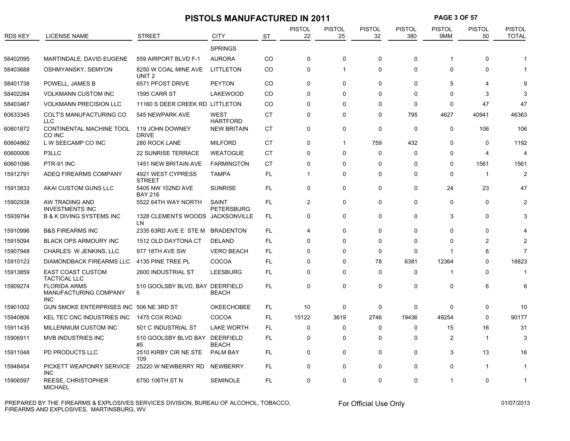|                |                                                            | <b>PISTOLS MANUFACTURED IN 2011</b>       |                                  |           |                     |                     |                     |                      | <b>PAGE 3 OF 57</b>  |                     |                               |  |
|----------------|------------------------------------------------------------|-------------------------------------------|----------------------------------|-----------|---------------------|---------------------|---------------------|----------------------|----------------------|---------------------|-------------------------------|--|
| <b>RDS KEY</b> | <b>LICENSE NAME</b>                                        | <b>STREET</b>                             | <b>CITY</b>                      | <b>ST</b> | <b>PISTOL</b><br>22 | <b>PISTOL</b><br>25 | <b>PISTOL</b><br>32 | <b>PISTOL</b><br>380 | <b>PISTOL</b><br>9MM | <b>PISTOL</b><br>50 | <b>PISTOL</b><br><b>TOTAL</b> |  |
|                |                                                            |                                           | <b>SPRINGS</b>                   |           |                     |                     |                     |                      |                      |                     |                               |  |
| 58402095       | MARTINDALE, DAVID EUGENE                                   | 559 AIRPORT BLVD F-1                      | <b>AURORA</b>                    | CO        | 0                   | 0                   | 0                   | 0                    | $\mathbf 1$          | $\Omega$            |                               |  |
| 58403688       | OSHMYANSKY, SEMYON                                         | 8250 W COAL MINE AVE<br>UNIT <sub>2</sub> | <b>LITTLETON</b>                 | CO        | 0                   | $\mathbf 1$         | $\Omega$            | $\mathbf 0$          | 0                    | 0                   |                               |  |
| 58401738       | POWELL, JAMES B                                            | 6571 PFOST DRIVE                          | <b>PEYTON</b>                    | CO        | $\Omega$            | 0                   | $\Omega$            | $\Omega$             | 5                    | 4                   |                               |  |
| 58402284       | <b>VOLKMANN CUSTOM INC</b>                                 | 1595 CARR ST                              | <b>LAKEWOOD</b>                  | CO        | $\mathbf 0$         | 0                   | $\Omega$            | $\mathbf 0$          | 0                    | 3                   | 3                             |  |
| 58403467       | <b>VOLKMANN PRECISION LLC</b>                              | 11160 S DEER CREEK RD LITTLETON           |                                  | CO        | $\mathbf 0$         | 0                   | $\Omega$            | $\mathbf 0$          | $\Omega$             | 47                  | 47                            |  |
| 60633345       | COLT'S MANUFACTURING CO<br><b>LLC</b>                      | 545 NEWPARK AVE                           | <b>WEST</b><br><b>HARTFORD</b>   | <b>CT</b> | $\Omega$            | 0                   | $\Omega$            | 795                  | 4627                 | 40941               | 46363                         |  |
| 60601872       | CONTINENTAL MACHINE TOOL<br>CO INC                         | 119 JOHN DOWNEY<br><b>DRIVE</b>           | <b>NEW BRITAIN</b>               | СT        | $\mathbf 0$         | 0                   | $\Omega$            | 0                    | 0                    | 106                 | 106                           |  |
| 60604862       | L W SEECAMP CO INC                                         | 280 ROCK LANE                             | <b>MILFORD</b>                   | <b>CT</b> | $\mathbf 0$         | $\mathbf{1}$        | 759                 | 432                  | $\Omega$             | $\Omega$            | 1192                          |  |
| 60600006       | P3LLC                                                      | <b>22 SUNRISE TERRACE</b>                 | <b>WEATOGUE</b>                  | <b>CT</b> | $\mathbf 0$         | $\mathbf 0$         | $\Omega$            | $\mathbf 0$          | 0                    | $\overline{\bf 4}$  | 4                             |  |
| 60601096       | PTR-91 INC                                                 | 1451 NEW BRITAIN AVE                      | <b>FARMINGTON</b>                | CT        | $\mathbf 0$         | 0                   | $\Omega$            | $\mathbf 0$          | 0                    | 1561                | 1561                          |  |
| 15912791       | ADEQ FIREARMS COMPANY                                      | 4921 WEST CYPRESS<br><b>STREET</b>        | <b>TAMPA</b>                     | FL.       | $\mathbf{1}$        | 0                   | $\Omega$            | $\mathbf 0$          | $\Omega$             | -1                  | $\overline{2}$                |  |
| 15913833       | AKAI CUSTOM GUNS LLC                                       | 5405 NW 102ND AVE<br><b>BAY 216</b>       | <b>SUNRISE</b>                   | FL.       | $\mathbf 0$         | $\mathbf 0$         | $\Omega$            | $\mathbf 0$          | 24                   | 23                  | 47                            |  |
| 15902938       | AW TRADING AND<br><b>INVESTMENTS INC</b>                   | 5522 64TH WAY NORTH                       | SAINT<br><b>PETERSBURG</b>       | FL.       | $\overline{2}$      | $\mathbf 0$         | 0                   | $\mathbf 0$          | $\Omega$             | $\mathbf 0$         | $\overline{2}$                |  |
| 15939794       | <b>B &amp; K DIVING SYSTEMS INC</b>                        | 1328 CLEMENTS WOODS JACKSONVILLE<br>LN    |                                  | FL.       | $\Omega$            | $\mathbf 0$         | $\Omega$            | $\Omega$             | 3                    | $\Omega$            | 3                             |  |
| 15910996       | <b>B&amp;S FIREARMS INC</b>                                | 2335 63RD AVE E STE M                     | <b>BRADENTON</b>                 | FL        | $\overline{4}$      | 0                   | 0                   | 0                    | 0                    | 0                   |                               |  |
| 15915094       | <b>BLACK OPS ARMOURY INC</b>                               | 1512 OLD DAYTONA CT                       | <b>DELAND</b>                    | FL        | 0                   | 0                   | $\Omega$            | 0                    | 0                    | 2                   | 2                             |  |
| 15907948       | CHARLES W JENKINS, LLC                                     | 977 18TH AVE SW                           | <b>VERO BEACH</b>                | FL.       | $\mathbf 0$         | 0                   | $\Omega$            | $\mathbf 0$          | 1                    | 6                   | $\overline{7}$                |  |
| 15910123       | DIAMONDBACK FIREARMS LLC                                   | 4135 PINE TREE PL                         | COCOA                            | FL.       | $\Omega$            | $\mathbf{0}$        | 78                  | 6381                 | 12364                | $\Omega$            | 18823                         |  |
| 15913859       | <b>EAST COAST CUSTOM</b><br><b>TACTICAL LLC</b>            | 2600 INDUSTRIAL ST                        | <b>LEESBURG</b>                  | FL.       | $\Omega$            | $\Omega$            | $\Omega$            | $\Omega$             | 1                    | $\Omega$            | 1                             |  |
| 15909274       | <b>FLORIDA ARMS</b><br>MANUFACTURING COMPANY<br><b>INC</b> | 510 GOOLSBY BLVD, BAY DEERFIELD<br>6      | <b>BEACH</b>                     | FL.       | $\mathbf 0$         | $\mathbf 0$         | $\Omega$            | $\mathbf 0$          | 0                    | 6                   | 6                             |  |
| 15901002       | GUN SMOKE ENTERPRISES INC 506 NE 3RD ST                    |                                           | <b>OKEECHOBEE</b>                | FL.       | 10                  | 0                   | 0                   | 0                    | 0                    | 0                   | 10                            |  |
| 15940806       | KEL TEC CNC INDUSTRIES INC                                 | 1475 COX ROAD                             | <b>COCOA</b>                     | FL.       | 15122               | 3619                | 2746                | 19436                | 49254                | $\Omega$            | 90177                         |  |
| 15911435       | MILLENNIUM CUSTOM INC                                      | 501 C INDUSTRIAL ST                       | <b>LAKE WORTH</b>                | FL.       | $\mathbf 0$         | $\mathbf 0$         | $\Omega$            | $\mathbf 0$          | 15                   | 16                  | 31                            |  |
| 15906911       | MVB INDUSTRIES INC                                         | 510 GOOLSBY BLVD BAY<br>#5                | <b>DEERFIELD</b><br><b>BEACH</b> | FL.       | $\mathbf 0$         | $\mathbf 0$         | $\Omega$            | $\mathbf 0$          | $\overline{2}$       | -1                  | 3                             |  |
| 15911048       | PD PRODUCTS LLC                                            | 2510 KIRBY CIR NE STE<br>109              | <b>PALM BAY</b>                  | FL        | $\mathbf 0$         | $\mathbf 0$         | $\Omega$            | $\mathbf 0$          | 3                    | 13                  | 16                            |  |
| 15948454       | PICKETT WEAPONRY SERVICE<br><b>INC</b>                     | 25220 W NEWBERRY RD                       | NEWBERRY                         | FL.       | 0                   | 0                   | $\Omega$            | $\mathbf 0$          | $\Omega$             | $\mathbf 1$         |                               |  |
| 15906597       | <b>REESE, CHRISTOPHER</b><br><b>MICHAEL</b>                | 6750 106TH ST N                           | <b>SEMINOLE</b>                  | FL.       | $\mathbf 0$         | 0                   | $\Omega$            | $\mathbf 0$          | -1                   | $\mathbf 0$         | -1                            |  |

PREPARED BY THE FIREARMS & EXPLOSIVES SERVICES DIVISION, BUREAU OF ALCOHOL, TOBACCO, FIREARMS AND EXPLOSIVES, MARTINSBURG, WV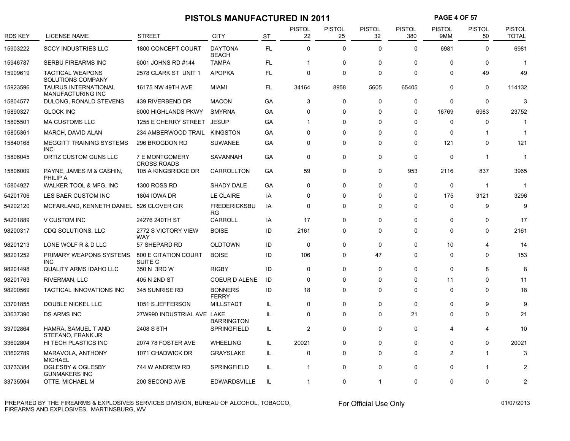# **PISTOLS MANUFACTURED IN 2011 PAGE 4 OF 57**

| <b>RDS KEY</b> | LICENSE NAME                                            | <b>STREET</b>                        | <b>CITY</b>                      | <b>ST</b> | <b>PISTOL</b><br>22 | <b>PISTOL</b><br>25 | <b>PISTOL</b><br>32 | <b>PISTOL</b><br>380 | <b>PISTOL</b><br>9MM | <b>PISTOL</b><br>50 | <b>PISTOL</b><br><b>TOTAL</b> |
|----------------|---------------------------------------------------------|--------------------------------------|----------------------------------|-----------|---------------------|---------------------|---------------------|----------------------|----------------------|---------------------|-------------------------------|
| 15903222       | <b>SCCY INDUSTRIES LLC</b>                              | 1800 CONCEPT COURT                   | <b>DAYTONA</b><br><b>BEACH</b>   | <b>FL</b> | 0                   | $\mathbf 0$         | $\Omega$            | $\Omega$             | 6981                 | 0                   | 6981                          |
| 15946787       | <b>SERBU FIREARMS INC</b>                               | 6001 JOHNS RD #144                   | <b>TAMPA</b>                     | <b>FL</b> | $\mathbf{1}$        | $\mathbf 0$         | $\Omega$            | $\Omega$             | 0                    | 0                   | -1                            |
| 15909619       | <b>TACTICAL WEAPONS</b><br>SOLUTIONS COMPANY            | 2578 CLARK ST UNIT 1                 | <b>APOPKA</b>                    | <b>FL</b> | 0                   | $\mathbf 0$         | $\mathbf 0$         | $\mathbf 0$          | 0                    | 49                  | 49                            |
| 15923596       | <b>TAURUS INTERNATIONAL</b><br><b>MANUFACTURING INC</b> | 16175 NW 49TH AVE                    | <b>MIAMI</b>                     | FL.       | 34164               | 8958                | 5605                | 65405                | $\mathbf 0$          | 0                   | 114132                        |
| 15804577       | DULONG, RONALD STEVENS                                  | 439 RIVERBEND DR                     | <b>MACON</b>                     | GА        | 3                   | 0                   | $\Omega$            | $\Omega$             | 0                    | $\Omega$            | 3                             |
| 15890327       | <b>GLOCK INC</b>                                        | 6000 HIGHLANDS PKWY                  | <b>SMYRNA</b>                    | GA        | 0                   | $\Omega$            | $\Omega$            | 0                    | 16769                | 6983                | 23752                         |
| 15805501       | <b>MA CUSTOMS LLC</b>                                   | 1255 E CHERRY STREET                 | <b>JESUP</b>                     | GA        | $\mathbf 1$         | $\Omega$            | $\Omega$            | $\Omega$             | 0                    | 0                   |                               |
| 15805361       | MARCH, DAVID ALAN                                       | 234 AMBERWOOD TRAIL                  | <b>KINGSTON</b>                  | GA        | 0                   | $\mathbf 0$         | $\Omega$            | 0                    | $\mathbf 0$          | 1                   |                               |
| 15840168       | <b>MEGGITT TRAINING SYSTEMS</b><br><b>INC</b>           | 296 BROGDON RD                       | <b>SUWANEE</b>                   | GA        | 0                   | $\mathbf 0$         | $\Omega$            | 0                    | 121                  | 0                   | 121                           |
| 15806045       | ORTIZ CUSTOM GUNS LLC                                   | 7 E MONTGOMERY<br><b>CROSS ROADS</b> | SAVANNAH                         | GA        | 0                   | 0                   | $\Omega$            | $\Omega$             | 0                    | -1                  | $\mathbf 1$                   |
| 15806009       | PAYNE, JAMES M & CASHIN,<br>PHILIP A                    | 105 A KINGBRIDGE DR                  | CARROLLTON                       | GA        | 59                  | 0                   | $\Omega$            | 953                  | 2116                 | 837                 | 3965                          |
| 15804927       | WALKER TOOL & MFG, INC                                  | <b>1300 ROSS RD</b>                  | SHADY DALE                       | GА        | 0                   | $\mathbf 0$         | $\mathbf 0$         | 0                    | $\mathbf 0$          | $\overline{1}$      | $\mathbf 1$                   |
| 54201706       | LES BAER CUSTOM INC                                     | <b>1804 IOWA DR</b>                  | LE CLAIRE                        | IA        | $\Omega$            | $\Omega$            | $\Omega$            | $\Omega$             | 175                  | 3121                | 3296                          |
| 54202120       | MCFARLAND, KENNETH DANIEL 526 CLOVER CIR                |                                      | <b>FREDERICKSBU</b><br><b>RG</b> | IA        | $\Omega$            | $\Omega$            | $\Omega$            | $\Omega$             | $\mathbf{0}$         | 9                   | 9                             |
| 54201889       | V CUSTOM INC                                            | 24276 240TH ST                       | CARROLL                          | IA        | 17                  | $\mathbf 0$         | $\Omega$            | 0                    | 0                    | 0                   | 17                            |
| 98200317       | CDQ SOLUTIONS, LLC                                      | 2772 S VICTORY VIEW<br><b>WAY</b>    | <b>BOISE</b>                     | ID        | 2161                | $\Omega$            | $\Omega$            | $\Omega$             | $\mathbf{0}$         | 0                   | 2161                          |
| 98201213       | LONE WOLF R & D LLC                                     | 57 SHEPARD RD                        | <b>OLDTOWN</b>                   | ID        | 0                   | 0                   | $\Omega$            | 0                    | 10                   | 4                   | 14                            |
| 98201252       | PRIMARY WEAPONS SYSTEMS<br><b>INC</b>                   | 800 E CITATION COURT<br>SUITE C      | <b>BOISE</b>                     | ID        | 106                 | $\mathbf 0$         | 47                  | $\Omega$             | $\mathbf 0$          | 0                   | 153                           |
| 98201498       | <b>QUALITY ARMS IDAHO LLC</b>                           | 350 N 3RD W                          | <b>RIGBY</b>                     | ID        | 0                   | $\mathbf 0$         | $\Omega$            | $\Omega$             | $\mathbf 0$          | 8                   | 8                             |
| 98201763       | RIVERMAN, LLC                                           | 405 N 2ND ST                         | COEUR D ALENE                    | ID        | 0                   | 0                   | $\Omega$            | $\mathbf 0$          | 11                   | 0                   | 11                            |
| 98200569       | TACTICAL INNOVATIONS INC                                | 345 SUNRISE RD                       | <b>BONNERS</b><br><b>FERRY</b>   | ID        | 18                  | $\Omega$            | $\Omega$            | $\Omega$             | $\mathbf 0$          | $\Omega$            | 18                            |
| 33701855       | DOUBLE NICKEL LLC                                       | 1051 S JEFFERSON                     | <b>MILLSTADT</b>                 | IL.       | 0                   | $\mathbf 0$         | $\Omega$            | $\mathbf 0$          | 0                    | 9                   | 9                             |
| 33637390       | <b>DS ARMS INC</b>                                      | 27W990 INDUSTRIAL AVE LAKE           | <b>BARRINGTON</b>                | IL.       | 0                   | $\mathbf 0$         | 0                   | 21                   | 0                    | 0                   | 21                            |
| 33702864       | HAMRA, SAMUEL T AND<br>STEFANO, FRANK JR                | 2408 S 6TH                           | SPRINGFIELD                      | IL.       | $\overline{c}$      | $\mathbf 0$         | $\Omega$            | $\mathbf 0$          | 4                    | 4                   | 10                            |
| 33602804       | HI TECH PLASTICS INC                                    | 2074 78 FOSTER AVE                   | <b>WHEELING</b>                  | IL.       | 20021               | $\Omega$            | $\Omega$            | $\Omega$             | $\Omega$             | $\Omega$            | 20021                         |
| 33602789       | MARAVOLA, ANTHONY<br><b>MICHAEL</b>                     | 1071 CHADWICK DR                     | <b>GRAYSLAKE</b>                 | IL.       | 0                   | $\mathbf 0$         | $\Omega$            | 0                    | $\overline{2}$       | 1                   | 3                             |
| 33733384       | <b>OGLESBY &amp; OGLESBY</b><br><b>GUNMAKERS INC</b>    | 744 W ANDREW RD                      | SPRINGFIELD                      | IL.       | $\mathbf 1$         | $\Omega$            | $\Omega$            | $\Omega$             | 0                    | 1                   |                               |
| 33735964       | OTTE, MICHAEL M                                         | 200 SECOND AVE                       | <b>EDWARDSVILLE</b>              | IL.       | $\mathbf{1}$        | 0                   | 1                   | $\Omega$             | $\Omega$             | 0                   |                               |

PREPARED BY THE FIREARMS & EXPLOSIVES SERVICES DIVISION, BUREAU OF ALCOHOL, TOBACCO, FIREARMS AND EXPLOSIVES, MARTINSBURG, WV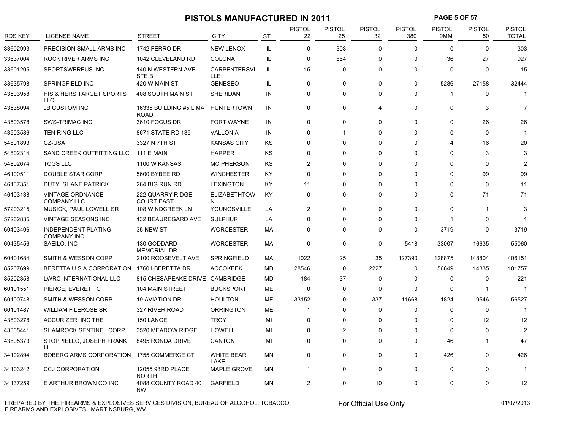# **PISTOLS MANUFACTURED IN 2011 PAGE 5 OF 57**

| <b>RDS KEY</b> | <b>LICENSE NAME</b>                              | <b>STREET</b>                         | <b>CITY</b>                | <b>ST</b> | <b>PISTOL</b><br>22 | PISTOL<br>25 | <b>PISTOL</b><br>32 | <b>PISTOL</b><br>380 | <b>PISTOL</b><br>9MM | <b>PISTOL</b><br>50 | PISTOL<br><b>TOTAL</b> |
|----------------|--------------------------------------------------|---------------------------------------|----------------------------|-----------|---------------------|--------------|---------------------|----------------------|----------------------|---------------------|------------------------|
| 33602993       | PRECISION SMALL ARMS INC                         | 1742 FERRO DR                         | <b>NEW LENOX</b>           | IL        | $\Omega$            | 303          | $\Omega$            | $\mathbf{0}$         | $\Omega$             | $\Omega$            | 303                    |
| 33637004       | ROCK RIVER ARMS INC                              | 1042 CLEVELAND RD                     | <b>COLONA</b>              | IL        | $\mathbf 0$         | 864          | $\Omega$            | 0                    | 36                   | 27                  | 927                    |
| 33601205       | SPORTSWEREUS INC                                 | 140 N WESTERN AVE<br>STE B            | <b>CARPENTERSVI</b><br>LLE | IL        | 15                  | 0            | $\mathbf 0$         | 0                    | $\Omega$             | 0                   | 15                     |
| 33635798       | SPRINGFIELD INC                                  | 420 W MAIN ST                         | <b>GENESEO</b>             | IL        | $\Omega$            | $\Omega$     | $\Omega$            | $\Omega$             | 5286                 | 27158               | 32444                  |
| 43503958       | <b>HIS &amp; HERS TARGET SPORTS</b><br>LLC       | 408 SOUTH MAIN ST                     | <b>SHERIDAN</b>            | IN        | $\mathbf 0$         | 0            | $\Omega$            | $\Omega$             | 1                    | $\Omega$            | -1                     |
| 43538094       | <b>JB CUSTOM INC</b>                             | 16335 BUILDING #5 LIMA<br><b>ROAD</b> | <b>HUNTERTOWN</b>          | IN        | $\Omega$            | $\Omega$     | $\overline{4}$      | 0                    | $\Omega$             | 3                   | $\overline{7}$         |
| 43503578       | <b>SWS-TRIMAC INC</b>                            | 3610 FOCUS DR                         | <b>FORT WAYNE</b>          | IN        | $\Omega$            | $\Omega$     | $\Omega$            | $\Omega$             | $\Omega$             | 26                  | 26                     |
| 43503586       | <b>TEN RING LLC</b>                              | 8671 STATE RD 135                     | VALLONIA                   | IN        | $\Omega$            | $\mathbf{1}$ | $\Omega$            | $\Omega$             | $\Omega$             | $\Omega$            |                        |
| 54801893       | CZ-USA                                           | 3327 N 7TH ST                         | <b>KANSAS CITY</b>         | KS        | $\Omega$            | $\Omega$     | $\Omega$            | $\Omega$             | 4                    | 16                  | 20                     |
| 54802314       | SAND CREEK OUTFITTING LLC                        | <b>111 E MAIN</b>                     | <b>HARPER</b>              | KS        | $\Omega$            | $\Omega$     | $\Omega$            | $\Omega$             | $\Omega$             | 3                   | 3                      |
| 54802674       | <b>TCGS LLC</b>                                  | 1100 W KANSAS                         | <b>MC PHERSON</b>          | KS        | $\overline{2}$      | $\Omega$     | $\Omega$            | $\Omega$             | $\Omega$             | $\Omega$            | $\overline{2}$         |
| 46100511       | DOUBLE STAR CORP                                 | 5600 BYBEE RD                         | <b>WINCHESTER</b>          | KY        | $\mathbf 0$         | $\Omega$     | $\Omega$            | 0                    | $\Omega$             | 99                  | 99                     |
| 46137351       | DUTY, SHANE PATRICK                              | 264 BIG RUN RD                        | <b>LEXINGTON</b>           | KY        | 11                  | $\Omega$     | $\Omega$            | $\Omega$             | $\Omega$             | $\Omega$            | 11                     |
| 46103138       | <b>VINTAGE ORDNANCE</b><br><b>COMPANY LLC</b>    | 222 QUARRY RIDGE<br><b>COURT EAST</b> | <b>ELIZABETHTOW</b><br>N   | KY        | $\mathbf 0$         | $\mathbf 0$  | $\mathbf 0$         | 0                    | $\Omega$             | 71                  | 71                     |
| 57203215       | MUSICK, PAUL LOWELL SR                           | 108 WINDCREEK LN                      | YOUNGSVILLE                | LA        | $\overline{2}$      | $\Omega$     | $\Omega$            | $\Omega$             | $\Omega$             |                     | 3                      |
| 57202835       | <b>VINTAGE SEASONS INC</b>                       | 132 BEAUREGARD AVE                    | <b>SULPHUR</b>             | LA        | $\overline{0}$      | $\Omega$     | $\Omega$            | 0                    | $\mathbf 1$          | $\Omega$            |                        |
| 60403406       | <b>INDEPENDENT PLATING</b><br><b>COMPANY INC</b> | 35 NEW ST                             | <b>WORCESTER</b>           | MA        | $\mathbf 0$         | $\mathbf 0$  | $\Omega$            | 0                    | 3719                 | $\Omega$            | 3719                   |
| 60435456       | SAEILO, INC                                      | 130 GODDARD<br><b>MEMORIAL DR</b>     | <b>WORCESTER</b>           | МA        | $\mathbf 0$         | $\mathbf 0$  | $\mathbf 0$         | 5418                 | 33007                | 16635               | 55060                  |
| 60401684       | SMITH & WESSON CORP                              | 2100 ROOSEVELT AVE                    | <b>SPRINGFIELD</b>         | MA        | 1022                | 25           | 35                  | 127390               | 128875               | 148804              | 406151                 |
| 85207699       | BERETTA U S A CORPORATION 17601 BERETTA DR       |                                       | <b>ACCOKEEK</b>            | MD        | 28546               | $\mathbf 0$  | 2227                | 0                    | 56649                | 14335               | 101757                 |
| 85202358       | <b>LWRC INTERNATIONAL LLC</b>                    | 815 CHESAPEAKE DRIVE                  | CAMBRIDGE                  | MD        | 184                 | 37           | $\mathbf 0$         | $\mathbf 0$          | $\mathbf 0$          | 0                   | 221                    |
| 60101551       | PIERCE, EVERETT C                                | 104 MAIN STREET                       | <b>BUCKSPORT</b>           | ME        | $\mathbf 0$         | $\mathbf 0$  | $\Omega$            | $\Omega$             | $\Omega$             | -1                  | -1                     |
| 60100748       | <b>SMITH &amp; WESSON CORP</b>                   | <b>19 AVIATION DR</b>                 | <b>HOULTON</b>             | ME        | 33152               | $\Omega$     | 337                 | 11668                | 1824                 | 9546                | 56527                  |
| 60101487       | <b>WILLIAM F LEROSE SR</b>                       | 327 RIVER ROAD                        | <b>ORRINGTON</b>           | ME        | 1                   | $\Omega$     | $\Omega$            | 0                    | $\Omega$             | 0                   |                        |
| 43803278       | ACCURIZER, INC THE                               | 150 LANGE                             | <b>TROY</b>                | MI        | $\Omega$            | $\Omega$     | $\Omega$            | $\Omega$             | $\Omega$             | 12                  | 12                     |
| 43805441       | <b>SHAMROCK SENTINEL CORP</b>                    | 3520 MEADOW RIDGE                     | <b>HOWELL</b>              | MI        | $\Omega$            | 2            | $\Omega$            | $\Omega$             | $\Omega$             | $\Omega$            | $\overline{2}$         |
| 43805373       | STOPPIELLO, JOSEPH FRANK<br>Ш                    | 8495 RONDA DRIVE                      | <b>CANTON</b>              | MI        | $\mathbf 0$         | $\mathbf 0$  | $\Omega$            | 0                    | 46                   |                     | 47                     |
| 34102894       | BOBERG ARMS CORPORATION                          | 1755 COMMERCE CT                      | <b>WHITE BEAR</b><br>LAKE  | <b>MN</b> | $\mathbf 0$         | $\mathbf 0$  | $\Omega$            | $\Omega$             | 426                  | $\Omega$            | 426                    |
| 34103242       | <b>CCJ CORPORATION</b>                           | 12055 93RD PLACE<br><b>NORTH</b>      | <b>MAPLE GROVE</b>         | ΜN        | 1                   | $\Omega$     | $\Omega$            | $\Omega$             | $\Omega$             | $\Omega$            | -1                     |
| 34137259       | E ARTHUR BROWN CO INC                            | 4088 COUNTY ROAD 40<br><b>NW</b>      | <b>GARFIELD</b>            | ΜN        | $\overline{2}$      | $\Omega$     | 10                  | 0                    | 0                    | 0                   | 12                     |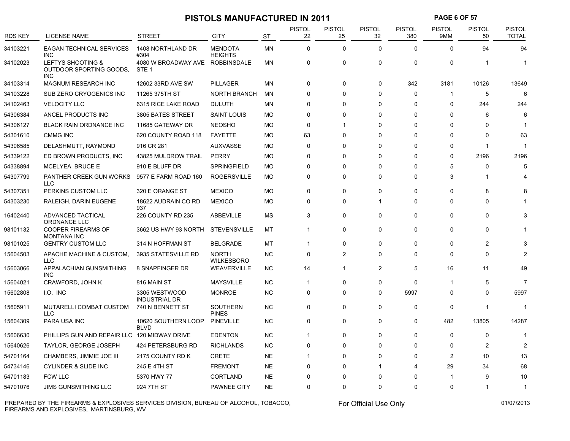# **PISTOLS MANUFACTURED IN 2011 PAGE 6 OF 57**

| <b>RDS KEY</b> | <b>LICENSE NAME</b>                                        | <b>STREET</b>                                       | <b>CITY</b>                       | <b>ST</b> | <b>PISTOL</b><br>22 | PISTOL<br>25   | PISTOL<br>32 | <b>PISTOL</b><br>380 | <b>PISTOL</b><br>9MM | <b>PISTOL</b><br>50 | <b>PISTOL</b><br><b>TOTAL</b> |
|----------------|------------------------------------------------------------|-----------------------------------------------------|-----------------------------------|-----------|---------------------|----------------|--------------|----------------------|----------------------|---------------------|-------------------------------|
| 34103221       | <b>EAGAN TECHNICAL SERVICES</b><br><b>INC</b>              | 1408 NORTHLAND DR<br>#304                           | <b>MENDOTA</b><br><b>HEIGHTS</b>  | <b>MN</b> | 0                   | $\mathbf 0$    | $\Omega$     | $\Omega$             | $\Omega$             | 94                  | 94                            |
| 34102023       | LEFTYS SHOOTING &<br>OUTDOOR SPORTING GOODS,<br><b>INC</b> | 4080 W BROADWAY AVE ROBBINSDALE<br>STE <sub>1</sub> |                                   | MN        | 0                   | 0              | $\mathbf 0$  | $\mathbf 0$          | $\mathbf 0$          | 1                   | $\overline{1}$                |
| 34103314       | MAGNUM RESEARCH INC                                        | 12602 33RD AVE SW                                   | <b>PILLAGER</b>                   | <b>MN</b> | $\Omega$            | $\Omega$       | $\Omega$     | 342                  | 3181                 | 10126               | 13649                         |
| 34103228       | SUB ZERO CRYOGENICS INC                                    | 11265 375TH ST                                      | <b>NORTH BRANCH</b>               | MN        | 0                   | $\mathbf 0$    | $\Omega$     | $\mathbf 0$          | $\mathbf{1}$         | 5                   | 6                             |
| 34102463       | <b>VELOCITY LLC</b>                                        | 6315 RICE LAKE ROAD                                 | <b>DULUTH</b>                     | <b>MN</b> | 0                   | $\Omega$       | $\Omega$     | $\mathbf 0$          | $\Omega$             | 244                 | 244                           |
| 54306384       | ANCEL PRODUCTS INC                                         | 3805 BATES STREET                                   | <b>SAINT LOUIS</b>                | MO        | 0                   | 0              | $\Omega$     | 0                    | 0                    | 6                   | 6                             |
| 54306127       | <b>BLACK RAIN ORDNANCE INC</b>                             | 11685 GATEWAY DR                                    | <b>NEOSHO</b>                     | <b>MO</b> | 0                   | 1              | $\Omega$     | $\mathbf 0$          | $\Omega$             | $\Omega$            | -1                            |
| 54301610       | <b>CMMG INC</b>                                            | 620 COUNTY ROAD 118                                 | <b>FAYETTE</b>                    | <b>MO</b> | 63                  | $\mathbf 0$    | $\Omega$     | $\Omega$             | $\Omega$             | 0                   | 63                            |
| 54306585       | DELASHMUTT, RAYMOND                                        | 916 CR 281                                          | <b>AUXVASSE</b>                   | <b>MO</b> | 0                   | $\Omega$       | $\Omega$     | $\mathbf 0$          | $\Omega$             | 1                   | -1                            |
| 54339122       | ED BROWN PRODUCTS, INC                                     | 43825 MULDROW TRAIL                                 | <b>PERRY</b>                      | <b>MO</b> | $\Omega$            | $\mathbf 0$    | $\Omega$     | $\Omega$             | $\mathbf 0$          | 2196                | 2196                          |
| 54338894       | MCELYEA, BRUCE E                                           | 910 E BLUFF DR                                      | SPRINGFIELD                       | <b>MO</b> | $\Omega$            | 0              | $\Omega$     | $\Omega$             | 5                    | $\Omega$            | 5                             |
| 54307799       | PANTHER CREEK GUN WORKS<br>LLC                             | 9577 E FARM ROAD 160                                | <b>ROGERSVILLE</b>                | MO        | 0                   | $\mathbf 0$    | $\Omega$     | $\Omega$             | 3                    |                     |                               |
| 54307351       | PERKINS CUSTOM LLC                                         | 320 E ORANGE ST                                     | <b>MEXICO</b>                     | <b>MO</b> | 0                   | $\mathbf 0$    | $\Omega$     | $\mathbf 0$          | $\mathbf 0$          | 8                   | 8                             |
| 54303230       | RALEIGH, DARIN EUGENE                                      | 18622 AUDRAIN CO RD<br>937                          | <b>MEXICO</b>                     | <b>MO</b> | $\Omega$            | $\mathbf 0$    | $\mathbf{1}$ | $\mathbf 0$          | $\Omega$             | $\Omega$            |                               |
| 16402440       | ADVANCED TACTICAL<br><b>ORDNANCE LLC</b>                   | 226 COUNTY RD 235                                   | ABBEVILLE                         | <b>MS</b> | 3                   | $\mathbf 0$    | $\Omega$     | $\mathbf 0$          | $\Omega$             | $\Omega$            | 3                             |
| 98101132       | <b>COOPER FIREARMS OF</b><br><b>MONTANA INC</b>            | 3662 US HWY 93 NORTH                                | <b>STEVENSVILLE</b>               | <b>MT</b> | $\overline{1}$      | 0              | $\Omega$     | $\mathbf 0$          | $\Omega$             | $\Omega$            | -1                            |
| 98101025       | <b>GENTRY CUSTOM LLC</b>                                   | 314 N HOFFMAN ST                                    | <b>BELGRADE</b>                   | MT        | $\overline{1}$      | 0              | $\Omega$     | 0                    | $\mathbf 0$          | $\overline{c}$      | 3                             |
| 15604503       | APACHE MACHINE & CUSTOM,<br><b>LLC</b>                     | 3935 STATESVILLE RD                                 | <b>NORTH</b><br><b>WILKESBORO</b> | <b>NC</b> | $\Omega$            | $\overline{2}$ | $\Omega$     | $\Omega$             | $\Omega$             | $\Omega$            | $\overline{2}$                |
| 15603066       | APPALACHIAN GUNSMITHING<br><b>INC</b>                      | 8 SNAPFINGER DR                                     | WEAVERVILLE                       | <b>NC</b> | 14                  | 1              | 2            | 5                    | 16                   | 11                  | 49                            |
| 15604021       | CRAWFORD, JOHN K                                           | 816 MAIN ST                                         | <b>MAYSVILLE</b>                  | <b>NC</b> | $\mathbf 1$         | $\mathbf 0$    | $\Omega$     | $\mathbf 0$          | -1                   | 5                   | $\overline{7}$                |
| 15602808       | I.O. INC                                                   | 3305 WESTWOOD<br><b>INDUSTRIAL DR</b>               | <b>MONROE</b>                     | <b>NC</b> | 0                   | 0              | $\mathbf 0$  | 5997                 | 0                    | 0                   | 5997                          |
| 15605911       | MUTARELLI COMBAT CUSTOM<br><b>LLC</b>                      | 740 N BENNETT ST                                    | <b>SOUTHERN</b><br><b>PINES</b>   | <b>NC</b> | 0                   | $\mathbf 0$    | $\mathbf 0$  | $\mathbf 0$          | 0                    | 1                   | -1                            |
| 15604309       | PARA USA INC                                               | 10620 SOUTHERN LOOP<br><b>BLVD</b>                  | <b>PINEVILLE</b>                  | <b>NC</b> | $\Omega$            | $\Omega$       | $\Omega$     | 0                    | 482                  | 13805               | 14287                         |
| 15606630       | PHILLIPS GUN AND REPAIR LLC 120 MIDWAY DRIVE               |                                                     | <b>EDENTON</b>                    | <b>NC</b> | $\overline{1}$      | 0              | 0            | 0                    | 0                    | 0                   | -1                            |
| 15640626       | TAYLOR, GEORGE JOSEPH                                      | 424 PETERSBURG RD                                   | <b>RICHLANDS</b>                  | <b>NC</b> | 0                   | $\Omega$       | $\Omega$     | $\Omega$             | $\Omega$             | 2                   | $\overline{2}$                |
| 54701164       | CHAMBERS, JIMMIE JOE III                                   | 2175 COUNTY RD K                                    | <b>CRETE</b>                      | <b>NE</b> | -1                  | $\Omega$       | $\Omega$     | $\Omega$             | $\overline{2}$       | 10                  | 13                            |
| 54734146       | <b>CYLINDER &amp; SLIDE INC</b>                            | 245 E 4TH ST                                        | <b>FREMONT</b>                    | <b>NE</b> | 0                   | $\mathbf 0$    | 1            | 4                    | 29                   | 34                  | 68                            |
| 54701183       | <b>FCW LLC</b>                                             | 5370 HWY 77                                         | CORTLAND                          | <b>NE</b> | 0                   | 0              | $\Omega$     | $\Omega$             |                      | 9                   | 10                            |
| 54701076       | <b>JIMS GUNSMITHING LLC</b>                                | 924 7TH ST                                          | PAWNEE CITY                       | <b>NE</b> | 0                   | $\Omega$       | $\Omega$     | $\mathbf 0$          | $\Omega$             | 1                   | $\mathbf 1$                   |

PREPARED BY THE FIREARMS & EXPLOSIVES SERVICES DIVISION, BUREAU OF ALCOHOL, TOBACCO, FIREARMS AND EXPLOSIVES, MARTINSBURG, WV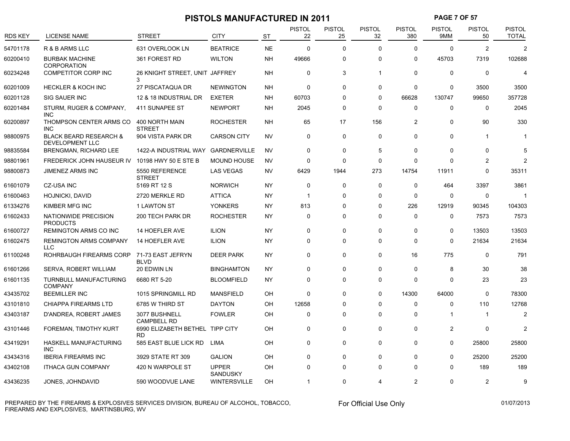|                |                                                             | <b>PISTOLS MANUFACTURED IN 2011</b>          | <b>PAGE 7 OF 57</b>             |           |                     |                     |                       |                      |               |                     |                               |
|----------------|-------------------------------------------------------------|----------------------------------------------|---------------------------------|-----------|---------------------|---------------------|-----------------------|----------------------|---------------|---------------------|-------------------------------|
| <b>RDS KEY</b> | <b>LICENSE NAME</b>                                         | <b>STREET</b>                                | <b>CITY</b>                     | <b>ST</b> | <b>PISTOL</b><br>22 | <b>PISTOL</b><br>25 | <b>PISTOL</b><br>32   | <b>PISTOL</b><br>380 | PISTOL<br>9MM | <b>PISTOL</b><br>50 | <b>PISTOL</b><br><b>TOTAL</b> |
| 54701178       | R & B ARMS LLC                                              | 631 OVERLOOK LN                              | <b>BEATRICE</b>                 | <b>NE</b> | $\mathbf 0$         | $\mathbf 0$         | $\mathbf 0$           | $\mathbf 0$          | $\mathbf 0$   | $\overline{2}$      | $\overline{2}$                |
| 60200410       | <b>BURBAK MACHINE</b><br><b>CORPORATION</b>                 | 361 FOREST RD                                | <b>WILTON</b>                   | <b>NH</b> | 49666               | 0                   | $\mathbf 0$           | 0                    | 45703         | 7319                | 102688                        |
| 60234248       | COMPETITOR CORP INC                                         | 26 KNIGHT STREET, UNIT JAFFREY<br>3          |                                 | <b>NH</b> | 0                   | 3                   | $\mathbf{1}$          | 0                    | $\mathbf 0$   | 0                   | 4                             |
| 60201009       | <b>HECKLER &amp; KOCH INC</b>                               | 27 PISCATAQUA DR                             | <b>NEWINGTON</b>                | <b>NH</b> | $\Omega$            | $\Omega$            | $\Omega$              | $\mathbf 0$          | $\Omega$      | 3500                | 3500                          |
| 60201128       | <b>SIG SAUER INC</b>                                        | 12 & 18 INDUSTRIAL DR                        | <b>EXETER</b>                   | NΗ        | 60703               | $\Omega$            | $\mathbf 0$           | 66628                | 130747        | 99650               | 357728                        |
| 60201484       | STURM, RUGER & COMPANY,<br>INC.                             | 411 SUNAPEE ST                               | <b>NEWPORT</b>                  | <b>NH</b> | 2045                | $\Omega$            | $\Omega$              | 0                    | $\Omega$      | 0                   | 2045                          |
| 60200897       | THOMPSON CENTER ARMS CO<br><b>INC</b>                       | 400 NORTH MAIN<br><b>STREET</b>              | <b>ROCHESTER</b>                | <b>NH</b> | 65                  | 17                  | 156                   | $\overline{2}$       | $\mathbf 0$   | 90                  | 330                           |
| 98800975       | <b>BLACK BEARD RESEARCH &amp;</b><br><b>DEVELOPMENT LLC</b> | 904 VISTA PARK DR                            | <b>CARSON CITY</b>              | <b>NV</b> | $\mathbf 0$         | $\mathbf 0$         | $\Omega$              | $\mathbf 0$          | 0             | -1                  | 1                             |
| 98835584       | <b>BRENGMAN, RICHARD LEE</b>                                | 1422-A INDUSTRIAL WAY                        | GARDNERVILLE                    | <b>NV</b> | $\mathbf 0$         | $\mathbf 0$         | 5                     | $\mathbf 0$          | $\Omega$      | 0                   | 5                             |
| 98801961       | FREDERICK JOHN HAUSEUR IV                                   | 10198 HWY 50 E STE B                         | <b>MOUND HOUSE</b>              | <b>NV</b> | $\mathbf 0$         | 0                   | $\Omega$              | $\mathbf 0$          | $\Omega$      | $\overline{2}$      | $\overline{2}$                |
| 98800873       | <b>JIMENEZ ARMS INC</b>                                     | 5550 REFERENCE<br><b>STREET</b>              | <b>LAS VEGAS</b>                | <b>NV</b> | 6429                | 1944                | 273                   | 14754                | 11911         | 0                   | 35311                         |
| 61601079       | <b>CZ-USA INC</b>                                           | 5169 RT 12 S                                 | <b>NORWICH</b>                  | <b>NY</b> | $\mathbf 0$         | $\mathbf 0$         | 0                     | $\mathbf 0$          | 464           | 3397                | 3861                          |
| 61600463       | HOJNICKI, DAVID                                             | 2720 MERKLE RD                               | <b>ATTICA</b>                   | NY        | $\mathbf{1}$        | 0                   | $\Omega$              | 0                    | 0             | 0                   | 1                             |
| 61334276       | KIMBER MFG INC                                              | 1 LAWTON ST                                  | <b>YONKERS</b>                  | NY        | 813                 | 0                   | 0                     | 226                  | 12919         | 90345               | 104303                        |
| 61602433       | NATIONWIDE PRECISION<br><b>PRODUCTS</b>                     | 200 TECH PARK DR                             | <b>ROCHESTER</b>                | NY        | $\mathbf 0$         | $\mathbf 0$         | $\Omega$              | $\mathbf 0$          | 0             | 7573                | 7573                          |
| 61600727       | <b>REMINGTON ARMS CO INC</b>                                | 14 HOEFLER AVE                               | <b>ILION</b>                    | NY        | 0                   | 0                   | $\Omega$              | 0                    | 0             | 13503               | 13503                         |
| 61602475       | <b>REMINGTON ARMS COMPANY</b><br><b>LLC</b>                 | 14 HOEFLER AVE                               | <b>ILION</b>                    | NY        | 0                   | $\mathbf 0$         | 0                     | 0                    | 0             | 21634               | 21634                         |
| 61100248       | ROHRBAUGH FIREARMS CORP                                     | 71-73 EAST JEFRYN<br><b>BLVD</b>             | <b>DEER PARK</b>                | <b>NY</b> | $\mathbf 0$         | $\mathbf 0$         | $\mathbf 0$           | 16                   | 775           | 0                   | 791                           |
| 61601266       | SERVA, ROBERT WILLIAM                                       | 20 EDWIN LN                                  | <b>BINGHAMTON</b>               | <b>NY</b> | 0                   | $\mathbf 0$         | $\Omega$              | $\Omega$             | 8             | 30                  | 38                            |
| 61601135       | TURNBULL MANUFACTURING<br><b>COMPANY</b>                    | 6680 RT 5-20                                 | <b>BLOOMFIELD</b>               | <b>NY</b> | $\Omega$            | $\Omega$            | $\Omega$              | $\Omega$             | $\Omega$      | 23                  | 23                            |
| 43435702       | <b>BEEMILLER INC</b>                                        | 1015 SPRINGMILL RD                           | <b>MANSFIELD</b>                | <b>OH</b> | 0                   | $\mathbf 0$         | $\Omega$              | 14300                | 64000         | $\mathbf 0$         | 78300                         |
| 43101810       | <b>CHIAPPA FIREARMS LTD</b>                                 | 6785 W THIRD ST                              | <b>DAYTON</b>                   | OH        | 12658               | 0                   | $\Omega$              | $\Omega$             | $\Omega$      | 110                 | 12768                         |
| 43403187       | D'ANDREA, ROBERT JAMES                                      | 3077 BUSHNELL<br><b>CAMPBELL RD</b>          | <b>FOWLER</b>                   | OH        | $\mathbf 0$         | $\mathbf 0$         | $\Omega$              | $\mathbf 0$          | -1            | $\mathbf 1$         | $\overline{2}$                |
| 43101446       | FOREMAN, TIMOTHY KURT                                       | 6990 ELIZABETH BETHEL TIPP CITY<br><b>RD</b> |                                 | OH        | 0                   | $\mathbf 0$         | $\Omega$              | $\mathbf 0$          | 2             | 0                   | $\overline{2}$                |
| 43419291       | HASKELL MANUFACTURING<br><b>INC</b>                         | 585 EAST BLUE LICK RD                        | LIMA                            | OH        | $\mathbf 0$         | $\mathbf 0$         | $\mathbf 0$           | $\mathbf 0$          | 0             | 25800               | 25800                         |
| 43434316       | <b>IBERIA FIREARMS INC</b>                                  | 3929 STATE RT 309                            | <b>GALION</b>                   | OH        | 0                   | 0                   | $\mathbf 0$           | $\mathbf 0$          | 0             | 25200               | 25200                         |
| 43402108       | <b>ITHACA GUN COMPANY</b>                                   | 420 N WARPOLE ST                             | <b>UPPER</b><br><b>SANDUSKY</b> | OH        | 0                   | 0                   | $\Omega$              | $\Omega$             | $\Omega$      | 189                 | 189                           |
| 43436235       | JONES, JOHNDAVID                                            | 590 WOODVUE LANE                             | <b>WINTERSVILLE</b>             | <b>OH</b> | 1                   | $\mathbf 0$         | $\boldsymbol{\Delta}$ | 2                    | O             | 2                   | $\mathbf{Q}$                  |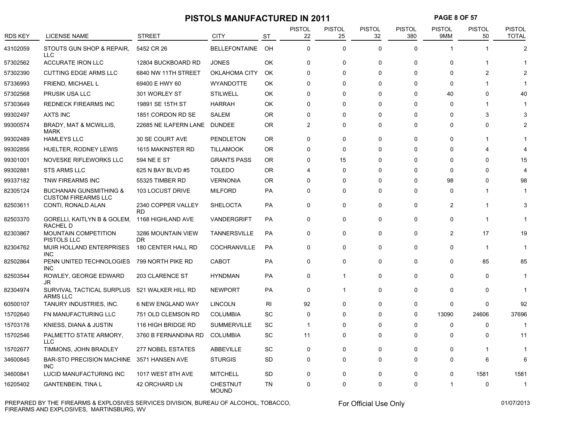# **PISTOLS MANUFACTURED IN 2011 PAGE 8 OF 57**

| <b>RDS KEY</b> | <b>LICENSE NAME</b>                                             | <b>STREET</b>                   | CITY                            | <b>ST</b>      | <b>PISTOL</b><br>22 | <b>PISTOL</b><br>25 | <b>PISTOL</b><br>32 | <b>PISTOL</b><br>380 | <b>PISTOL</b><br>9MM | <b>PISTOL</b><br>50 | <b>PISTOL</b><br><b>TOTAL</b> |
|----------------|-----------------------------------------------------------------|---------------------------------|---------------------------------|----------------|---------------------|---------------------|---------------------|----------------------|----------------------|---------------------|-------------------------------|
| 43102059       | STOUTS GUN SHOP & REPAIR.<br><b>LLC</b>                         | 5452 CR 26                      | <b>BELLEFONTAINE</b>            | OH             | 0                   | $\Omega$            | $\Omega$            | $\Omega$             |                      |                     | $\mathcal{P}$                 |
| 57302562       | <b>ACCURATE IRON LLC</b>                                        | 12804 BUCKBOARD RD              | <b>JONES</b>                    | OK             | 0                   | $\Omega$            | $\mathbf 0$         | $\Omega$             | $\Omega$             |                     |                               |
| 57302390       | <b>CUTTING EDGE ARMS LLC</b>                                    | 6840 NW 11TH STREET             | OKLAHOMA CITY                   | OK             | $\Omega$            | $\Omega$            | $\Omega$            | $\Omega$             | $\Omega$             | 2                   |                               |
| 57336993       | FRIEND, MICHAEL L                                               | 69400 E HWY 60                  | <b>WYANDOTTE</b>                | OK             | $\Omega$            | $\Omega$            | $\Omega$            | $\Omega$             | $\Omega$             |                     |                               |
| 57302568       | <b>PRUSIK USA LLC</b>                                           | 301 WORLEY ST                   | <b>STILWELL</b>                 | OK             | $\Omega$            | $\Omega$            | $\Omega$            | $\Omega$             | 40                   | $\Omega$            | 40                            |
| 57303649       | <b>REDNECK FIREARMS INC</b>                                     | 19891 SE 15TH ST                | <b>HARRAH</b>                   | OK             | 0                   | $\Omega$            | $\Omega$            | $\Omega$             | $\Omega$             |                     |                               |
| 99302497       | AXTS INC                                                        | 1851 CORDON RD SE               | SALEM                           | 0R             | $\Omega$            | $\Omega$            | $\Omega$            | $\mathbf 0$          | $\Omega$             | 3                   | 3                             |
| 99300574       | BRADY, MAT & MCWILLIS,<br><b>MARK</b>                           | 22685 NE ILAFERN LANE           | <b>DUNDEE</b>                   | OR.            | $\overline{c}$      | $\Omega$            | 0                   | 0                    | $\Omega$             | $\mathbf 0$         |                               |
| 99302489       | <b>HAMLEYS LLC</b>                                              | 30 SE COURT AVE                 | <b>PENDLETON</b>                | <b>OR</b>      | 0                   | $\Omega$            | $\mathbf 0$         | $\mathbf 0$          | $\mathbf 0$          |                     |                               |
| 99302856       | HUELTER, RODNEY LEWIS                                           | 1615 MAKINSTER RD               | <b>TILLAMOOK</b>                | <b>OR</b>      | $\Omega$            | $\Omega$            | $\Omega$            | $\Omega$             | $\Omega$             |                     |                               |
| 99301001       | NOVESKE RIFLEWORKS LLC                                          | 594 NE E ST                     | <b>GRANTS PASS</b>              | 0R             | $\Omega$            | 15                  | $\mathbf 0$         | 0                    | $\Omega$             | $\Omega$            | 15                            |
| 99302881       | <b>STS ARMS LLC</b>                                             | 625 N BAY BLVD #5               | <b>TOLEDO</b>                   | <b>OR</b>      | 4                   | $\Omega$            | $\Omega$            | $\Omega$             | $\Omega$             | $\Omega$            |                               |
| 99337182       | TNW FIREARMS INC                                                | 55325 TIMBER RD                 | <b>VERNONIA</b>                 | 0R             | $\Omega$            | $\mathbf 0$         | $\Omega$            | $\Omega$             | 98                   | $\Omega$            | 98                            |
| 82305124       | <b>BUCHANAN GUNSMITHING &amp;</b><br><b>CUSTOM FIREARMS LLC</b> | 103 LOCUST DRIVE                | <b>MILFORD</b>                  | PA             | $\Omega$            | $\Omega$            | $\Omega$            | $\Omega$             | O                    |                     |                               |
| 82503611       | CONTI, RONALD ALAN                                              | 2340 COPPER VALLEY<br><b>RD</b> | <b>SHELOCTA</b>                 | <b>PA</b>      | 0                   | 0                   | 0                   | 0                    | 2                    |                     | 3                             |
| 82503370       | GORELLI, KAITLYN B & GOLEM, 1168 HIGHLAND AVE<br>RACHEL D       |                                 | VANDERGRIFT                     | <b>PA</b>      | 0                   | $\mathbf 0$         | $\mathbf 0$         | 0                    | $\mathbf 0$          | -1                  | 1                             |
| 82303867       | <b>MOUNTAIN COMPETITION</b><br><b>PISTOLS LLC</b>               | 3286 MOUNTAIN VIEW<br><b>DR</b> | <b>TANNERSVILLE</b>             | <b>PA</b>      | 0                   | 0                   | $\mathbf 0$         | $\mathbf 0$          | $\overline{2}$       | 17                  | 19                            |
| 82304762       | MUIR HOLLAND ENTERPRISES<br><b>INC</b>                          | 180 CENTER HALL RD              | <b>COCHRANVILLE</b>             | <b>PA</b>      | 0                   | 0                   | $\mathbf 0$         | $\mathbf 0$          | $\Omega$             | $\mathbf 1$         | 1                             |
| 82502864       | PENN UNITED TECHNOLOGIES<br><b>INC</b>                          | 799 NORTH PIKE RD               | CABOT                           | PA             | 0                   | $\Omega$            | $\Omega$            | $\mathbf 0$          | $\Omega$             | 85                  | 85                            |
| 82503544       | ROWLEY, GEORGE EDWARD<br>JR                                     | 203 CLARENCE ST                 | <b>HYNDMAN</b>                  | PA             | 0                   | 1                   | 0                   | 0                    | 0                    | 0                   | 1                             |
| 82304974       | SURVIVAL TACTICAL SURPLUS<br>ARMS LLC                           | 521 WALKER HILL RD              | <b>NEWPORT</b>                  | PA             | $\mathbf 0$         | 1                   | $\mathbf 0$         | 0                    | 0                    | $\Omega$            |                               |
| 60500107       | TANURY INDUSTRIES, INC.                                         | <b>6 NEW ENGLAND WAY</b>        | <b>LINCOLN</b>                  | R <sub>l</sub> | 92                  | 0                   | 0                   | 0                    | $\Omega$             | $\Omega$            | 92                            |
| 15702640       | FN MANUFACTURING LLC                                            | 751 OLD CLEMSON RD              | <b>COLUMBIA</b>                 | SC             | 0                   | $\Omega$            | $\Omega$            | 0                    | 13090                | 24606               | 37696                         |
| 15703176       | KNIESS, DIANA & JUSTIN                                          | 116 HIGH BRIDGE RD              | <b>SUMMERVILLE</b>              | SC             | $\mathbf{1}$        | $\mathbf 0$         | $\Omega$            | $\Omega$             | $\Omega$             | $\Omega$            | 1                             |
| 15702546       | PALMETTO STATE ARMORY,<br><b>LLC</b>                            | 3760 B FERNANDINA RD            | <b>COLUMBIA</b>                 | SC             | 11                  | $\Omega$            | $\Omega$            | 0                    | $\Omega$             | 0                   | 11                            |
| 15702677       | TIMMONS, JOHN BRADLEY                                           | <b>277 NOBEL ESTATES</b>        | ABBEVILLE                       | SC             | 0                   | $\mathbf 0$         | 0                   | 0                    | $\Omega$             |                     |                               |
| 34600845       | <b>BAR-STO PRECISION MACHINE</b><br><b>INC</b>                  | 3571 HANSEN AVE                 | <b>STURGIS</b>                  | SD             | 0                   | $\Omega$            | $\Omega$            | $\Omega$             | $\Omega$             | 6                   | 6                             |
| 34600841       | LUCID MANUFACTURING INC                                         | 1017 WEST 8TH AVE               | <b>MITCHELL</b>                 | <b>SD</b>      | 0                   | $\Omega$            | 0                   | 0                    | 0                    | 1581                | 1581                          |
| 16205402       | <b>GANTENBEIN, TINA L</b>                                       | 42 ORCHARD LN                   | <b>CHESTNUT</b><br><b>MOUND</b> | <b>TN</b>      | $\Omega$            | $\Omega$            | $\Omega$            | $\Omega$             |                      | $\Omega$            | $\overline{1}$                |

PREPARED BY THE FIREARMS & EXPLOSIVES SERVICES DIVISION, BUREAU OF ALCOHOL, TOBACCO, FIREARMS AND EXPLOSIVES, MARTINSBURG, WV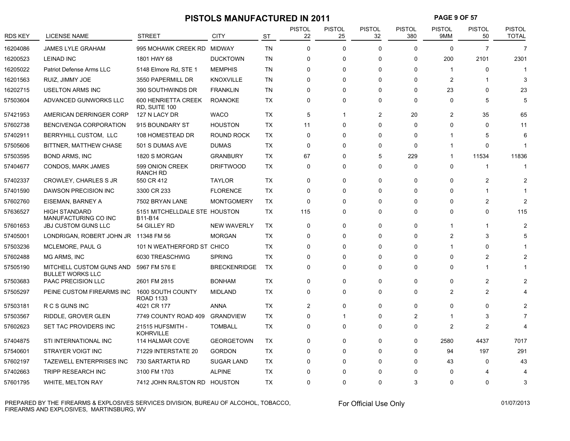# **PISTOLS MANUFACTURED IN 2011 PAGE 9 OF 57**

| <b>RDS KEY</b> | <b>LICENSE NAME</b>                                 | <b>STREET</b>                            | <b>CITY</b>         | <b>ST</b> | <b>PISTOL</b><br>22 | <b>PISTOL</b><br>25 | <b>PISTOL</b><br>32 | <b>PISTOL</b><br>380 | <b>PISTOL</b><br>9MM | <b>PISTOL</b><br>50 | <b>PISTOL</b><br><b>TOTAL</b> |
|----------------|-----------------------------------------------------|------------------------------------------|---------------------|-----------|---------------------|---------------------|---------------------|----------------------|----------------------|---------------------|-------------------------------|
| 16204086       | <b>JAMES LYLE GRAHAM</b>                            | 995 MOHAWK CREEK RD                      | <b>MIDWAY</b>       | <b>TN</b> | $\Omega$            | $\Omega$            | $\Omega$            | $\Omega$             | $\Omega$             | $\overline{7}$      | 7                             |
| 16200523       | <b>LEINAD INC</b>                                   | 1801 HWY 68                              | <b>DUCKTOWN</b>     | <b>TN</b> | 0                   | $\mathbf 0$         | $\Omega$            | $\mathbf{0}$         | 200                  | 2101                | 2301                          |
| 16205022       | Patriot Defense Arms LLC                            | 5148 Elmore Rd, STE 1                    | <b>MEMPHIS</b>      | <b>TN</b> | 0                   | $\Omega$            | $\Omega$            | $\Omega$             |                      | $\Omega$            |                               |
| 16201563       | RUIZ, JIMMY JOE                                     | 3550 PAPERMILL DR                        | <b>KNOXVILLE</b>    | <b>TN</b> | $\Omega$            | $\Omega$            | $\Omega$            | $\Omega$             | $\overline{2}$       |                     |                               |
| 16202715       | <b>USELTON ARMS INC</b>                             | 390 SOUTHWINDS DR                        | <b>FRANKLIN</b>     | <b>TN</b> | 0                   | $\mathbf 0$         | $\Omega$            | 0                    | 23                   | 0                   | 23                            |
| 57503604       | ADVANCED GUNWORKS LLC                               | 600 HENRIETTA CREEK<br>RD, SUITE 100     | <b>ROANOKE</b>      | <b>TX</b> | $\Omega$            | $\Omega$            | $\Omega$            | $\Omega$             | $\Omega$             | 5                   |                               |
| 57421953       | AMERICAN DERRINGER CORP                             | 127 N LACY DR                            | <b>WACO</b>         | <b>TX</b> | 5                   | 1                   | $\overline{2}$      | 20                   | 2                    | 35                  | 65                            |
| 57602738       | <b>BENCIVENGA CORPORATION</b>                       | 915 BOUNDARY ST                          | <b>HOUSTON</b>      | TX        | 11                  | 0                   | $\Omega$            | $\mathbf{0}$         | $\Omega$             | $\Omega$            | 11                            |
| 57402911       | BERRYHILL CUSTOM, LLC                               | 108 HOMESTEAD DR                         | ROUND ROCK          | <b>TX</b> | $\Omega$            | $\Omega$            | $\Omega$            | 0                    |                      | 5                   |                               |
| 57505606       | BITTNER, MATTHEW CHASE                              | 501 S DUMAS AVE                          | <b>DUMAS</b>        | <b>TX</b> | $\Omega$            | $\Omega$            | $\Omega$            | 0                    |                      | $\Omega$            |                               |
| 57503595       | <b>BOND ARMS, INC</b>                               | 1820 S MORGAN                            | <b>GRANBURY</b>     | <b>TX</b> | 67                  | $\Omega$            | 5                   | 229                  |                      | 11534               | 11836                         |
| 57404677       | CONDOS, MARK JAMES                                  | 599 ONION CREEK<br><b>RANCH RD</b>       | <b>DRIFTWOOD</b>    | <b>TX</b> | 0                   | 0                   | $\mathbf 0$         | $\mathbf 0$          | $\Omega$             | -1                  |                               |
| 57402337       | CROWLEY, CHARLES S JR                               | 550 CR 412                               | <b>TAYLOR</b>       | <b>TX</b> | 0                   | $\Omega$            | $\Omega$            | 0                    | $\Omega$             | $\overline{2}$      |                               |
| 57401590       | DAWSON PRECISION INC                                | 3300 CR 233                              | <b>FLORENCE</b>     | TX        | 0                   | $\mathbf 0$         | $\Omega$            | 0                    | ∩                    |                     |                               |
| 57602760       | EISEMAN, BARNEY A                                   | 7502 BRYAN LANE                          | <b>MONTGOMERY</b>   | TX        | $\Omega$            | $\Omega$            | $\Omega$            | $\Omega$             | $\Omega$             | 2                   |                               |
| 57636527       | <b>HIGH STANDARD</b><br>MANUFACTURING CO INC        | 5151 MITCHELLDALE STE HOUSTON<br>B11-B14 |                     | TX        | 115                 | $\Omega$            | $\Omega$            | 0                    | $\Omega$             | $\Omega$            | 115                           |
| 57601653       | <b>JBJ CUSTOM GUNS LLC</b>                          | 54 GILLEY RD                             | <b>NEW WAVERLY</b>  | TX        | $\Omega$            | $\Omega$            | $\Omega$            | 0                    |                      |                     |                               |
| 57405001       | LONDRIGAN, ROBERT JOHN JR 11348 FM 56               |                                          | <b>MORGAN</b>       | <b>TX</b> | 0                   | $\Omega$            | $\Omega$            | $\Omega$             | 2                    | 3                   |                               |
| 57503236       | MCLEMORE, PAUL G                                    | 101 N WEATHERFORD ST CHICO               |                     | <b>TX</b> | $\Omega$            | $\Omega$            | $\Omega$            | $\Omega$             |                      | $\Omega$            |                               |
| 57602488       | MG ARMS, INC                                        | 6030 TREASCHWIG                          | <b>SPRING</b>       | <b>TX</b> | 0                   | $\Omega$            | $\Omega$            | 0                    | $\Omega$             | $\overline{c}$      |                               |
| 57505190       | MITCHELL CUSTOM GUNS AND<br><b>BULLET WORKS LLC</b> | 5967 FM 576 E                            | <b>BRECKENRIDGE</b> | <b>TX</b> | 0                   | $\Omega$            | $\Omega$            | 0                    | $\Omega$             |                     |                               |
| 57503683       | PAAC PRECISION LLC                                  | 2601 FM 2815                             | <b>BONHAM</b>       | <b>TX</b> | 0                   | $\Omega$            | $\mathbf 0$         | 0                    | $\mathbf 0$          | $\overline{2}$      |                               |
| 57505297       | PEINE CUSTOM FIREARMS INC                           | 1600 SOUTH COUNTY<br><b>ROAD 1133</b>    | <b>MIDLAND</b>      | <b>TX</b> | 0                   | $\mathbf 0$         | $\mathbf 0$         | $\Omega$             | 2                    | $\overline{2}$      |                               |
| 57503181       | R C S GUNS INC                                      | 4021 CR 177                              | ANNA                | <b>TX</b> | $\overline{c}$      | $\Omega$            | $\Omega$            | 0                    | $\Omega$             | 0                   |                               |
| 57503567       | RIDDLE, GROVER GLEN                                 | 7749 COUNTY ROAD 409                     | <b>GRANDVIEW</b>    | TX        | 0                   |                     | $\Omega$            | $\overline{c}$       |                      | 3                   |                               |
| 57602623       | SET TAC PROVIDERS INC                               | 21515 HUFSMITH -<br><b>KOHRVILLE</b>     | <b>TOMBALL</b>      | TX        | $\Omega$            | 0                   | $\Omega$            | 0                    | 2                    | 2                   |                               |
| 57404875       | STI INTERNATIONAL INC                               | 114 HALMAR COVE                          | <b>GEORGETOWN</b>   | TX        | 0                   | $\mathbf 0$         | $\Omega$            | 0                    | 2580                 | 4437                | 7017                          |
| 57540601       | STRAYER VOIGT INC                                   | 71229 INTERSTATE 20                      | <b>GORDON</b>       | <b>TX</b> | 0                   | $\Omega$            | $\Omega$            | $\Omega$             | 94                   | 197                 | 291                           |
| 57602197       | TAZEWELL ENTERPRISES INC                            | 730 SARTARTIA RD                         | <b>SUGAR LAND</b>   | ТX        | 0                   | $\Omega$            | $\Omega$            | 0                    | 43                   | 0                   | 43                            |
| 57402663       | TRIPP RESEARCH INC                                  | 3100 FM 1703                             | <b>ALPINE</b>       | <b>TX</b> | $\Omega$            |                     | $\Omega$            | $\Omega$             |                      |                     |                               |
| 57601795       | <b>WHITE, MELTON RAY</b>                            | 7412 JOHN RALSTON RD HOUSTON             |                     | <b>TX</b> | $\Omega$            | $\Omega$            | $\Omega$            | 3                    | $\Omega$             | $\Omega$            | 3                             |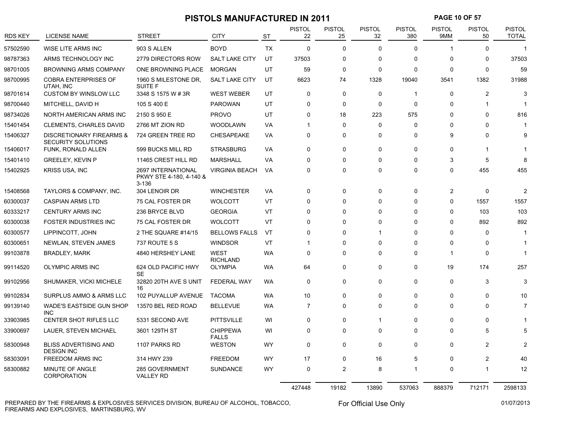# PISTOLS MANUFACTURED IN 2011 **PAGE 10 OF 57**

| <b>RDS KEY</b> | <b>LICENSE NAME</b>                                   | <b>STREET</b>                                              | <b>CITY</b>                     | <b>ST</b> | <b>PISTOL</b><br>22 | <b>PISTOL</b><br>25 | <b>PISTOL</b><br>32 | <b>PISTOL</b><br>380 | <b>PISTOL</b><br>9MM | <b>PISTOL</b><br>50 | <b>PISTOL</b><br><b>TOTAL</b> |
|----------------|-------------------------------------------------------|------------------------------------------------------------|---------------------------------|-----------|---------------------|---------------------|---------------------|----------------------|----------------------|---------------------|-------------------------------|
| 57502590       | WISE LITE ARMS INC                                    | 903 S ALLEN                                                | <b>BOYD</b>                     | <b>TX</b> | $\mathbf 0$         | 0                   | $\Omega$            | $\Omega$             | -1                   | $\mathbf 0$         | $\mathbf 1$                   |
| 98787363       | ARMS TECHNOLOGY INC                                   | 2779 DIRECTORS ROW                                         | <b>SALT LAKE CITY</b>           | UT        | 37503               | 0                   | $\Omega$            | $\mathbf 0$          | $\Omega$             | $\mathbf 0$         | 37503                         |
| 98701005       | <b>BROWNING ARMS COMPANY</b>                          | ONE BROWNING PLACE                                         | <b>MORGAN</b>                   | UT        | 59                  | 0                   | $\mathbf 0$         | $\mathbf 0$          | $\Omega$             | $\mathbf 0$         | 59                            |
| 98700995       | <b>COBRA ENTERPRISES OF</b><br>UTAH. INC              | 1960 S MILESTONE DR.<br><b>SUITE F</b>                     | <b>SALT LAKE CITY</b>           | UT        | 6623                | 74                  | 1328                | 19040                | 3541                 | 1382                | 31988                         |
| 98701614       | <b>CUSTOM BY WINSLOW LLC</b>                          | 3348 S 1575 W # 3R                                         | <b>WEST WEBER</b>               | UT        | $\mathbf 0$         | 0                   | $\Omega$            | $\overline{1}$       | $\mathbf{0}$         | $\overline{2}$      | 3                             |
| 98700440       | MITCHELL, DAVID H                                     | 105 S 400 E                                                | <b>PAROWAN</b>                  | UT        | $\mathbf 0$         | 0                   | $\Omega$            | $\mathbf 0$          | $\Omega$             | -1                  | -1                            |
| 98734026       | NORTH AMERICAN ARMS INC                               | 2150 S 950 E                                               | <b>PROVO</b>                    | UT        | $\mathbf 0$         | 18                  | 223                 | 575                  | $\Omega$             | 0                   | 816                           |
| 15401454       | <b>CLEMENTS, CHARLES DAVID</b>                        | 2766 MT ZION RD                                            | <b>WOODLAWN</b>                 | VA        | 1                   | 0                   | $\mathbf 0$         | 0                    | $\Omega$             | $\mathbf{0}$        |                               |
| 15406327       | DISCRETIONARY FIREARMS &<br><b>SECURITY SOLUTIONS</b> | 724 GREEN TREE RD                                          | <b>CHESAPEAKE</b>               | VA        | $\mathbf 0$         | $\mathsf 0$         | $\Omega$            | $\mathbf 0$          | $\mathbf{Q}$         | $\mathbf 0$         |                               |
| 15406017       | FUNK, RONALD ALLEN                                    | 599 BUCKS MILL RD                                          | <b>STRASBURG</b>                | VA        | $\mathbf 0$         | 0                   | $\mathbf 0$         | $\mathbf 0$          | $\Omega$             | -1                  |                               |
| 15401410       | <b>GREELEY, KEVIN P</b>                               | 11465 CREST HILL RD                                        | <b>MARSHALL</b>                 | VA        | 0                   | $\mathbf 0$         | $\Omega$            | $\mathbf 0$          | 3                    | 5                   | R                             |
| 15402925       | KRISS USA, INC                                        | 2697 INTERNATIONAL<br>PKWY STE 4-180, 4-140 &<br>$3 - 136$ | <b>VIRGINIA BEACH</b>           | VA        | $\Omega$            | 0                   | $\Omega$            | 0                    | $\mathbf{0}$         | 455                 | 455                           |
| 15408568       | TAYLORS & COMPANY, INC.                               | 304 LENOIR DR                                              | <b>WINCHESTER</b>               | VA        | $\mathbf 0$         | 0                   | $\Omega$            | $\mathbf 0$          | 2                    | $\mathbf 0$         | $\overline{2}$                |
| 60300037       | <b>CASPIAN ARMS LTD</b>                               | 75 CAL FOSTER DR                                           | <b>WOLCOTT</b>                  | VT        | 0                   | 0                   | $\Omega$            | $\mathbf{0}$         | 0                    | 1557                | 1557                          |
| 60333217       | <b>CENTURY ARMS INC</b>                               | 236 BRYCE BLVD                                             | <b>GEORGIA</b>                  | VT        | $\Omega$            | $\Omega$            | $\Omega$            | $\Omega$             | $\Omega$             | 103                 | 103                           |
| 60300038       | <b>FOSTER INDUSTRIES INC</b>                          | 75 CAL FOSTER DR                                           | <b>WOLCOTT</b>                  | VT        | $\Omega$            | $\Omega$            | $\Omega$            | $\Omega$             | $\Omega$             | 892                 | 892                           |
| 60300577       | LIPPINCOTT, JOHN                                      | 2 THE SQUARE #14/15                                        | <b>BELLOWS FALLS</b>            | VT        | $\Omega$            | $\Omega$            | $\mathbf{1}$        | $\mathbf{0}$         | $\Omega$             | $\mathbf 0$         | $\mathbf 1$                   |
| 60300651       | NEWLAN, STEVEN JAMES                                  | 737 ROUTE 5 S                                              | <b>WINDSOR</b>                  | VT        | $\mathbf{1}$        | $\Omega$            | $\Omega$            | $\mathbf{0}$         | $\Omega$             | $\mathbf{0}$        | $\mathbf 1$                   |
| 99103878       | <b>BRADLEY, MARK</b>                                  | 4840 HERSHEY LANE                                          | <b>WEST</b><br><b>RICHLAND</b>  | <b>WA</b> | $\Omega$            | 0                   | $\Omega$            | $\Omega$             | 1                    | $\mathbf{0}$        | -1                            |
| 99114520       | <b>OLYMPIC ARMS INC</b>                               | 624 OLD PACIFIC HWY<br><b>SE</b>                           | <b>OLYMPIA</b>                  | <b>WA</b> | 64                  | 0                   | $\Omega$            | $\mathbf 0$          | 19                   | 174                 | 257                           |
| 99102956       | SHUMAKER, VICKI MICHELE                               | 32820 20TH AVE S UNIT<br>16                                | <b>FEDERAL WAY</b>              | <b>WA</b> | $\mathbf 0$         | 0                   | $\mathbf 0$         | $\mathbf 0$          | $\mathbf{0}$         | 3                   | 3                             |
| 99102834       | SURPLUS AMMO & ARMS LLC                               | 102 PUYALLUP AVENUE                                        | <b>TACOMA</b>                   | WA        | 10                  | 0                   | $\Omega$            | 0                    | $\Omega$             | 0                   | 10                            |
| 99139140       | <b>WADE'S EASTSIDE GUN SHOP</b><br><b>INC</b>         | 13570 BEL RED ROAD                                         | <b>BELLEVUE</b>                 | <b>WA</b> | $\overline{7}$      | 0                   | $\Omega$            | $\Omega$             | $\Omega$             | $\mathbf 0$         | $\overline{7}$                |
| 33903985       | CENTER SHOT RIFLES LLC                                | 5331 SECOND AVE                                            | <b>PITTSVILLE</b>               | WI        | $\mathbf 0$         | 0                   | $\overline{1}$      | $\mathbf 0$          | $\Omega$             | $\mathbf 0$         |                               |
| 33900697       | LAUER, STEVEN MICHAEL                                 | 3601 129TH ST                                              | <b>CHIPPEWA</b><br><b>FALLS</b> | WI        | $\mathbf 0$         | 0                   | $\mathbf 0$         | $\mathbf 0$          | O                    | 5                   |                               |
| 58300948       | <b>BLISS ADVERTISING AND</b><br><b>DESIGN INC</b>     | 1107 PARKS RD                                              | <b>WESTON</b>                   | <b>WY</b> | $\Omega$            | 0                   | $\Omega$            | $\mathbf{0}$         | $\Omega$             | 2                   | $\mathcal{P}$                 |
| 58303091       | <b>FREEDOM ARMS INC</b>                               | 314 HWY 239                                                | <b>FREEDOM</b>                  | <b>WY</b> | 17                  | 0                   | 16                  | 5                    | $\Omega$             | $\overline{c}$      | 40                            |
| 58300882       | MINUTE OF ANGLE<br>CORPORATION                        | 285 GOVERNMENT<br><b>VALLEY RD</b>                         | <b>SUNDANCE</b>                 | <b>WY</b> | $\Omega$            | $\overline{2}$      | 8                   | $\overline{1}$       | $\Omega$             | $\overline{1}$      | 12                            |
|                |                                                       |                                                            |                                 |           | 427448              | 19182               | 13890               | 537063               | 888379               | 712171              | 2598133                       |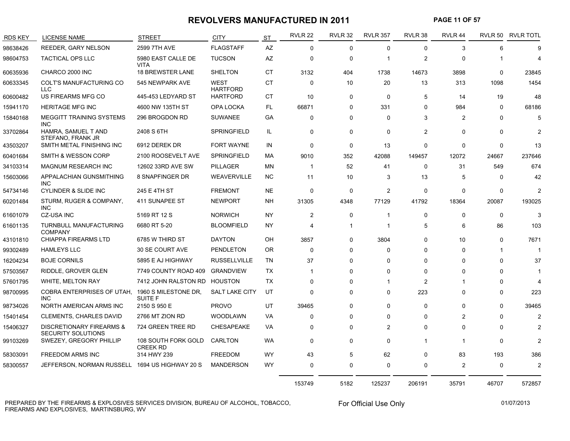#### **REVOLVERS MANUFACTURED IN 2011**

**PAGE 11 OF 57**

| <b>RDS KEY</b> | <b>LICENSE NAME</b>                                              | <b>STREET</b>                          | <b>CITY</b>                    | ST        | <b>RVLR 22</b> | <b>RVLR 32</b> | <b>RVLR 357</b> | RVLR 38        | RVLR 44        |             | RVLR 50 RVLR TOTL |
|----------------|------------------------------------------------------------------|----------------------------------------|--------------------------------|-----------|----------------|----------------|-----------------|----------------|----------------|-------------|-------------------|
| 98638426       | REEDER, GARY NELSON                                              | 2599 7TH AVE                           | <b>FLAGSTAFF</b>               | AZ        | $\Omega$       | $\mathbf 0$    | $\mathbf 0$     | $\mathbf 0$    | 3              | 6           | 9                 |
| 98604753       | <b>TACTICAL OPS LLC</b>                                          | 5980 EAST CALLE DE<br><b>VITA</b>      | <b>TUCSON</b>                  | AZ        | $\Omega$       | 0              | -1              | $\overline{c}$ | $\Omega$       | 1           | 4                 |
| 60635936       | CHARCO 2000 INC                                                  | <b>18 BREWSTER LANE</b>                | <b>SHELTON</b>                 | <b>CT</b> | 3132           | 404            | 1738            | 14673          | 3898           | 0           | 23845             |
| 60633345       | COLT'S MANUFACTURING CO<br><b>LLC</b>                            | 545 NEWPARK AVE                        | <b>WEST</b><br><b>HARTFORD</b> | <b>CT</b> | $\mathbf 0$    | 10             | 20              | 13             | 313            | 1098        | 1454              |
| 60600482       | US FIREARMS MFG CO                                               | 445-453 LEDYARD ST                     | <b>HARTFORD</b>                | <b>CT</b> | 10             | 0              | 0               | 5              | 14             | 19          | 48                |
| 15941170       | <b>HERITAGE MFG INC</b>                                          | 4600 NW 135TH ST                       | OPA LOCKA                      | FL        | 66871          | 0              | 331             | $\Omega$       | 984            | $\mathbf 0$ | 68186             |
| 15840168       | <b>MEGGITT TRAINING SYSTEMS</b><br><b>INC</b>                    | 296 BROGDON RD                         | <b>SUWANEE</b>                 | GA        | $\mathbf 0$    | 0              | $\mathbf 0$     | 3              | 2              | $\mathbf 0$ | 5                 |
| 33702864       | HAMRA, SAMUEL T AND<br>STEFANO, FRANK JR                         | 2408 S 6TH                             | <b>SPRINGFIELD</b>             | IL.       | 0              | $\mathbf 0$    | $\mathbf 0$     | $\overline{c}$ | 0              | 0           | $\overline{c}$    |
| 43503207       | SMITH METAL FINISHING INC                                        | 6912 DEREK DR                          | <b>FORT WAYNE</b>              | IN        | $\Omega$       | $\mathbf 0$    | 13              | $\mathbf{0}$   | $\Omega$       | 0           | 13                |
| 60401684       | SMITH & WESSON CORP                                              | 2100 ROOSEVELT AVE                     | SPRINGFIELD                    | МA        | 9010           | 352            | 42088           | 149457         | 12072          | 24667       | 237646            |
| 34103314       | <b>MAGNUM RESEARCH INC</b>                                       | 12602 33RD AVE SW                      | <b>PILLAGER</b>                | MN        | -1             | 52             | 41              | $\mathbf 0$    | 31             | 549         | 674               |
| 15603066       | APPALACHIAN GUNSMITHING<br>INC.                                  | 8 SNAPFINGER DR                        | WEAVERVILLE                    | <b>NC</b> | 11             | 10             | 3               | 13             | 5              | $\mathbf 0$ | 42                |
| 54734146       | <b>CYLINDER &amp; SLIDE INC</b>                                  | 245 E 4TH ST                           | <b>FREMONT</b>                 | <b>NE</b> | $\Omega$       | $\mathbf 0$    | 2               | 0              | 0              | 0           | $\mathfrak{p}$    |
| 60201484       | STURM, RUGER & COMPANY,<br><b>INC</b>                            | 411 SUNAPEE ST                         | <b>NEWPORT</b>                 | NΗ        | 31305          | 4348           | 77129           | 41792          | 18364          | 20087       | 193025            |
| 61601079       | <b>CZ-USA INC</b>                                                | 5169 RT 12 S                           | <b>NORWICH</b>                 | <b>NY</b> | $\overline{2}$ | $\mathbf 0$    | -1              | 0              | $\Omega$       | 0           | 3                 |
| 61601135       | TURNBULL MANUFACTURING<br><b>COMPANY</b>                         | 6680 RT 5-20                           | <b>BLOOMFIELD</b>              | NY        | 4              | 1              | -1              | 5              | 6              | 86          | 103               |
| 43101810       | <b>CHIAPPA FIREARMS LTD</b>                                      | 6785 W THIRD ST                        | <b>DAYTON</b>                  | <b>OH</b> | 3857           | 0              | 3804            | $\mathbf 0$    | 10             | $\mathbf 0$ | 7671              |
| 99302489       | <b>HAMLEYS LLC</b>                                               | 30 SE COURT AVE                        | PENDLETON                      | 0R        | 0              | 0              | $\mathbf 0$     | $\mathbf{0}$   | $\mathbf 0$    | 1           | $\overline{1}$    |
| 16204234       | <b>BOJE CORNILS</b>                                              | 5895 E AJ HIGHWAY                      | <b>RUSSELLVILLE</b>            | TN        | 37             | 0              | 0               | $\mathbf 0$    | 0              | 0           | 37                |
| 57503567       | RIDDLE, GROVER GLEN                                              | 7749 COUNTY ROAD 409                   | <b>GRANDVIEW</b>               | TX        |                | $\mathbf 0$    | 0               | $\Omega$       | $\Omega$       | 0           | -1                |
| 57601795       | WHITE, MELTON RAY                                                | 7412 JOHN RALSTON RD                   | HOUSTON                        | TX        | $\Omega$       | $\mathbf 0$    |                 | $\overline{c}$ |                | $\mathbf 0$ |                   |
| 98700995       | COBRA ENTERPRISES OF UTAH.<br><b>INC</b>                         | 1960 S MILESTONE DR.<br><b>SUITE F</b> | SALT LAKE CITY                 | UT        | $\Omega$       | $\mathbf 0$    | $\Omega$        | 223            | $\Omega$       | $\Omega$    | 223               |
| 98734026       | NORTH AMERICAN ARMS INC                                          | 2150 S 950 E                           | <b>PROVO</b>                   | UT        | 39465          | $\mathbf 0$    | $\Omega$        | $\mathbf{0}$   | $\Omega$       | $\mathbf 0$ | 39465             |
| 15401454       | <b>CLEMENTS, CHARLES DAVID</b>                                   | 2766 MT ZION RD                        | <b>WOODLAWN</b>                | VA        | $\mathbf 0$    | 0              | 0               | 0              | 2              | 0           | $\overline{2}$    |
| 15406327       | <b>DISCRETIONARY FIREARMS &amp;</b><br><b>SECURITY SOLUTIONS</b> | 724 GREEN TREE RD                      | CHESAPEAKE                     | VA        | $\mathbf 0$    | $\mathbf 0$    | $\overline{2}$  | $\mathbf{0}$   | 0              | 0           | 2                 |
| 99103269       | SWEZEY, GREGORY PHILLIP                                          | 108 SOUTH FORK GOLD<br><b>CREEK RD</b> | CARLTON                        | WA        | $\Omega$       | $\mathbf 0$    | $\mathbf 0$     | $\mathbf 1$    | 1              | 0           | 2                 |
| 58303091       | <b>FREEDOM ARMS INC</b>                                          | 314 HWY 239                            | <b>FREEDOM</b>                 | WY        | 43             | 5              | 62              | 0              | 83             | 193         | 386               |
| 58300557       | JEFFERSON, NORMAN RUSSELL 1694 US HIGHWAY 20 S                   |                                        | <b>MANDERSON</b>               | WY.       | 0              | 0              | $\mathbf 0$     | 0              | $\overline{2}$ | $\mathbf 0$ | 2                 |
|                |                                                                  |                                        |                                |           | 153749         | 5182           | 125237          | 206191         | 35791          | 46707       | 572857            |

PREPARED BY THE FIREARMS & EXPLOSIVES SERVICES DIVISION, BUREAU OF ALCOHOL, TOBACCO, FIREARMS AND EXPLOSIVES, MARTINSBURG, WV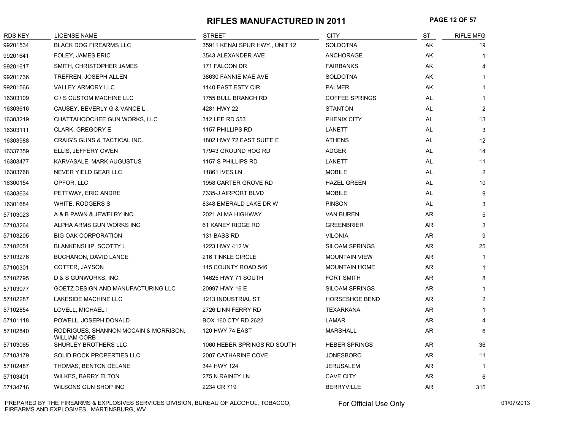#### **RIFLES MANUFACTURED IN 2011 PAGE 12 OF 57**

| <b>RDS KEY</b> | <b>LICENSE NAME</b>                                          | <b>STREET</b>                  | <b>CITY</b>           | S <sub>T</sub> | <b>RIFLE MFG</b> |
|----------------|--------------------------------------------------------------|--------------------------------|-----------------------|----------------|------------------|
| 99201534       | <b>BLACK DOG FIREARMS LLC</b>                                | 35911 KENAI SPUR HWY., UNIT 12 | <b>SOLDOTNA</b>       | AK             | 19               |
| 99201641       | <b>FOLEY, JAMES ERIC</b>                                     | 3543 ALEXANDER AVE             | <b>ANCHORAGE</b>      | AK             |                  |
| 99201617       | SMITH, CHRISTOPHER JAMES                                     | 171 FALCON DR                  | <b>FAIRBANKS</b>      | AK             |                  |
| 99201736       | TREFREN, JOSEPH ALLEN                                        | 38630 FANNIE MAE AVE           | <b>SOLDOTNA</b>       | AK             |                  |
| 99201566       | <b>VALLEY ARMORY LLC</b>                                     | 1140 EAST ESTY CIR             | <b>PALMER</b>         | AK             |                  |
| 16303109       | C / S CUSTOM MACHINE LLC                                     | 1755 BULL BRANCH RD            | <b>COFFEE SPRINGS</b> | AL             |                  |
| 16303616       | CAUSEY, BEVERLY G & VANCE L                                  | 4281 HWY 22                    | <b>STANTON</b>        | AL             | $\overline{2}$   |
| 16303219       | CHATTAHOOCHEE GUN WORKS, LLC                                 | 312 LEE RD 553                 | PHENIX CITY           | AL             | 13               |
| 16303111       | <b>CLARK, GREGORY E</b>                                      | 1157 PHILLIPS RD               | LANETT                | AL             | 3                |
| 16303988       | CRAIG'S GUNS & TACTICAL INC.                                 | 1802 HWY 72 EAST SUITE E       | <b>ATHENS</b>         | AL             | 12               |
| 16337359       | ELLIS, JEFFERY OWEN                                          | 17943 GROUND HOG RD            | ADGER                 | AL             | 14               |
| 16303477       | KARVASALE, MARK AUGUSTUS                                     | 1157 S PHILLIPS RD             | LANETT                | AL             | 11               |
| 16303768       | NEVER YIELD GEAR LLC                                         | 11861 IVES LN                  | <b>MOBILE</b>         | AL             | $\overline{2}$   |
| 16300154       | OPFOR, LLC                                                   | 1958 CARTER GROVE RD           | <b>HAZEL GREEN</b>    | AL             | 10               |
| 16303634       | PETTWAY, ERIC ANDRE                                          | 7335-J AIRPORT BLVD            | <b>MOBILE</b>         | AL             | 9                |
| 16301684       | WHITE, RODGERS S                                             | 8348 EMERALD LAKE DR W         | <b>PINSON</b>         | AL             | 3                |
| 57103023       | A & B PAWN & JEWELRY INC                                     | 2021 ALMA HIGHWAY              | <b>VAN BUREN</b>      | AR             | 5                |
| 57103264       | ALPHA ARMS GUN WORKS INC                                     | 61 KANEY RIDGE RD              | <b>GREENBRIER</b>     | AR             |                  |
| 57103205       | <b>BIG OAK CORPORATION</b>                                   | 131 BASS RD                    | <b>VILONIA</b>        | AR             | 9                |
| 57102051       | <b>BLANKENSHIP, SCOTTY L</b>                                 | 1223 HWY 412 W                 | <b>SILOAM SPRINGS</b> | AR             | 25               |
| 57103276       | <b>BUCHANON, DAVID LANCE</b>                                 | 216 TINKLE CIRCLE              | <b>MOUNTAIN VIEW</b>  | AR             |                  |
| 57100301       | COTTER, JAYSON                                               | 115 COUNTY ROAD 546            | <b>MOUNTAIN HOME</b>  | AR             |                  |
| 57102795       | D & S GUNWORKS, INC.                                         | 14625 HWY 71 SOUTH             | <b>FORT SMITH</b>     | AR             |                  |
| 57103077       | GOETZ DESIGN AND MANUFACTURING LLC                           | 20997 HWY 16 E                 | <b>SILOAM SPRINGS</b> | AR             |                  |
| 57102287       | LAKESIDE MACHINE LLC                                         | 1213 INDUSTRIAL ST             | <b>HORSESHOE BEND</b> | AR             |                  |
| 57102854       | LOVELL, MICHAEL I                                            | 2726 LINN FERRY RD             | <b>TEXARKANA</b>      | AR             |                  |
| 57101118       | POWELL, JOSEPH DONALD                                        | BOX 160 CTY RD 2622            | LAMAR                 | AR             |                  |
| 57102840       | RODRIGUES, SHANNON MCCAIN & MORRISON,<br><b>WILLIAM CORB</b> | <b>120 HWY 74 EAST</b>         | <b>MARSHALL</b>       | AR             | 6                |
| 57103065       | <b>SHURLEY BROTHERS LLC</b>                                  | 1060 HEBER SPRINGS RD SOUTH    | <b>HEBER SPRINGS</b>  | AR             | 36               |
| 57103179       | SOLID ROCK PROPERTIES LLC                                    | 2007 CATHARINE COVE            | <b>JONESBORO</b>      | AR             | 11               |
| 57102487       | THOMAS, BENTON DELANE                                        | 344 HWY 124                    | <b>JERUSALEM</b>      | AR             | 1                |
| 57103401       | <b>WILKES, BARRY ELTON</b>                                   | 275 N RAINEY LN                | <b>CAVE CITY</b>      | AR             | 6                |
| 57134716       | WILSONS GUN SHOP INC                                         | 2234 CR 719                    | <b>BERRYVILLE</b>     | <b>AR</b>      | 315              |

PREPARED BY THE FIREARMS & EXPLOSIVES SERVICES DIVISION, BUREAU OF ALCOHOL, TOBACCO, FIREARMS AND EXPLOSIVES, MARTINSBURG, WV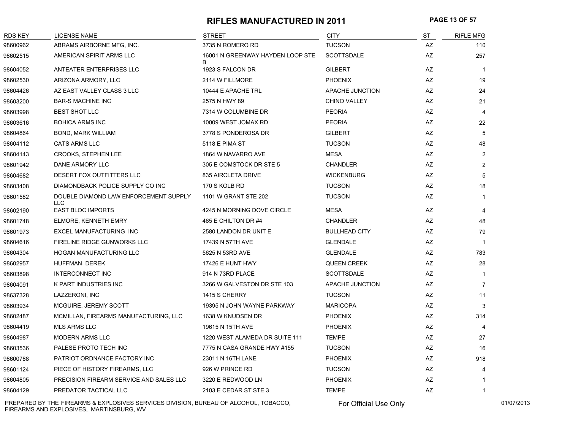#### **RIFLES MANUFACTURED IN 2011 PAGE 13 OF 57**

| <b>RDS KEY</b> | <b>LICENSE NAME</b>                                 | <b>STREET</b>                         | <b>CITY</b>          | <b>ST</b>              | <b>RIFLE MFG</b> |
|----------------|-----------------------------------------------------|---------------------------------------|----------------------|------------------------|------------------|
| 98600962       | ABRAMS AIRBORNE MFG, INC.                           | 3735 N ROMERO RD                      | <b>TUCSON</b>        | AZ                     | 110              |
| 98602515       | AMERICAN SPIRIT ARMS LLC                            | 16001 N GREENWAY HAYDEN LOOP STE<br>B | <b>SCOTTSDALE</b>    | AZ                     | 257              |
| 98604052       | ANTEATER ENTERPRISES LLC                            | 1923 S FALCON DR                      | <b>GILBERT</b>       | AZ                     | $\overline{1}$   |
| 98602530       | ARIZONA ARMORY, LLC                                 | 2114 W FILLMORE                       | <b>PHOENIX</b>       | AZ                     | 19               |
| 98604426       | AZ EAST VALLEY CLASS 3 LLC                          | 10444 E APACHE TRL                    | APACHE JUNCTION      | AZ                     | 24               |
| 98603200       | <b>BAR-S MACHINE INC</b>                            | 2575 N HWY 89                         | CHINO VALLEY         | AZ                     | 21               |
| 98603998       | <b>BEST SHOT LLC</b>                                | 7314 W COLUMBINE DR                   | <b>PEORIA</b>        | $\mathsf{A}\mathsf{Z}$ | 4                |
| 98603616       | <b>BOHICA ARMS INC</b>                              | 10009 WEST JOMAX RD                   | <b>PEORIA</b>        | AZ                     | 22               |
| 98604864       | <b>BOND, MARK WILLIAM</b>                           | 3778 S PONDEROSA DR                   | <b>GILBERT</b>       | AZ                     | 5                |
| 98604112       | <b>CATS ARMS LLC</b>                                | 5118 E PIMA ST                        | <b>TUCSON</b>        | AZ                     | 48               |
| 98604143       | <b>CROOKS, STEPHEN LEE</b>                          | 1864 W NAVARRO AVE                    | <b>MESA</b>          | <b>AZ</b>              | $\overline{2}$   |
| 98601942       | DANE ARMORY LLC                                     | 305 E COMSTOCK DR STE 5               | <b>CHANDLER</b>      | AZ                     | 2                |
| 98604682       | DESERT FOX OUTFITTERS LLC                           | 835 AIRCLETA DRIVE                    | <b>WICKENBURG</b>    | AZ                     | 5                |
| 98603408       | DIAMONDBACK POLICE SUPPLY CO INC                    | 170 S KOLB RD                         | <b>TUCSON</b>        | AZ                     | 18               |
| 98601582       | DOUBLE DIAMOND LAW ENFORCEMENT SUPPLY<br><b>LLC</b> | 1101 W GRANT STE 202                  | <b>TUCSON</b>        | AZ                     | $\mathbf{1}$     |
| 98602190       | <b>EAST BLOC IMPORTS</b>                            | 4245 N MORNING DOVE CIRCLE            | <b>MESA</b>          | AZ                     | $\overline{4}$   |
| 98601748       | ELMORE, KENNETH EMRY                                | 465 E CHILTON DR #4                   | <b>CHANDLER</b>      | AZ                     | 48               |
| 98601973       | EXCEL MANUFACTURING INC                             | 2580 LANDON DR UNIT E                 | <b>BULLHEAD CITY</b> | AZ                     | 79               |
| 98604616       | FIRELINE RIDGE GUNWORKS LLC                         | 17439 N 57TH AVE                      | <b>GLENDALE</b>      | AZ                     |                  |
| 98604304       | <b>HOGAN MANUFACTURING LLC</b>                      | 5625 N 53RD AVE                       | <b>GLENDALE</b>      | AZ                     | 783              |
| 98602957       | HUFFMAN, DEREK                                      | 17426 E HUNT HWY                      | <b>QUEEN CREEK</b>   | AZ                     | 28               |
| 98603898       | <b>INTERCONNECT INC</b>                             | 914 N 73RD PLACE                      | <b>SCOTTSDALE</b>    | AZ                     | $\mathbf 1$      |
| 98604091       | K PART INDUSTRIES INC                               | 3266 W GALVESTON DR STE 103           | APACHE JUNCTION      | AZ                     | $\overline{7}$   |
| 98637328       | LAZZERONI, INC                                      | 1415 S CHERRY                         | <b>TUCSON</b>        | AZ                     | 11               |
| 98603934       | MCGUIRE, JEREMY SCOTT                               | 19395 N JOHN WAYNE PARKWAY            | <b>MARICOPA</b>      | AZ                     | 3                |
| 98602487       | MCMILLAN, FIREARMS MANUFACTURING, LLC               | 1638 W KNUDSEN DR                     | <b>PHOENIX</b>       | AZ                     | 314              |
| 98604419       | <b>MLS ARMS LLC</b>                                 | 19615 N 15TH AVE                      | <b>PHOENIX</b>       | AZ                     |                  |
| 98604987       | <b>MODERN ARMS LLC</b>                              | 1220 WEST ALAMEDA DR SUITE 111        | <b>TEMPE</b>         | AZ                     | 27               |
| 98603536       | PALESE PROTO TECH INC                               | 7775 N CASA GRANDE HWY #155           | <b>TUCSON</b>        | AZ                     | 16               |
| 98600788       | PATRIOT ORDNANCE FACTORY INC                        | 23011 N 16TH LANE                     | <b>PHOENIX</b>       | AZ                     | 918              |
| 98601124       | PIECE OF HISTORY FIREARMS, LLC                      | 926 W PRINCE RD                       | <b>TUCSON</b>        | AZ                     | 4                |
| 98604805       | PRECISION FIREARM SERVICE AND SALES LLC             | 3220 E REDWOOD LN                     | <b>PHOENIX</b>       | AZ                     | $\mathbf{1}$     |
| 98604129       | PREDATOR TACTICAL LLC                               | 2103 E CEDAR ST STE 3                 | <b>TEMPE</b>         | AZ                     | $\mathbf{1}$     |

PREPARED BY THE FIREARMS & EXPLOSIVES SERVICES DIVISION, BUREAU OF ALCOHOL, TOBACCO, FIREARMS AND EXPLOSIVES, MARTINSBURG, WV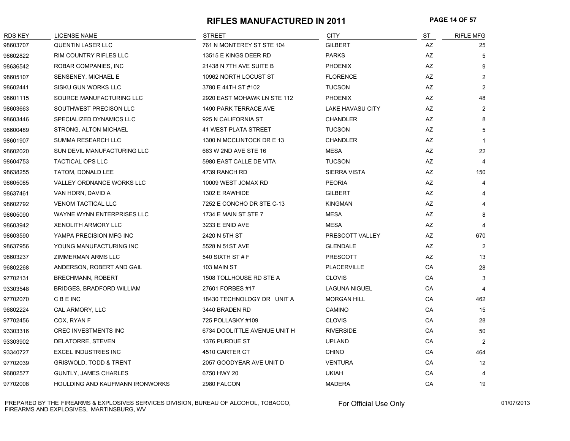#### **RIFLES MANUFACTURED IN 2011 PAGE 14 OF 57**

| RDS KEY  | <b>LICENSE NAME</b>               | <b>STREET</b>                | <b>CITY</b>             | S <sub>T</sub> | <b>RIFLE MFG</b> |
|----------|-----------------------------------|------------------------------|-------------------------|----------------|------------------|
| 98603707 | <b>QUENTIN LASER LLC</b>          | 761 N MONTEREY ST STE 104    | <b>GILBERT</b>          | AZ             | 25               |
| 98602822 | RIM COUNTRY RIFLES LLC            | 13515 E KINGS DEER RD        | <b>PARKS</b>            | AZ             | 5                |
| 98636542 | ROBAR COMPANIES, INC              | 21438 N 7TH AVE SUITE B      | <b>PHOENIX</b>          | AZ             | 9                |
| 98605107 | SENSENEY, MICHAEL E               | 10962 NORTH LOCUST ST        | <b>FLORENCE</b>         | AZ             | $\overline{2}$   |
| 98602441 | SISKU GUN WORKS LLC               | 3780 E 44TH ST #102          | <b>TUCSON</b>           | AZ             | 2                |
| 98601115 | SOURCE MANUFACTURING LLC          | 2920 EAST MOHAWK LN STE 112  | <b>PHOENIX</b>          | AZ             | 48               |
| 98603663 | SOUTHWEST PRECISON LLC            | 1490 PARK TERRACE AVE        | <b>LAKE HAVASU CITY</b> | AZ             | $\overline{2}$   |
| 98603446 | SPECIALIZED DYNAMICS LLC          | 925 N CALIFORNIA ST          | <b>CHANDLER</b>         | AZ             | 8                |
| 98600489 | <b>STRONG, ALTON MICHAEL</b>      | 41 WEST PLATA STREET         | <b>TUCSON</b>           | AZ             | 5                |
| 98601907 | SUMMA RESEARCH LLC                | 1300 N MCCLINTOCK DR E 13    | <b>CHANDLER</b>         | AZ             | $\mathbf{1}$     |
| 98602020 | SUN DEVIL MANUFACTURING LLC       | 663 W 2ND AVE STE 16         | <b>MESA</b>             | AZ             | 22               |
| 98604753 | <b>TACTICAL OPS LLC</b>           | 5980 EAST CALLE DE VITA      | <b>TUCSON</b>           | AZ             | $\overline{4}$   |
| 98638255 | TATOM, DONALD LEE                 | 4739 RANCH RD                | <b>SIERRA VISTA</b>     | AZ             | 150              |
| 98605085 | VALLEY ORDNANCE WORKS LLC         | 10009 WEST JOMAX RD          | <b>PEORIA</b>           | AZ             | 4                |
| 98637461 | VAN HORN, DAVID A                 | 1302 E RAWHIDE               | <b>GILBERT</b>          | AZ             |                  |
| 98602792 | <b>VENOM TACTICAL LLC</b>         | 7252 E CONCHO DR STE C-13    | <b>KINGMAN</b>          | AZ             |                  |
| 98605090 | WAYNE WYNN ENTERPRISES LLC        | 1734 E MAIN ST STE 7         | <b>MESA</b>             | AZ             | 8                |
| 98603942 | <b>XENOLITH ARMORY LLC</b>        | 3233 E ENID AVE              | <b>MESA</b>             | AZ             | $\overline{4}$   |
| 98603590 | YAMPA PRECISION MFG INC           | 2420 N 5TH ST                | PRESCOTT VALLEY         | AZ             | 670              |
| 98637956 | YOUNG MANUFACTURING INC           | 5528 N 51ST AVE              | <b>GLENDALE</b>         | AZ             | $\overline{2}$   |
| 98603237 | ZIMMERMAN ARMS LLC                | 540 SIXTH ST # F             | <b>PRESCOTT</b>         | AZ             | 13               |
| 96802268 | ANDERSON, ROBERT AND GAIL         | 103 MAIN ST                  | <b>PLACERVILLE</b>      | CA             | 28               |
| 97702131 | <b>BRECHMANN, ROBERT</b>          | 1508 TOLLHOUSE RD STE A      | <b>CLOVIS</b>           | CA             | 3                |
| 93303548 | <b>BRIDGES, BRADFORD WILLIAM</b>  | 27601 FORBES #17             | <b>LAGUNA NIGUEL</b>    | CA             | $\overline{4}$   |
| 97702070 | <b>CBEINC</b>                     | 18430 TECHNOLOGY DR UNIT A   | <b>MORGAN HILL</b>      | CA             | 462              |
| 96802224 | CAL ARMORY, LLC                   | 3440 BRADEN RD               | CAMINO                  | CA             | 15               |
| 97702456 | COX, RYAN F                       | 725 POLLASKY #109            | <b>CLOVIS</b>           | CA             | 28               |
| 93303316 | <b>CREC INVESTMENTS INC</b>       | 6734 DOOLITTLE AVENUE UNIT H | <b>RIVERSIDE</b>        | CA             | 50               |
| 93303902 | DELATORRE, STEVEN                 | 1376 PURDUE ST               | <b>UPLAND</b>           | <b>CA</b>      | 2                |
| 93340727 | <b>EXCEL INDUSTRIES INC</b>       | 4510 CARTER CT               | <b>CHINO</b>            | CA             | 464              |
| 97702039 | <b>GRISWOLD, TODD &amp; TRENT</b> | 2057 GOODYEAR AVE UNIT D     | <b>VENTURA</b>          | CA             | 12               |
| 96802577 | <b>GUNTLY, JAMES CHARLES</b>      | 6750 HWY 20                  | <b>UKIAH</b>            | CA             | 4                |
| 97702008 | HOULDING AND KAUFMANN IRONWORKS   | 2980 FALCON                  | <b>MADERA</b>           | CA             | 19               |

PREPARED BY THE FIREARMS & EXPLOSIVES SERVICES DIVISION, BUREAU OF ALCOHOL, TOBACCO, FIREARMS AND EXPLOSIVES, MARTINSBURG, WV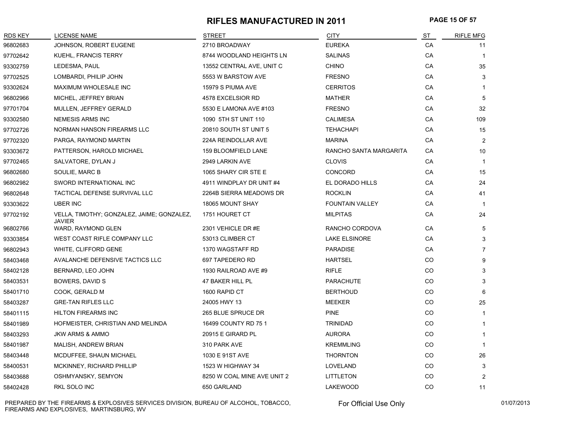#### **RIFLES MANUFACTURED IN 2011 PAGE 15 OF 57**

| <b>RDS KEY</b> | <b>LICENSE NAME</b>                                         | <b>STREET</b>               | <b>CITY</b>            | <b>ST</b> | <b>RIFLE MFG</b> |
|----------------|-------------------------------------------------------------|-----------------------------|------------------------|-----------|------------------|
| 96802683       | JOHNSON, ROBERT EUGENE                                      | 2710 BROADWAY               | <b>EUREKA</b>          | CA        | 11               |
| 97702642       | KUEHL, FRANCIS TERRY                                        | 8744 WOODLAND HEIGHTS LN    | <b>SALINAS</b>         | CA        | $\mathbf{1}$     |
| 93302759       | LEDESMA, PAUL                                               | 13552 CENTRAL AVE, UNIT C   | <b>CHINO</b>           | CA        | 35               |
| 97702525       | LOMBARDI, PHILIP JOHN                                       | 5553 W BARSTOW AVE          | <b>FRESNO</b>          | CA        | 3                |
| 93302624       | MAXIMUM WHOLESALE INC                                       | 15979 S PIUMA AVE           | <b>CERRITOS</b>        | CA        |                  |
| 96802966       | MICHEL, JEFFREY BRIAN                                       | 4578 EXCELSIOR RD           | <b>MATHER</b>          | CA        | 5                |
| 97701704       | MULLEN, JEFFREY GERALD                                      | 5530 E LAMONA AVE #103      | <b>FRESNO</b>          | CA        | 32               |
| 93302580       | <b>NEMESIS ARMS INC</b>                                     | 1090 5TH ST UNIT 110        | <b>CALIMESA</b>        | СA        | 109              |
| 97702726       | NORMAN HANSON FIREARMS LLC                                  | 20810 SOUTH ST UNIT 5       | <b>TEHACHAPI</b>       | СA        | 15               |
| 97702320       | PARGA, RAYMOND MARTIN                                       | 224A REINDOLLAR AVE         | <b>MARINA</b>          | CA        | $\overline{2}$   |
| 93303672       | PATTERSON, HAROLD MICHAEL                                   | 159 BLOOMFIELD LANE         | RANCHO SANTA MARGARITA | СA        | 10               |
| 97702465       | SALVATORE, DYLAN J                                          | 2949 LARKIN AVE             | <b>CLOVIS</b>          | CA        | $\mathbf{1}$     |
| 96802680       | SOULIE, MARC B                                              | 1065 SHARY CIR STE E        | CONCORD                | СA        | 15               |
| 96802982       | SWORD INTERNATIONAL INC                                     | 4911 WINDPLAY DR UNIT #4    | EL DORADO HILLS        | СA        | 24               |
| 96802648       | TACTICAL DEFENSE SURVIVAL LLC                               | 2264B SIERRA MEADOWS DR     | <b>ROCKLIN</b>         | CA        | 41               |
| 93303622       | UBER INC                                                    | 18065 MOUNT SHAY            | <b>FOUNTAIN VALLEY</b> | CA        | $\mathbf{1}$     |
| 97702192       | VELLA, TIMOTHY; GONZALEZ, JAIME; GONZALEZ,<br><b>JAVIER</b> | 1751 HOURET CT              | <b>MILPITAS</b>        | CA        | 24               |
| 96802766       | WARD, RAYMOND GLEN                                          | 2301 VEHICLE DR#E           | RANCHO CORDOVA         | CA        | 5                |
| 93303854       | WEST COAST RIFLE COMPANY LLC                                | 53013 CLIMBER CT            | <b>LAKE ELSINORE</b>   | СA        | 3                |
| 96802943       | WHITE, CLIFFORD GENE                                        | 1370 WAGSTAFF RD            | <b>PARADISE</b>        | CA        | $\overline{7}$   |
| 58403468       | AVALANCHE DEFENSIVE TACTICS LLC                             | 697 TAPEDERO RD             | <b>HARTSEL</b>         | CO.       |                  |
| 58402128       | BERNARD, LEO JOHN                                           | 1930 RAILROAD AVE #9        | <b>RIFLE</b>           | CO.       | 3                |
| 58403531       | BOWERS, DAVID S                                             | 47 BAKER HILL PL            | <b>PARACHUTE</b>       | CO.       | 3                |
| 58401710       | COOK, GERALD M                                              | 1600 RAPID CT               | <b>BERTHOUD</b>        | CO.       | 6                |
| 58403287       | <b>GRE-TAN RIFLES LLC</b>                                   | 24005 HWY 13                | <b>MEEKER</b>          | CO.       | 25               |
| 58401115       | <b>HILTON FIREARMS INC</b>                                  | 265 BLUE SPRUCE DR          | <b>PINE</b>            | CO.       | $\mathbf{1}$     |
| 58401989       | HOFMEISTER, CHRISTIAN AND MELINDA                           | 16499 COUNTY RD 75 1        | <b>TRINIDAD</b>        | CO.       |                  |
| 58403293       | <b>JKW ARMS &amp; AMMO</b>                                  | 20915 E GIRARD PL           | <b>AURORA</b>          | CO.       | 1                |
| 58401987       | <b>MALISH, ANDREW BRIAN</b>                                 | 310 PARK AVE                | <b>KREMMLING</b>       | CO.       | 1                |
| 58403448       | MCDUFFEE, SHAUN MICHAEL                                     | 1030 E 91ST AVE             | <b>THORNTON</b>        | CO.       | 26               |
| 58400531       | MCKINNEY, RICHARD PHILLIP                                   | 1523 W HIGHWAY 34           | LOVELAND               | CO.       | 3                |
| 58403688       | OSHMYANSKY, SEMYON                                          | 8250 W COAL MINE AVE UNIT 2 | <b>LITTLETON</b>       | CO.       | $\overline{2}$   |
| 58402428       | RKL SOLO INC                                                | 650 GARLAND                 | <b>LAKEWOOD</b>        | CO        | 11               |

PREPARED BY THE FIREARMS & EXPLOSIVES SERVICES DIVISION, BUREAU OF ALCOHOL, TOBACCO, FIREARMS AND EXPLOSIVES, MARTINSBURG, WV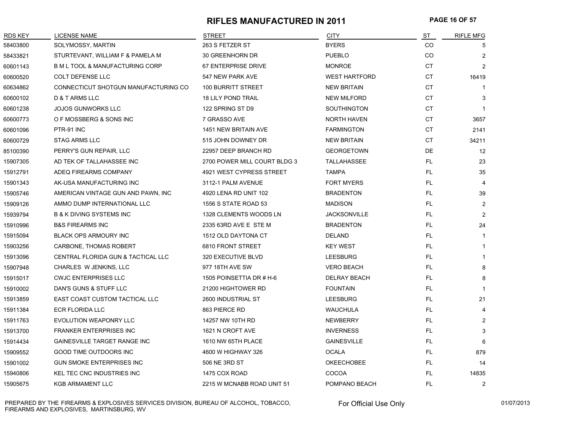#### **RIFLES MANUFACTURED IN 2011 PAGE 16 OF 57**

| <b>RDS KEY</b> | <b>LICENSE NAME</b>                        | <b>STREET</b>                | <b>CITY</b>          | <b>ST</b> | <b>RIFLE MFG</b> |
|----------------|--------------------------------------------|------------------------------|----------------------|-----------|------------------|
| 58403800       | SOLYMOSSY, MARTIN                          | 263 S FETZER ST              | <b>BYERS</b>         | CO.       | 5                |
| 58433821       | STURTEVANT, WILLIAM F & PAMELA M           | 30 GREENHORN DR              | <b>PUEBLO</b>        | CO        | 2                |
| 60601143       | <b>B M L TOOL &amp; MANUFACTURING CORP</b> | 67 ENTERPRISE DRIVE          | <b>MONROE</b>        | <b>CT</b> | 2                |
| 60600520       | <b>COLT DEFENSE LLC</b>                    | 547 NEW PARK AVE             | <b>WEST HARTFORD</b> | CT        | 16419            |
| 60634862       | CONNECTICUT SHOTGUN MANUFACTURING CO       | <b>100 BURRITT STREET</b>    | <b>NEW BRITAIN</b>   | <b>CT</b> | -1               |
| 60600102       | D & T ARMS LLC                             | <b>18 LILY POND TRAIL</b>    | <b>NEW MILFORD</b>   | <b>CT</b> | 3                |
| 60601238       | <b>JOJOS GUNWORKS LLC</b>                  | 122 SPRING ST D9             | SOUTHINGTON          | <b>CT</b> | $\mathbf 1$      |
| 60600773       | O F MOSSBERG & SONS INC                    | 7 GRASSO AVE                 | <b>NORTH HAVEN</b>   | <b>CT</b> | 3657             |
| 60601096       | PTR-91 INC                                 | 1451 NEW BRITAIN AVE         | <b>FARMINGTON</b>    | <b>CT</b> | 2141             |
| 60600729       | <b>STAG ARMS LLC</b>                       | 515 JOHN DOWNEY DR           | <b>NEW BRITAIN</b>   | CT        | 34211            |
| 85100390       | PERRY'S GUN REPAIR, LLC                    | 22957 DEEP BRANCH RD         | <b>GEORGETOWN</b>    | DE        | 12               |
| 15907305       | AD TEK OF TALLAHASSEE INC                  | 2700 POWER MILL COURT BLDG 3 | TALLAHASSEE          | FL.       | 23               |
| 15912791       | ADEQ FIREARMS COMPANY                      | 4921 WEST CYPRESS STREET     | <b>TAMPA</b>         | FL        | 35               |
| 15901343       | AK-USA MANUFACTURING INC                   | 3112-1 PALM AVENUE           | <b>FORT MYERS</b>    | FL.       | $\overline{4}$   |
| 15905746       | AMERICAN VINTAGE GUN AND PAWN, INC         | 4920 LENA RD UNIT 102        | <b>BRADENTON</b>     | FL.       | 39               |
| 15909126       | AMMO DUMP INTERNATIONAL LLC                | 1556 S STATE ROAD 53         | <b>MADISON</b>       | FL        | $\overline{2}$   |
| 15939794       | <b>B &amp; K DIVING SYSTEMS INC</b>        | 1328 CLEMENTS WOODS LN       | <b>JACKSONVILLE</b>  | FL.       | 2                |
| 15910996       | <b>B&amp;S FIREARMS INC</b>                | 2335 63RD AVE E STE M        | <b>BRADENTON</b>     | FL.       | 24               |
| 15915094       | <b>BLACK OPS ARMOURY INC</b>               | 1512 OLD DAYTONA CT          | DELAND               | FL.       | $\mathbf{1}$     |
| 15903256       | CARBONE, THOMAS ROBERT                     | 6810 FRONT STREET            | <b>KEY WEST</b>      | FL.       | $\mathbf{1}$     |
| 15913096       | CENTRAL FLORIDA GUN & TACTICAL LLC         | 320 EXECUTIVE BLVD           | <b>LEESBURG</b>      | FL.       | $\mathbf 1$      |
| 15907948       | CHARLES W JENKINS, LLC                     | 977 18TH AVE SW              | <b>VERO BEACH</b>    | FL        | 8                |
| 15915017       | <b>CWJC ENTERPRISES LLC</b>                | 1505 POINSETTIA DR # H-6     | DELRAY BEACH         | FL.       | 8                |
| 15910002       | DAN'S GUNS & STUFF LLC                     | 21200 HIGHTOWER RD           | <b>FOUNTAIN</b>      | FL.       | $\mathbf{1}$     |
| 15913859       | EAST COAST CUSTOM TACTICAL LLC             | 2600 INDUSTRIAL ST           | <b>LEESBURG</b>      | FL        | 21               |
| 15911384       | <b>ECR FLORIDA LLC</b>                     | 863 PIERCE RD                | <b>WAUCHULA</b>      | FL.       | 4                |
| 15911763       | EVOLUTION WEAPONRY LLC                     | 14257 NW 10TH RD             | <b>NEWBERRY</b>      | FL        | $\overline{2}$   |
| 15913700       | <b>FRANKER ENTERPRISES INC</b>             | 1621 N CROFT AVE             | <b>INVERNESS</b>     | FL        | 3                |
| 15914434       | GAINESVILLE TARGET RANGE INC               | 1610 NW 65TH PLACE           | <b>GAINESVILLE</b>   | FL        | 6                |
| 15909552       | GOOD TIME OUTDOORS INC                     | 4600 W HIGHWAY 326           | <b>OCALA</b>         | FL.       | 879              |
| 15901002       | GUN SMOKE ENTERPRISES INC                  | 506 NE 3RD ST                | <b>OKEECHOBEE</b>    | FL        | 14               |
| 15940806       | <b>KEL TEC CNC INDUSTRIES INC</b>          | 1475 COX ROAD                | <b>COCOA</b>         | FL.       | 14835            |
| 15905675       | <b>KGB ARMAMENT LLC</b>                    | 2215 W MCNABB ROAD UNIT 51   | POMPANO BEACH        | <b>FL</b> | 2                |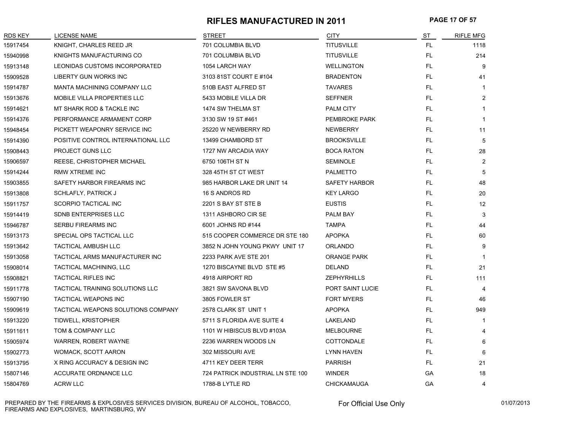#### **RIFLES MANUFACTURED IN 2011 PAGE 17 OF 57**

| <b>RDS KEY</b> | <b>LICENSE NAME</b>                | <b>STREET</b>                     | <b>CITY</b>        | <b>ST</b> | <b>RIFLE MFG</b> |
|----------------|------------------------------------|-----------------------------------|--------------------|-----------|------------------|
| 15917454       | KNIGHT, CHARLES REED JR            | 701 COLUMBIA BLVD                 | <b>TITUSVILLE</b>  | FL.       | 1118             |
| 15940998       | KNIGHTS MANUFACTURING CO           | 701 COLUMBIA BLVD                 | <b>TITUSVILLE</b>  | <b>FL</b> | 214              |
| 15913148       | LEONIDAS CUSTOMS INCORPORATED      | 1054 LARCH WAY                    | <b>WELLINGTON</b>  | FL.       | 9                |
| 15909528       | LIBERTY GUN WORKS INC              | 3103 81ST COURT E #104            | <b>BRADENTON</b>   | FL.       | 41               |
| 15914787       | MANTA MACHINING COMPANY LLC        | 510B EAST ALFRED ST               | <b>TAVARES</b>     | <b>FL</b> | $\mathbf 1$      |
| 15913676       | MOBILE VILLA PROPERTIES LLC        | 5433 MOBILE VILLA DR              | <b>SEFFNER</b>     | FL        | $\overline{2}$   |
| 15914621       | MT SHARK ROD & TACKLE INC          | 1474 SW THELMA ST                 | <b>PALM CITY</b>   | <b>FL</b> | $\mathbf{1}$     |
| 15914376       | PERFORMANCE ARMAMENT CORP          | 3130 SW 19 ST #461                | PEMBROKE PARK      | FL.       | $\mathbf{1}$     |
| 15948454       | PICKETT WEAPONRY SERVICE INC       | 25220 W NEWBERRY RD               | <b>NEWBERRY</b>    | <b>FL</b> | 11               |
| 15914390       | POSITIVE CONTROL INTERNATIONAL LLC | 13499 CHAMBORD ST                 | <b>BROOKSVILLE</b> | FL        | 5                |
| 15908443       | PROJECT GUNS LLC                   | 1727 NW ARCADIA WAY               | <b>BOCA RATON</b>  | FL        | 28               |
| 15906597       | REESE, CHRISTOPHER MICHAEL         | 6750 106TH ST N                   | <b>SEMINOLE</b>    | FL.       | $\overline{2}$   |
| 15914244       | <b>RMW XTREME INC</b>              | 328 45TH ST CT WEST               | <b>PALMETTO</b>    | FL.       | 5                |
| 15903855       | SAFETY HARBOR FIREARMS INC         | 985 HARBOR LAKE DR UNIT 14        | SAFETY HARBOR      | FL.       | 48               |
| 15913808       | <b>SCHLAFLY, PATRICK J</b>         | 16 S ANDROS RD                    | <b>KEY LARGO</b>   | <b>FL</b> | 20               |
| 15911757       | SCORPIO TACTICAL INC               | 2201 S BAY ST STE B               | <b>EUSTIS</b>      | <b>FL</b> | 12               |
| 15914419       | SDNB ENTERPRISES LLC               | 1311 ASHBORO CIR SE               | PALM BAY           | FL.       | 3                |
| 15946787       | <b>SERBU FIREARMS INC</b>          | 6001 JOHNS RD #144                | <b>TAMPA</b>       | FL        | 44               |
| 15913173       | SPECIAL OPS TACTICAL LLC           | 515 COOPER COMMERCE DR STE 180    | <b>APOPKA</b>      | FL.       | 60               |
| 15913642       | <b>TACTICAL AMBUSH LLC</b>         | 3852 N JOHN YOUNG PKWY UNIT 17    | <b>ORLANDO</b>     | <b>FL</b> | 9                |
| 15913058       | TACTICAL ARMS MANUFACTURER INC     | 2233 PARK AVE STE 201             | <b>ORANGE PARK</b> | FL.       | $\mathbf 1$      |
| 15908014       | TACTICAL MACHINING, LLC            | 1270 BISCAYNE BLVD STE #5         | DELAND             | <b>FL</b> | 21               |
| 15908821       | <b>TACTICAL RIFLES INC</b>         | 4918 AIRPORT RD                   | <b>ZEPHYRHILLS</b> | FL.       | 111              |
| 15911778       | TACTICAL TRAINING SOLUTIONS LLC    | 3821 SW SAVONA BLVD               | PORT SAINT LUCIE   | FL.       | $\overline{4}$   |
| 15907190       | <b>TACTICAL WEAPONS INC</b>        | 3805 FOWLER ST                    | <b>FORT MYERS</b>  | FL.       | 46               |
| 15909619       | TACTICAL WEAPONS SOLUTIONS COMPANY | 2578 CLARK ST UNIT 1              | <b>APOPKA</b>      | <b>FL</b> | 949              |
| 15913220       | TIDWELL, KRISTOPHER                | 5711 S FLORIDA AVE SUITE 4        | LAKELAND           | FL.       |                  |
| 15911611       | TOM & COMPANY LLC                  | 1101 W HIBISCUS BLVD #103A        | <b>MELBOURNE</b>   | FL        | $\overline{4}$   |
| 15905974       | WARREN, ROBERT WAYNE               | 2236 WARREN WOODS LN              | <b>COTTONDALE</b>  | FL.       | 6                |
| 15902773       | WOMACK, SCOTT AARON                | 302 MISSOURI AVE                  | <b>LYNN HAVEN</b>  | FL        | 6                |
| 15913795       | X RING ACCURACY & DESIGN INC       | 4711 KEY DEER TERR                | <b>PARRISH</b>     | <b>FL</b> | 21               |
| 15807146       | ACCURATE ORDNANCE LLC              | 724 PATRICK INDUSTRIAL LN STE 100 | <b>WINDER</b>      | GA        | 18               |
| 15804769       | <b>ACRW LLC</b>                    | 1788-B LYTLE RD                   | CHICKAMAUGA        | GA        | 4                |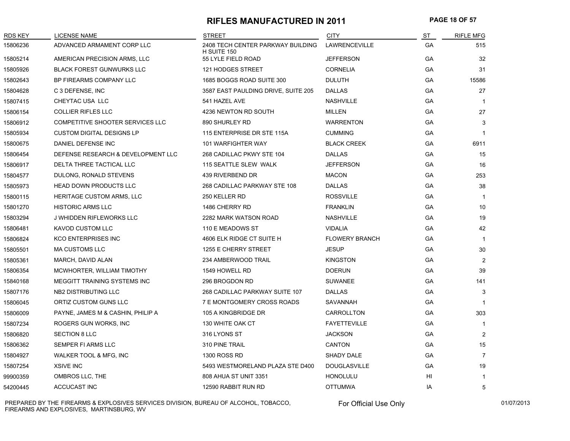**RIFLES MANUFACTURED IN 2011 PAGE 18 OF 57**

| <b>RDS KEY</b> | LICENSE NAME                       | STREET                                           | <b>CITY</b>           | ST        | <b>RIFLE MFG</b> |
|----------------|------------------------------------|--------------------------------------------------|-----------------------|-----------|------------------|
| 15806236       | ADVANCED ARMAMENT CORP LLC         | 2408 TECH CENTER PARKWAY BUILDING<br>H SUITE 150 | <b>LAWRENCEVILLE</b>  | GA        | 515              |
| 15805214       | AMERICAN PRECISION ARMS, LLC       | 55 LYLE FIELD ROAD                               | <b>JEFFERSON</b>      | GA        | 32               |
| 15805926       | <b>BLACK FOREST GUNWURKS LLC</b>   | 121 HODGES STREET                                | <b>CORNELIA</b>       | GA        | 31               |
| 15802643       | BP FIREARMS COMPANY LLC            | 1685 BOGGS ROAD SUITE 300                        | <b>DULUTH</b>         | GA        | 15586            |
| 15804628       | C 3 DEFENSE, INC                   | 3587 EAST PAULDING DRIVE, SUITE 205              | DALLAS                | GA        | 27               |
| 15807415       | CHEYTAC USA LLC                    | 541 HAZEL AVE                                    | <b>NASHVILLE</b>      | GA        | -1               |
| 15806154       | <b>COLLIER RIFLES LLC</b>          | 4236 NEWTON RD SOUTH                             | <b>MILLEN</b>         | <b>GA</b> | 27               |
| 15806912       | COMPETITIVE SHOOTER SERVICES LLC   | 890 SHURLEY RD                                   | <b>WARRENTON</b>      | GA        | 3                |
| 15805934       | <b>CUSTOM DIGITAL DESIGNS LP</b>   | 115 ENTERPRISE DR STE 115A                       | <b>CUMMING</b>        | <b>GA</b> |                  |
| 15800675       | DANIEL DEFENSE INC                 | 101 WARFIGHTER WAY                               | <b>BLACK CREEK</b>    | <b>GA</b> | 6911             |
| 15806454       | DEFENSE RESEARCH & DEVELOPMENT LLC | 268 CADILLAC PKWY STE 104                        | <b>DALLAS</b>         | GA        | 15               |
| 15806917       | DELTA THREE TACTICAL LLC           | 115 SEATTLE SLEW WALK                            | <b>JEFFERSON</b>      | GA        | 16               |
| 15804577       | DULONG, RONALD STEVENS             | 439 RIVERBEND DR                                 | <b>MACON</b>          | GA        | 253              |
| 15805973       | <b>HEAD DOWN PRODUCTS LLC</b>      | 268 CADILLAC PARKWAY STE 108                     | <b>DALLAS</b>         | GA        | 38               |
| 15800115       | <b>HERITAGE CUSTOM ARMS, LLC</b>   | 250 KELLER RD                                    | <b>ROSSVILLE</b>      | GA        | $\overline{1}$   |
| 15801270       | <b>HISTORIC ARMS LLC</b>           | 1486 CHERRY RD                                   | <b>FRANKLIN</b>       | GA        | 10               |
| 15803294       | J WHIDDEN RIFLEWORKS LLC           | 2282 MARK WATSON ROAD                            | <b>NASHVILLE</b>      | GA        | 19               |
| 15806481       | <b>KAVOD CUSTOM LLC</b>            | 110 E MEADOWS ST                                 | <b>VIDALIA</b>        | GA        | 42               |
| 15806824       | <b>KCO ENTERPRISES INC</b>         | 4606 ELK RIDGE CT SUITE H                        | <b>FLOWERY BRANCH</b> | GA        | $\overline{1}$   |
| 15805501       | <b>MA CUSTOMS LLC</b>              | 1255 E CHERRY STREET                             | <b>JESUP</b>          | <b>GA</b> | 30               |
| 15805361       | MARCH, DAVID ALAN                  | 234 AMBERWOOD TRAIL                              | <b>KINGSTON</b>       | GA        | 2                |
| 15806354       | MCWHORTER, WILLIAM TIMOTHY         | 1549 HOWELL RD                                   | <b>DOERUN</b>         | GA        | 39               |
| 15840168       | MEGGITT TRAINING SYSTEMS INC       | 296 BROGDON RD                                   | <b>SUWANEE</b>        | GA        | 141              |
| 15807176       | NB2 DISTRIBUTING LLC               | 268 CADILLAC PARKWAY SUITE 107                   | <b>DALLAS</b>         | GA        | 3                |
| 15806045       | ORTIZ CUSTOM GUNS LLC              | 7 E MONTGOMERY CROSS ROADS                       | SAVANNAH              | GA        | $\mathbf{1}$     |
| 15806009       | PAYNE, JAMES M & CASHIN, PHILIP A  | 105 A KINGBRIDGE DR                              | CARROLLTON            | GA        | 303              |
| 15807234       | ROGERS GUN WORKS, INC              | 130 WHITE OAK CT                                 | <b>FAYETTEVILLE</b>   | GA        | $\mathbf{1}$     |
| 15806820       | <b>SECTION 8 LLC</b>               | 316 LYONS ST                                     | <b>JACKSON</b>        | GA        | $\overline{2}$   |
| 15806362       | SEMPER FI ARMS LLC                 | 310 PINE TRAIL                                   | <b>CANTON</b>         | GA        | 15               |
| 15804927       | WALKER TOOL & MFG, INC             | <b>1300 ROSS RD</b>                              | <b>SHADY DALE</b>     | GA        | $\overline{7}$   |
| 15807254       | <b>XSIVE INC</b>                   | 5493 WESTMORELAND PLAZA STE D400                 | <b>DOUGLASVILLE</b>   | <b>GA</b> | 19               |
| 99900359       | OMBROS LLC, THE                    | 808 AHUA ST UNIT 3351                            | <b>HONOLULU</b>       | HI        | 1                |
| 54200445       | <b>ACCUCAST INC</b>                | 12590 RABBIT RUN RD                              | <b>OTTUMWA</b>        | IA        | 5                |

PREPARED BY THE FIREARMS & EXPLOSIVES SERVICES DIVISION, BUREAU OF ALCOHOL, TOBACCO, FIREARMS AND EXPLOSIVES, MARTINSBURG, WV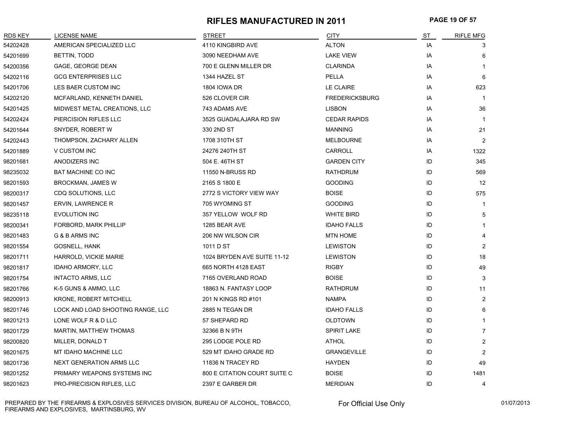### **RIFLES MANUFACTURED IN 2011 PAGE 19 OF 57**

| <b>RDS KEY</b> | <b>LICENSE NAME</b>               | <b>STREET</b>                | <b>CITY</b>           | <b>ST</b> | <b>RIFLE MFG</b> |
|----------------|-----------------------------------|------------------------------|-----------------------|-----------|------------------|
| 54202428       | AMERICAN SPECIALIZED LLC          | 4110 KINGBIRD AVE            | <b>ALTON</b>          | IA        |                  |
| 54201699       | BETTIN, TODD                      | 3090 NEEDHAM AVE             | <b>LAKE VIEW</b>      | IA        | 6                |
| 54200356       | GAGE, GEORGE DEAN                 | 700 E GLENN MILLER DR        | <b>CLARINDA</b>       | IA        |                  |
| 54202116       | <b>GCG ENTERPRISES LLC</b>        | 1344 HAZEL ST                | <b>PELLA</b>          | IA        | 6                |
| 54201706       | LES BAER CUSTOM INC               | <b>1804 IOWA DR</b>          | LE CLAIRE             | IA        | 623              |
| 54202120       | MCFARLAND, KENNETH DANIEL         | 526 CLOVER CIR               | <b>FREDERICKSBURG</b> | IA        | $\mathbf 1$      |
| 54201425       | MIDWEST METAL CREATIONS, LLC      | 743 ADAMS AVE                | <b>LISBON</b>         | IA        | 36               |
| 54202424       | PIERCISION RIFLES LLC             | 3525 GUADALAJARA RD SW       | <b>CEDAR RAPIDS</b>   | IA        | -1               |
| 54201644       | SNYDER, ROBERT W                  | 330 2ND ST                   | <b>MANNING</b>        | IA        | 21               |
| 54202443       | THOMPSON, ZACHARY ALLEN           | 1708 310TH ST                | <b>MELBOURNE</b>      | IA        | $\overline{2}$   |
| 54201889       | <b>V CUSTOM INC</b>               | 24276 240TH ST               | CARROLL               | IA        | 1322             |
| 98201681       | ANODIZERS INC                     | 504 E. 46TH ST               | <b>GARDEN CITY</b>    | ID        | 345              |
| 98235032       | BAT MACHINE CO INC                | 11550 N-BRUSS RD             | RATHDRUM              | ID        | 569              |
| 98201593       | BROCKMAN, JAMES W                 | 2165 S 1800 E                | <b>GOODING</b>        | ID        | 12               |
| 98200317       | CDQ SOLUTIONS, LLC                | 2772 S VICTORY VIEW WAY      | <b>BOISE</b>          | ID        | 575              |
| 98201457       | ERVIN, LAWRENCE R                 | 705 WYOMING ST               | <b>GOODING</b>        | ID        | $\mathbf 1$      |
| 98235118       | <b>EVOLUTION INC</b>              | 357 YELLOW WOLF RD           | <b>WHITE BIRD</b>     | ID        | 5                |
| 98200341       | FORBORD, MARK PHILLIP             | 1285 BEAR AVE                | <b>IDAHO FALLS</b>    | ID        |                  |
| 98201483       | G & B ARMS INC                    | 206 NW WILSON CIR            | <b>MTN HOME</b>       | ID        | 4                |
| 98201554       | <b>GOSNELL, HANK</b>              | 1011 D ST                    | <b>LEWISTON</b>       | ID        | 2                |
| 98201711       | HARROLD, VICKIE MARIE             | 1024 BRYDEN AVE SUITE 11-12  | <b>LEWISTON</b>       | ID        | 18               |
| 98201817       | <b>IDAHO ARMORY, LLC</b>          | 665 NORTH 4128 EAST          | <b>RIGBY</b>          | ID        | 49               |
| 98201754       | <b>INTACTO ARMS, LLC</b>          | 7165 OVERLAND ROAD           | <b>BOISE</b>          | ID        | 3                |
| 98201766       | K-5 GUNS & AMMO, LLC              | 18863 N. FANTASY LOOP        | <b>RATHDRUM</b>       | ID        | 11               |
| 98200913       | <b>KRONE, ROBERT MITCHELL</b>     | 201 N KINGS RD #101          | <b>NAMPA</b>          | ID        | $\overline{2}$   |
| 98201746       | LOCK AND LOAD SHOOTING RANGE, LLC | 2885 N TEGAN DR              | <b>IDAHO FALLS</b>    | ID        | 6                |
| 98201213       | LONE WOLF R & D LLC               | 57 SHEPARD RD                | <b>OLDTOWN</b>        | ID        |                  |
| 98201729       | MARTIN, MATTHEW THOMAS            | 32366 B N 9TH                | <b>SPIRIT LAKE</b>    | ID        | 7                |
| 98200820       | MILLER, DONALD T                  | 295 LODGE POLE RD            | <b>ATHOL</b>          | ID        | $\overline{2}$   |
| 98201675       | MT IDAHO MACHINE LLC              | 529 MT IDAHO GRADE RD        | <b>GRANGEVILLE</b>    | ID        | $\overline{2}$   |
| 98201736       | NEXT GENERATION ARMS LLC          | 11836 N TRACEY RD            | <b>HAYDEN</b>         | ID        | 49               |
| 98201252       | PRIMARY WEAPONS SYSTEMS INC       | 800 E CITATION COURT SUITE C | <b>BOISE</b>          | ID        | 1481             |
| 98201623       | PRO-PRECISION RIFLES, LLC         | 2397 E GARBER DR             | <b>MERIDIAN</b>       | ID        | 4                |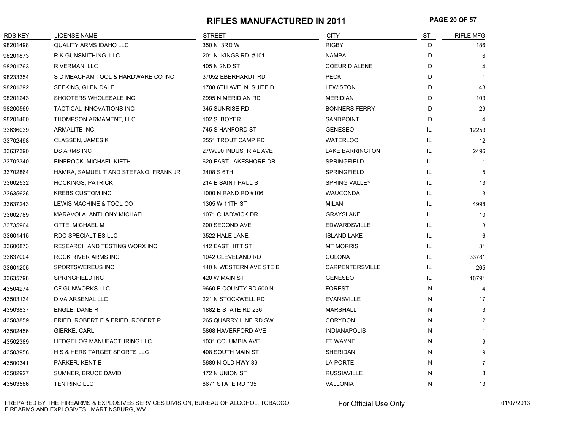#### **RIFLES MANUFACTURED IN 2011 PAGE 20 OF 57**

| <b>RDS KEY</b> | <b>LICENSE NAME</b>                   | <b>STREET</b>            | <b>CITY</b>            | S <sub>T</sub> | <b>RIFLE MFG</b> |
|----------------|---------------------------------------|--------------------------|------------------------|----------------|------------------|
| 98201498       | <b>QUALITY ARMS IDAHO LLC</b>         | 350 N 3RD W              | <b>RIGBY</b>           | ID             | 186              |
| 98201873       | R K GUNSMITHING, LLC                  | 201 N. KINGS RD, #101    | <b>NAMPA</b>           | ID             | 6                |
| 98201763       | RIVERMAN, LLC                         | 405 N 2ND ST             | <b>COEUR D ALENE</b>   | ID             | $\overline{4}$   |
| 98233354       | S D MEACHAM TOOL & HARDWARE CO INC    | 37052 EBERHARDT RD       | <b>PECK</b>            | ID             | $\mathbf{1}$     |
| 98201392       | SEEKINS, GLEN DALE                    | 1708 6TH AVE. N. SUITE D | <b>LEWISTON</b>        | ID             | 43               |
| 98201243       | SHOOTERS WHOLESALE INC                | 2995 N MERIDIAN RD       | <b>MERIDIAN</b>        | ID             | 103              |
| 98200569       | TACTICAL INNOVATIONS INC              | 345 SUNRISE RD           | <b>BONNERS FERRY</b>   | ID             | 29               |
| 98201460       | THOMPSON ARMAMENT, LLC                | 102 S. BOYER             | SANDPOINT              | ID             | 4                |
| 33636039       | <b>ARMALITE INC</b>                   | 745 S HANFORD ST         | <b>GENESEO</b>         | IL.            | 12253            |
| 33702498       | CLASSEN, JAMES K                      | 2551 TROUT CAMP RD       | <b>WATERLOO</b>        | IL.            | 12               |
| 33637390       | DS ARMS INC                           | 27W990 INDUSTRIAL AVE    | <b>LAKE BARRINGTON</b> | IL.            | 2496             |
| 33702340       | FINFROCK, MICHAEL KIETH               | 620 EAST LAKESHORE DR    | SPRINGFIELD            | IL.            | $\mathbf 1$      |
| 33702864       | HAMRA, SAMUEL T AND STEFANO, FRANK JR | 2408 S 6TH               | <b>SPRINGFIELD</b>     | IL.            | 5                |
| 33602532       | <b>HOCKINGS, PATRICK</b>              | 214 E SAINT PAUL ST      | <b>SPRING VALLEY</b>   | IL.            | 13               |
| 33635626       | <b>KREBS CUSTOM INC</b>               | 1000 N RAND RD #106      | <b>WAUCONDA</b>        | IL.            | 3                |
| 33637243       | LEWIS MACHINE & TOOL CO               | 1305 W 11TH ST           | <b>MILAN</b>           | IL.            | 4998             |
| 33602789       | MARAVOLA, ANTHONY MICHAEL             | 1071 CHADWICK DR         | <b>GRAYSLAKE</b>       | IL.            | 10               |
| 33735964       | OTTE, MICHAEL M                       | 200 SECOND AVE           | <b>EDWARDSVILLE</b>    | IL             | 8                |
| 33601415       | RDO SPECIALTIES LLC                   | 3522 HALE LANE           | <b>ISLAND LAKE</b>     | IL.            | 6                |
| 33600873       | RESEARCH AND TESTING WORX INC         | 112 EAST HITT ST         | <b>MT MORRIS</b>       | IL.            | 31               |
| 33637004       | ROCK RIVER ARMS INC                   | 1042 CLEVELAND RD        | <b>COLONA</b>          | IL.            | 33781            |
| 33601205       | SPORTSWEREUS INC                      | 140 N WESTERN AVE STE B  | CARPENTERSVILLE        | IL.            | 265              |
| 33635798       | SPRINGFIELD INC                       | 420 W MAIN ST            | <b>GENESEO</b>         | IL.            | 18791            |
| 43504274       | CF GUNWORKS LLC                       | 9660 E COUNTY RD 500 N   | <b>FOREST</b>          | IN             | 4                |
| 43503134       | DIVA ARSENAL LLC                      | 221 N STOCKWELL RD       | <b>EVANSVILLE</b>      | IN             | 17               |
| 43503837       | ENGLE, DANE R                         | 1882 E STATE RD 236      | <b>MARSHALL</b>        | IN             | 3                |
| 43503859       | FRIED, ROBERT E & FRIED, ROBERT P     | 265 QUARRY LINE RD SW    | <b>CORYDON</b>         | IN             | $\overline{2}$   |
| 43502456       | GIERKE, CARL                          | 5868 HAVERFORD AVE       | <b>INDIANAPOLIS</b>    | IN             |                  |
| 43502389       | HEDGEHOG MANUFACTURING LLC            | 1031 COLUMBIA AVE        | FT WAYNE               | IN             | 9                |
| 43503958       | HIS & HERS TARGET SPORTS LLC          | 408 SOUTH MAIN ST        | SHERIDAN               | IN             | 19               |
| 43500341       | PARKER, KENT E                        | 5689 N OLD HWY 39        | LA PORTE               | IN             | $\overline{7}$   |
| 43502927       | SUMNER, BRUCE DAVID                   | 472 N UNION ST           | <b>RUSSIAVILLE</b>     | IN             | 8                |
| 43503586       | TEN RING LLC                          | 8671 STATE RD 135        | VALLONIA               | IN             | 13               |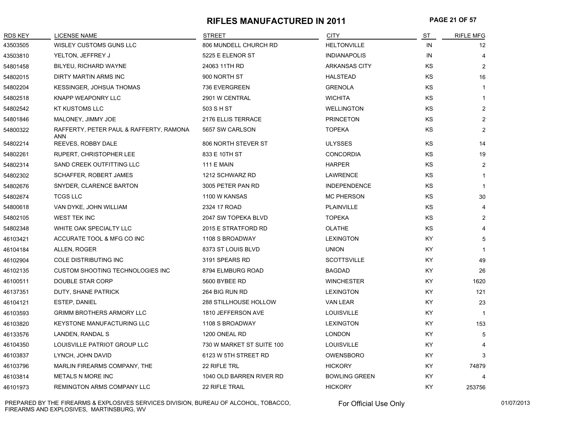### **RIFLES MANUFACTURED IN 2011 PAGE 21 OF 57**

| <b>RDS KEY</b> | <b>LICENSE NAME</b>                            | <b>STREET</b>             | <b>CITY</b>          | $ST$      | <b>RIFLE MFG</b> |
|----------------|------------------------------------------------|---------------------------|----------------------|-----------|------------------|
| 43503505       | WISLEY CUSTOMS GUNS LLC                        | 806 MUNDELL CHURCH RD     | <b>HELTONVILLE</b>   | IN        | 12               |
| 43503810       | YELTON, JEFFREY J                              | 5225 E ELENOR ST          | <b>INDIANAPOLIS</b>  | IN        | 4                |
| 54801458       | <b>BILYEU, RICHARD WAYNE</b>                   | 24063 11TH RD             | <b>ARKANSAS CITY</b> | KS        | $\overline{2}$   |
| 54802015       | DIRTY MARTIN ARMS INC                          | 900 NORTH ST              | <b>HALSTEAD</b>      | KS        | 16               |
| 54802204       | KESSINGER, JOHSUA THOMAS                       | 736 EVERGREEN             | <b>GRENOLA</b>       | <b>KS</b> | $\mathbf{1}$     |
| 54802518       | KNAPP WEAPONRY LLC                             | 2901 W CENTRAL            | <b>WICHITA</b>       | KS        | 1                |
| 54802542       | <b>KT KUSTOMS LLC</b>                          | 503 S H ST                | <b>WELLINGTON</b>    | KS        | 2                |
| 54801846       | MALONEY, JIMMY JOE                             | 2176 ELLIS TERRACE        | <b>PRINCETON</b>     | KS        | $\overline{2}$   |
| 54800322       | RAFFERTY, PETER PAUL & RAFFERTY, RAMONA<br>ANN | 5657 SW CARLSON           | <b>TOPEKA</b>        | KS        |                  |
| 54802214       | REEVES, ROBBY DALE                             | 806 NORTH STEVER ST       | <b>ULYSSES</b>       | KS        | 14               |
| 54802261       | RUPERT, CHRISTOPHER LEE                        | 833 E 10TH ST             | <b>CONCORDIA</b>     | KS        | 19               |
| 54802314       | SAND CREEK OUTFITTING LLC                      | <b>111 E MAIN</b>         | <b>HARPER</b>        | KS        | $\overline{2}$   |
| 54802302       | <b>SCHAFFER, ROBERT JAMES</b>                  | 1212 SCHWARZ RD           | LAWRENCE             | KS        | 1                |
| 54802676       | SNYDER, CLARENCE BARTON                        | 3005 PETER PAN RD         | <b>INDEPENDENCE</b>  | KS        |                  |
| 54802674       | <b>TCGS LLC</b>                                | 1100 W KANSAS             | <b>MC PHERSON</b>    | KS        | 30               |
| 54800618       | VAN DYKE, JOHN WILLIAM                         | 2324 17 ROAD              | PLAINVILLE           | KS        | 4                |
| 54802105       | <b>WEST TEK INC</b>                            | 2047 SW TOPEKA BLVD       | <b>TOPEKA</b>        | KS        | $\overline{2}$   |
| 54802348       | WHITE OAK SPECIALTY LLC                        | 2015 E STRATFORD RD       | <b>OLATHE</b>        | KS        |                  |
| 46103421       | ACCURATE TOOL & MFG CO INC                     | 1108 S BROADWAY           | <b>LEXINGTON</b>     | KY.       |                  |
| 46104184       | ALLEN, ROGER                                   | 8373 ST LOUIS BLVD        | <b>UNION</b>         | KY        |                  |
| 46102904       | COLE DISTRIBUTING INC                          | 3191 SPEARS RD            | <b>SCOTTSVILLE</b>   | KY        | 49               |
| 46102135       | <b>CUSTOM SHOOTING TECHNOLOGIES INC</b>        | 8794 ELMBURG ROAD         | <b>BAGDAD</b>        | KY        | 26               |
| 46100511       | DOUBLE STAR CORP                               | 5600 BYBEE RD             | <b>WINCHESTER</b>    | KY.       | 1620             |
| 46137351       | DUTY, SHANE PATRICK                            | 264 BIG RUN RD            | <b>LEXINGTON</b>     | KY.       | 121              |
| 46104121       | ESTEP, DANIEL                                  | 288 STILLHOUSE HOLLOW     | VAN LEAR             | KY        | 23               |
| 46103593       | <b>GRIMM BROTHERS ARMORY LLC</b>               | 1810 JEFFERSON AVE        | <b>LOUISVILLE</b>    | KY.       | $\mathbf 1$      |
| 46103820       | <b>KEYSTONE MANUFACTURING LLC</b>              | 1108 S BROADWAY           | <b>LEXINGTON</b>     | KY.       | 153              |
| 46133576       | LANDEN, RANDAL S                               | 1200 ONEAL RD             | <b>LONDON</b>        | KY.       | 5                |
| 46104350       | LOUISVILLE PATRIOT GROUP LLC                   | 730 W MARKET ST SUITE 100 | <b>LOUISVILLE</b>    | KY.       | 4                |
| 46103837       | LYNCH, JOHN DAVID                              | 6123 W 5TH STREET RD      | <b>OWENSBORO</b>     | KY        | 3                |
| 46103796       | MARLIN FIREARMS COMPANY, THE                   | 22 RIFLE TRL              | <b>HICKORY</b>       | KY.       | 74879            |
| 46103814       | <b>METALS N MORE INC</b>                       | 1040 OLD BARREN RIVER RD  | <b>BOWLING GREEN</b> | KY        | $\overline{4}$   |
| 46101973       | REMINGTON ARMS COMPANY LLC                     | 22 RIFLE TRAIL            | <b>HICKORY</b>       | KY        | 253756           |

PREPARED BY THE FIREARMS & EXPLOSIVES SERVICES DIVISION, BUREAU OF ALCOHOL, TOBACCO, FIREARMS AND EXPLOSIVES, MARTINSBURG, WV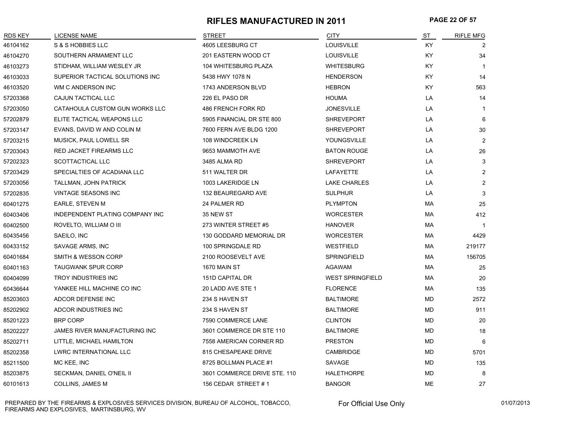#### **RIFLES MANUFACTURED IN 2011 PAGE 22 OF 57**

| RDS KEY  | <b>LICENSE NAME</b>             | <b>STREET</b>                | <b>CITY</b>             | ST        | <b>RIFLE MFG</b> |
|----------|---------------------------------|------------------------------|-------------------------|-----------|------------------|
| 46104162 | S & S HOBBIES LLC               | 4605 LEESBURG CT             | LOUISVILLE              | KY        |                  |
| 46104270 | SOUTHERN ARMAMENT LLC           | 201 EASTERN WOOD CT          | <b>LOUISVILLE</b>       | KY.       | 34               |
| 46103273 | STIDHAM, WILLIAM WESLEY JR      | <b>104 WHITESBURG PLAZA</b>  | <b>WHITESBURG</b>       | KY.       | $\mathbf 1$      |
| 46103033 | SUPERIOR TACTICAL SOLUTIONS INC | 5438 HWY 1078 N              | <b>HENDERSON</b>        | KY        | 14               |
| 46103520 | WM C ANDERSON INC               | 1743 ANDERSON BLVD           | <b>HEBRON</b>           | KY        | 563              |
| 57203368 | CAJUN TACTICAL LLC              | 226 EL PASO DR               | <b>HOUMA</b>            | LA        | 14               |
| 57203050 | CATAHOULA CUSTOM GUN WORKS LLC  | 486 FRENCH FORK RD           | <b>JONESVILLE</b>       | LA        | $\mathbf 1$      |
| 57202879 | ELITE TACTICAL WEAPONS LLC      | 5905 FINANCIAL DR STE 800    | <b>SHREVEPORT</b>       | LA        | 6                |
| 57203147 | EVANS, DAVID W AND COLIN M      | 7600 FERN AVE BLDG 1200      | <b>SHREVEPORT</b>       | LA        | 30               |
| 57203215 | MUSICK, PAUL LOWELL SR          | 108 WINDCREEK LN             | YOUNGSVILLE             | LA        | $\overline{2}$   |
| 57203043 | RED JACKET FIREARMS LLC         | 9653 MAMMOTH AVE             | <b>BATON ROUGE</b>      | LA        | 26               |
| 57202323 | SCOTTACTICAL LLC                | 3485 ALMA RD                 | <b>SHREVEPORT</b>       | LA        | 3                |
| 57203429 | SPECIALTIES OF ACADIANA LLC     | 511 WALTER DR                | LAFAYETTE               | LA        | 2                |
| 57203056 | TALLMAN, JOHN PATRICK           | 1003 LAKERIDGE LN            | <b>LAKE CHARLES</b>     | LA        | 2                |
| 57202835 | <b>VINTAGE SEASONS INC</b>      | 132 BEAUREGARD AVE           | <b>SULPHUR</b>          | LA        | 3                |
| 60401275 | EARLE, STEVEN M                 | 24 PALMER RD                 | <b>PLYMPTON</b>         | МA        | 25               |
| 60403406 | INDEPENDENT PLATING COMPANY INC | 35 NEW ST                    | <b>WORCESTER</b>        | МA        | 412              |
| 60402500 | ROVELTO, WILLIAM O III          | 273 WINTER STREET #5         | <b>HANOVER</b>          | МA        |                  |
| 60435456 | SAEILO, INC                     | 130 GODDARD MEMORIAL DR      | <b>WORCESTER</b>        | МA        | 4429             |
| 60433152 | SAVAGE ARMS, INC                | 100 SPRINGDALE RD            | <b>WESTFIELD</b>        | МA        | 219177           |
| 60401684 | SMITH & WESSON CORP             | 2100 ROOSEVELT AVE           | SPRINGFIELD             | МA        | 156705           |
| 60401163 | <b>TAUGWANK SPUR CORP</b>       | 1670 MAIN ST                 | AGAWAM                  | МA        | 25               |
| 60404099 | <b>TROY INDUSTRIES INC</b>      | 151D CAPITAL DR              | <b>WEST SPRINGFIELD</b> | МA        | 20               |
| 60436644 | YANKEE HILL MACHINE CO INC      | 20 LADD AVE STE 1            | <b>FLORENCE</b>         | MA        | 135              |
| 85203603 | ADCOR DEFENSE INC               | 234 S HAVEN ST               | <b>BALTIMORE</b>        | <b>MD</b> | 2572             |
| 85202902 | ADCOR INDUSTRIES INC            | 234 S HAVEN ST               | <b>BALTIMORE</b>        | <b>MD</b> | 911              |
| 85201223 | <b>BRP CORP</b>                 | 7590 COMMERCE LANE           | <b>CLINTON</b>          | <b>MD</b> | 20               |
| 85202227 | JAMES RIVER MANUFACTURING INC   | 3601 COMMERCE DR STE 110     | <b>BALTIMORE</b>        | MD        | 18               |
| 85202711 | LITTLE, MICHAEL HAMILTON        | 7558 AMERICAN CORNER RD      | <b>PRESTON</b>          | MD        | 6                |
| 85202358 | LWRC INTERNATIONAL LLC          | 815 CHESAPEAKE DRIVE         | CAMBRIDGE               | MD        | 5701             |
| 85211500 | MC KEE, INC                     | 8725 BOLLMAN PLACE #1        | SAVAGE                  | MD        | 135              |
| 85203875 | SECKMAN, DANIEL O'NEIL II       | 3601 COMMERCE DRIVE STE. 110 | <b>HALETHORPE</b>       | MD        | 8                |
| 60101613 | COLLINS, JAMES M                | 156 CEDAR STREET #1          | <b>BANGOR</b>           | <b>ME</b> | 27               |

PREPARED BY THE FIREARMS & EXPLOSIVES SERVICES DIVISION, BUREAU OF ALCOHOL, TOBACCO, FIREARMS AND EXPLOSIVES, MARTINSBURG, WV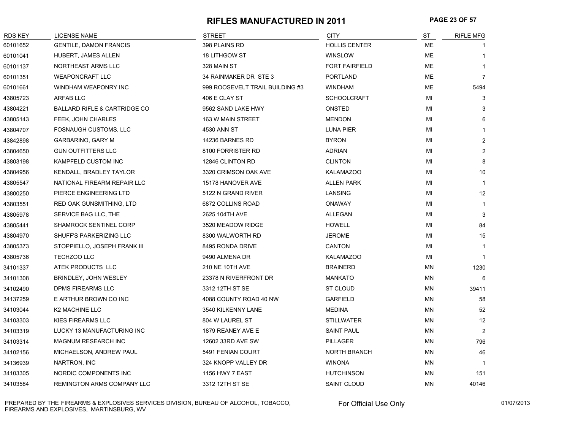#### **RIFLES MANUFACTURED IN 2011 PAGE 23 OF 57**

| <b>RDS KEY</b> | <b>LICENSE NAME</b>                     | <b>STREET</b>                   | <b>CITY</b>           | <b>ST</b> | <b>RIFLE MFG</b> |
|----------------|-----------------------------------------|---------------------------------|-----------------------|-----------|------------------|
| 60101652       | <b>GENTILE, DAMON FRANCIS</b>           | 398 PLAINS RD                   | <b>HOLLIS CENTER</b>  | МE        |                  |
| 60101041       | HUBERT, JAMES ALLEN                     | 18 LITHGOW ST                   | <b>WINSLOW</b>        | ME        | $\mathbf 1$      |
| 60101137       | NORTHEAST ARMS LLC                      | 328 MAIN ST                     | <b>FORT FAIRFIELD</b> | ME        | $\mathbf{1}$     |
| 60101351       | <b>WEAPONCRAFT LLC</b>                  | 34 RAINMAKER DR STE 3           | <b>PORTLAND</b>       | ME        | $\overline{7}$   |
| 60101661       | WINDHAM WEAPONRY INC                    | 999 ROOSEVELT TRAIL BUILDING #3 | <b>WINDHAM</b>        | ME        | 5494             |
| 43805723       | ARFAB LLC                               | 406 E CLAY ST                   | <b>SCHOOLCRAFT</b>    | MI        | 3                |
| 43804221       | <b>BALLARD RIFLE &amp; CARTRIDGE CO</b> | 9562 SAND LAKE HWY              | ONSTED                | MI        | 3                |
| 43805143       | FEEK, JOHN CHARLES                      | 163 W MAIN STREET               | <b>MENDON</b>         | MI        | 6                |
| 43804707       | <b>FOSNAUGH CUSTOMS, LLC</b>            | 4530 ANN ST                     | <b>LUNA PIER</b>      | MI        | $\mathbf 1$      |
| 43842898       | GARBARINO, GARY M                       | 14236 BARNES RD                 | <b>BYRON</b>          | MI        | $\overline{2}$   |
| 43804650       | <b>GUN OUTFITTERS LLC</b>               | 8100 FORRISTER RD               | <b>ADRIAN</b>         | MI        | $\overline{2}$   |
| 43803198       | KAMPFELD CUSTOM INC                     | 12846 CLINTON RD                | <b>CLINTON</b>        | MI        | 8                |
| 43804956       | KENDALL, BRADLEY TAYLOR                 | 3320 CRIMSON OAK AVE            | <b>KALAMAZOO</b>      | MI        | 10               |
| 43805547       | NATIONAL FIREARM REPAIR LLC             | 15178 HANOVER AVE               | <b>ALLEN PARK</b>     | MI        | $\mathbf 1$      |
| 43800250       | PIERCE ENGINEERING LTD                  | 5122 N GRAND RIVER              | LANSING               | MI        | 12               |
| 43803551       | RED OAK GUNSMITHING, LTD                | 6872 COLLINS ROAD               | <b>ONAWAY</b>         | MI        | $\mathbf 1$      |
| 43805978       | SERVICE BAG LLC, THE                    | 2625 104TH AVE                  | <b>ALLEGAN</b>        | MI        | 3                |
| 43805441       | SHAMROCK SENTINEL CORP                  | 3520 MEADOW RIDGE               | <b>HOWELL</b>         | MI        | 84               |
| 43804970       | SHUFF'S PARKERIZING LLC                 | 8300 WALWORTH RD                | <b>JEROME</b>         | MI        | 15               |
| 43805373       | STOPPIELLO, JOSEPH FRANK III            | 8495 RONDA DRIVE                | <b>CANTON</b>         | MI        | $\mathbf 1$      |
| 43805736       | TECHZOO LLC                             | 9490 ALMENA DR                  | <b>KALAMAZOO</b>      | ΜI        | $\mathbf 1$      |
| 34101337       | ATEK PRODUCTS LLC                       | 210 NE 10TH AVE                 | <b>BRAINERD</b>       | <b>MN</b> | 1230             |
| 34101308       | BRINDLEY, JOHN WESLEY                   | 23378 N RIVERFRONT DR           | <b>MANKATO</b>        | MN        | 6                |
| 34102490       | DPMS FIREARMS LLC                       | 3312 12TH ST SE                 | ST CLOUD              | ΜN        | 39411            |
| 34137259       | E ARTHUR BROWN CO INC                   | 4088 COUNTY ROAD 40 NW          | <b>GARFIELD</b>       | MN        | 58               |
| 34103044       | <b>K2 MACHINE LLC</b>                   | 3540 KILKENNY LANE              | MEDINA                | ΜN        | 52               |
| 34103303       | KIES FIREARMS LLC                       | 804 W LAUREL ST                 | <b>STILLWATER</b>     | MN        | 12               |
| 34103319       | LUCKY 13 MANUFACTURING INC              | 1879 REANEY AVE E               | <b>SAINT PAUL</b>     | MN        | $\overline{2}$   |
| 34103314       | <b>MAGNUM RESEARCH INC</b>              | 12602 33RD AVE SW               | <b>PILLAGER</b>       | ΜN        | 796              |
| 34102156       | MICHAELSON, ANDREW PAUL                 | 5491 FENIAN COURT               | <b>NORTH BRANCH</b>   | MN.       | 46               |
| 34136939       | NARTRON, INC                            | 324 KNOPP VALLEY DR             | <b>WINONA</b>         | MN        |                  |
| 34103305       | NORDIC COMPONENTS INC                   | 1156 HWY 7 EAST                 | <b>HUTCHINSON</b>     | MN        | 151              |
| 34103584       | REMINGTON ARMS COMPANY LLC              | 3312 12TH ST SE                 | <b>SAINT CLOUD</b>    | MN        | 40146            |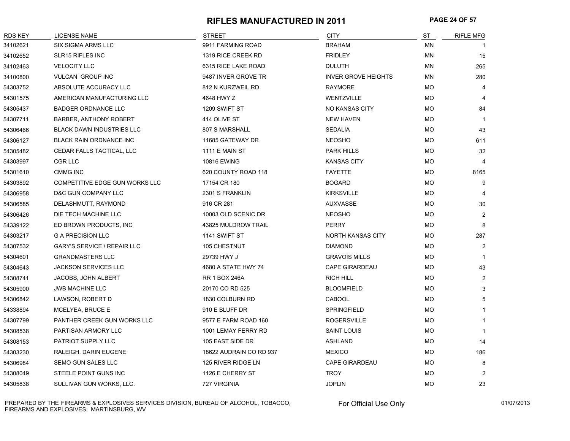### **RIFLES MANUFACTURED IN 2011 PAGE 24 OF 57**

| <b>RDS KEY</b> | <b>LICENSE NAME</b>                | <b>STREET</b>           | <b>CITY</b>                | ST        | <b>RIFLE MFG</b>        |
|----------------|------------------------------------|-------------------------|----------------------------|-----------|-------------------------|
| 34102621       | <b>SIX SIGMA ARMS LLC</b>          | 9911 FARMING ROAD       | <b>BRAHAM</b>              | MN        | -1                      |
| 34102652       | <b>SLR15 RIFLES INC</b>            | 1319 RICE CREEK RD      | <b>FRIDLEY</b>             | ΜN        | 15                      |
| 34102463       | <b>VELOCITY LLC</b>                | 6315 RICE LAKE ROAD     | DULUTH                     | ΜN        | 265                     |
| 34100800       | <b>VULCAN GROUP INC</b>            | 9487 INVER GROVE TR     | <b>INVER GROVE HEIGHTS</b> | ΜN        | 280                     |
| 54303752       | ABSOLUTE ACCURACY LLC              | 812 N KURZWEIL RD       | <b>RAYMORE</b>             | MO.       | $\overline{4}$          |
| 54301575       | AMERICAN MANUFACTURING LLC         | 4648 HWY Z              | <b>WENTZVILLE</b>          | <b>MO</b> | $\boldsymbol{\Delta}$   |
| 54305437       | <b>BADGER ORDNANCE LLC</b>         | 1209 SWIFT ST           | <b>NO KANSAS CITY</b>      | <b>MO</b> | 84                      |
| 54307711       | BARBER, ANTHONY ROBERT             | 414 OLIVE ST            | <b>NEW HAVEN</b>           | <b>MO</b> | -1                      |
| 54306466       | <b>BLACK DAWN INDUSTRIES LLC</b>   | 807 S MARSHALL          | SEDALIA                    | <b>MO</b> | 43                      |
| 54306127       | <b>BLACK RAIN ORDNANCE INC</b>     | 11685 GATEWAY DR        | <b>NEOSHO</b>              | <b>MO</b> | 611                     |
| 54305482       | CEDAR FALLS TACTICAL, LLC          | <b>1111 E MAIN ST</b>   | <b>PARK HILLS</b>          | <b>MO</b> | 32                      |
| 54303997       | CGR LLC                            | <b>10816 EWING</b>      | <b>KANSAS CITY</b>         | MO.       | $\overline{\mathbf{A}}$ |
| 54301610       | <b>CMMG INC</b>                    | 620 COUNTY ROAD 118     | <b>FAYETTE</b>             | <b>MO</b> | 8165                    |
| 54303892       | COMPETITIVE EDGE GUN WORKS LLC     | 17154 CR 180            | <b>BOGARD</b>              | <b>MO</b> | 9                       |
| 54306958       | D&C GUN COMPANY LLC                | 2301 S FRANKLIN         | <b>KIRKSVILLE</b>          | <b>MO</b> |                         |
| 54306585       | DELASHMUTT, RAYMOND                | 916 CR 281              | <b>AUXVASSE</b>            | <b>MO</b> | 30                      |
| 54306426       | DIE TECH MACHINE LLC               | 10003 OLD SCENIC DR     | <b>NEOSHO</b>              | <b>MO</b> | $\overline{2}$          |
| 54339122       | ED BROWN PRODUCTS, INC.            | 43825 MULDROW TRAIL     | <b>PERRY</b>               | <b>MO</b> | 8                       |
| 54303217       | <b>G A PRECISION LLC</b>           | 1141 SWIFT ST           | NORTH KANSAS CITY          | МO        | 287                     |
| 54307532       | <b>GARY'S SERVICE / REPAIR LLC</b> | 105 CHESTNUT            | <b>DIAMOND</b>             | <b>MO</b> | $\overline{2}$          |
| 54304601       | <b>GRANDMASTERS LLC</b>            | 29739 HWY J             | <b>GRAVOIS MILLS</b>       | МO        | $\mathbf 1$             |
| 54304643       | JACKSON SERVICES LLC               | 4680 A STATE HWY 74     | <b>CAPE GIRARDEAU</b>      | MO.       | 43                      |
| 54308741       | <b>JACOBS, JOHN ALBERT</b>         | RR 1 BOX 246A           | RICH HILL                  | <b>MO</b> | 2                       |
| 54305900       | <b>JWB MACHINE LLC</b>             | 20170 CO RD 525         | <b>BLOOMFIELD</b>          | <b>MO</b> | 3                       |
| 54306842       | LAWSON, ROBERT D                   | 1830 COLBURN RD         | CABOOL                     | <b>MO</b> | 5                       |
| 54338894       | MCELYEA, BRUCE E                   | 910 E BLUFF DR          | SPRINGFIELD                | <b>MO</b> |                         |
| 54307799       | PANTHER CREEK GUN WORKS LLC        | 9577 E FARM ROAD 160    | <b>ROGERSVILLE</b>         | МO        |                         |
| 54308538       | PARTISAN ARMORY LLC                | 1001 LEMAY FERRY RD     | <b>SAINT LOUIS</b>         | <b>MO</b> |                         |
| 54308153       | PATRIOT SUPPLY LLC                 | 105 EAST SIDE DR        | <b>ASHLAND</b>             | <b>MO</b> | 14                      |
| 54303230       | RALEIGH, DARIN EUGENE              | 18622 AUDRAIN CO RD 937 | <b>MEXICO</b>              | MO.       | 186                     |
| 54306984       | SEMO GUN SALES LLC                 | 125 RIVER RIDGE LN      | <b>CAPE GIRARDEAU</b>      | <b>MO</b> | 8                       |
| 54308049       | STEELE POINT GUNS INC              | 1126 E CHERRY ST        | <b>TROY</b>                | <b>MO</b> | $\overline{2}$          |
| 54305838       | SULLIVAN GUN WORKS, LLC.           | 727 VIRGINIA            | <b>JOPLIN</b>              | <b>MO</b> | 23                      |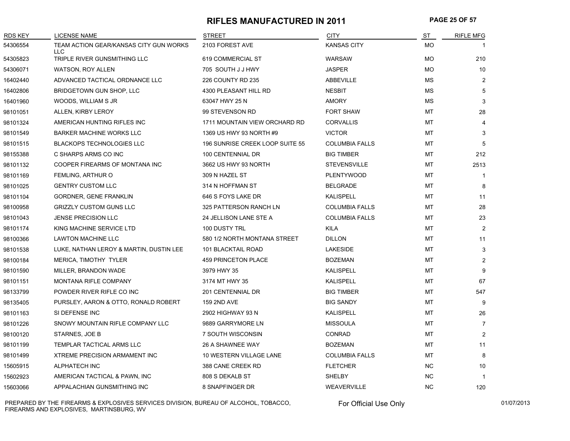#### **RIFLES MANUFACTURED IN 2011 PAGE 25 OF 57**

| <b>RDS KEY</b> | LICENSE NAME                                         | <b>STREET</b>                   | <b>CITY</b>           | ST        | <b>RIFLE MFG</b> |
|----------------|------------------------------------------------------|---------------------------------|-----------------------|-----------|------------------|
| 54306554       | TEAM ACTION GEAR/KANSAS CITY GUN WORKS<br><b>LLC</b> | 2103 FOREST AVE                 | <b>KANSAS CITY</b>    | <b>MO</b> |                  |
| 54305823       | TRIPLE RIVER GUNSMITHING LLC                         | 619 COMMERCIAL ST               | <b>WARSAW</b>         | <b>MO</b> | 210              |
| 54306071       | WATSON, ROY ALLEN                                    | 705 SOUTH J J HWY               | <b>JASPER</b>         | <b>MO</b> | 10               |
| 16402440       | ADVANCED TACTICAL ORDNANCE LLC                       | 226 COUNTY RD 235               | ABBEVILLE             | MS        | 2                |
| 16402806       | BRIDGETOWN GUN SHOP, LLC                             | 4300 PLEASANT HILL RD           | <b>NESBIT</b>         | МS        | 5                |
| 16401960       | WOODS, WILLIAM S JR                                  | 63047 HWY 25 N                  | <b>AMORY</b>          | <b>MS</b> | 3                |
| 98101051       | ALLEN, KIRBY LEROY                                   | 99 STEVENSON RD                 | <b>FORT SHAW</b>      | <b>MT</b> | 28               |
| 98101324       | AMERICAN HUNTING RIFLES INC                          | 1711 MOUNTAIN VIEW ORCHARD RD   | <b>CORVALLIS</b>      | MT        | 4                |
| 98101549       | <b>BARKER MACHINE WORKS LLC</b>                      | 1369 US HWY 93 NORTH #9         | <b>VICTOR</b>         | МT        | 3                |
| 98101515       | <b>BLACKOPS TECHNOLOGIES LLC</b>                     | 196 SUNRISE CREEK LOOP SUITE 55 | <b>COLUMBIA FALLS</b> | MT        | 5                |
| 98155388       | C SHARPS ARMS CO INC                                 | 100 CENTENNIAL DR               | <b>BIG TIMBER</b>     | MT        | 212              |
| 98101132       | COOPER FIREARMS OF MONTANA INC                       | 3662 US HWY 93 NORTH            | <b>STEVENSVILLE</b>   | MT        | 2513             |
| 98101169       | FEMLING, ARTHUR O                                    | 309 N HAZEL ST                  | <b>PLENTYWOOD</b>     | МT        | $\mathbf 1$      |
| 98101025       | <b>GENTRY CUSTOM LLC</b>                             | 314 N HOFFMAN ST                | <b>BELGRADE</b>       | MT        | 8                |
| 98101104       | GORDNER, GENE FRANKLIN                               | 646 S FOYS LAKE DR              | <b>KALISPELL</b>      | MT        | 11               |
| 98100958       | <b>GRIZZLY CUSTOM GUNS LLC</b>                       | 325 PATTERSON RANCH LN          | <b>COLUMBIA FALLS</b> | MT        | 28               |
| 98101043       | <b>JENSE PRECISION LLC</b>                           | 24 JELLISON LANE STE A          | <b>COLUMBIA FALLS</b> | MT        | 23               |
| 98101174       | KING MACHINE SERVICE LTD                             | 100 DUSTY TRL                   | <b>KILA</b>           | MT        | $\overline{2}$   |
| 98100366       | <b>LAWTON MACHINE LLC</b>                            | 580 1/2 NORTH MONTANA STREET    | <b>DILLON</b>         | MT        | 11               |
| 98101538       | LUKE, NATHAN LEROY & MARTIN, DUSTIN LEE              | 101 BLACKTAIL ROAD              | <b>LAKESIDE</b>       | <b>MT</b> | 3                |
| 98100184       | MERICA, TIMOTHY TYLER                                | <b>459 PRINCETON PLACE</b>      | <b>BOZEMAN</b>        | МT        | 2                |
| 98101590       | MILLER, BRANDON WADE                                 | 3979 HWY 35                     | KALISPELL             | MT        | 9                |
| 98101151       | <b>MONTANA RIFLE COMPANY</b>                         | 3174 MT HWY 35                  | <b>KALISPELL</b>      | МT        | 67               |
| 98133799       | POWDER RIVER RIFLE CO INC                            | 201 CENTENNIAL DR               | <b>BIG TIMBER</b>     | MT        | 547              |
| 98135405       | PURSLEY, AARON & OTTO, RONALD ROBERT                 | <b>159 2ND AVE</b>              | <b>BIG SANDY</b>      | MT        | 9                |
| 98101163       | SI DEFENSE INC                                       | 2902 HIGHWAY 93 N               | KALISPELL             | МT        | 26               |
| 98101226       | SNOWY MOUNTAIN RIFLE COMPANY LLC                     | 9889 GARRYMORE LN               | <b>MISSOULA</b>       | МT        | $\overline{7}$   |
| 98100120       | STARNES, JOE B                                       | 7 SOUTH WISCONSIN               | <b>CONRAD</b>         | MT        | $\overline{2}$   |
| 98101199       | TEMPLAR TACTICAL ARMS LLC                            | 26 A SHAWNEE WAY                | <b>BOZEMAN</b>        | MT        | 11               |
| 98101499       | <b>XTREME PRECISION ARMAMENT INC</b>                 | 10 WESTERN VILLAGE LANE         | <b>COLUMBIA FALLS</b> | MT        | 8                |
| 15605915       | ALPHATECH INC                                        | 388 CANE CREEK RD               | <b>FLETCHER</b>       | <b>NC</b> | 10               |
| 15602923       | AMERICAN TACTICAL & PAWN, INC                        | 808 S DEKALB ST                 | <b>SHELBY</b>         | <b>NC</b> | $\overline{1}$   |
| 15603066       | APPALACHIAN GUNSMITHING INC                          | 8 SNAPFINGER DR                 | WEAVERVILLE           | <b>NC</b> | 120              |

PREPARED BY THE FIREARMS & EXPLOSIVES SERVICES DIVISION, BUREAU OF ALCOHOL, TOBACCO, FIREARMS AND EXPLOSIVES, MARTINSBURG, WV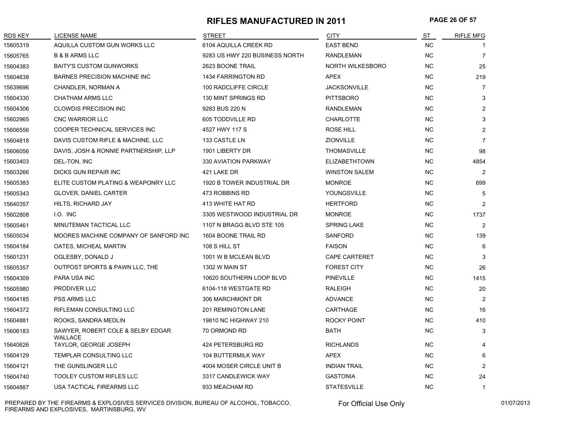#### **RIFLES MANUFACTURED IN 2011 PAGE 26 OF 57**

| <b>RDS KEY</b> | <b>LICENSE NAME</b>                                 | <b>STREET</b>                  | <b>CITY</b>             | ST        | <b>RIFLE MFG</b> |
|----------------|-----------------------------------------------------|--------------------------------|-------------------------|-----------|------------------|
| 15605319       | AQUILLA CUSTOM GUN WORKS LLC                        | 6104 AQUILLA CREEK RD          | <b>EAST BEND</b>        | <b>NC</b> |                  |
| 15605765       | <b>B &amp; B ARMS LLC</b>                           | 9283 US HWY 220 BUSINESS NORTH | <b>RANDLEMAN</b>        | <b>NC</b> | $\overline{7}$   |
| 15604383       | <b>BAITY'S CUSTOM GUNWORKS</b>                      | 2623 BOONE TRAIL               | <b>NORTH WILKESBORO</b> | <b>NC</b> | 25               |
| 15604638       | <b>BARNES PRECISION MACHINE INC</b>                 | 1434 FARRINGTON RD             | <b>APEX</b>             | <b>NC</b> | 219              |
| 15639696       | CHANDLER, NORMAN A                                  | 100 RADCLIFFE CIRCLE           | <b>JACKSONVILLE</b>     | <b>NC</b> | 7                |
| 15604330       | <b>CHATHAM ARMS LLC</b>                             | 130 MINT SPRINGS RD            | <b>PITTSBORO</b>        | <b>NC</b> | 3                |
| 15604306       | <b>CLOWDIS PRECISION INC</b>                        | 9283 BUS 220 N                 | <b>RANDLEMAN</b>        | <b>NC</b> | $\overline{2}$   |
| 15602965       | <b>CNC WARRIOR LLC</b>                              | 605 TODDVILLE RD               | <b>CHARLOTTE</b>        | <b>NC</b> | 3                |
| 15606556       | COOPER TECHNICAL SERVICES INC                       | 4527 HWY 117 S                 | <b>ROSE HILL</b>        | <b>NC</b> | $\overline{c}$   |
| 15604818       | DAVIS CUSTOM RIFLE & MACHINE, LLC                   | 133 CASTLE LN                  | <b>ZIONVILLE</b>        | <b>NC</b> | $\overline{7}$   |
| 15606056       | DAVIS, JOSH & RONNIE PARTNERSHIP, LLP               | 1901 LIBERTY DR                | <b>THOMASVILLE</b>      | <b>NC</b> | 98               |
| 15603403       | DEL-TON, INC                                        | 330 AVIATION PARKWAY           | <b>ELIZABETHTOWN</b>    | <b>NC</b> | 4854             |
| 15603266       | DICKS GUN REPAIR INC                                | 421 LAKE DR                    | <b>WINSTON SALEM</b>    | <b>NC</b> | $\overline{2}$   |
| 15605383       | ELITE CUSTOM PLATING & WEAPONRY LLC                 | 1920 B TOWER INDUSTRIAL DR     | <b>MONROE</b>           | <b>NC</b> | 699              |
| 15605343       | <b>GLOVER, DANIEL CARTER</b>                        | 473 ROBBINS RD                 | YOUNGSVILLE             | <b>NC</b> | 5                |
| 15640357       | HILTS, RICHARD JAY                                  | 413 WHITE HAT RD               | <b>HERTFORD</b>         | <b>NC</b> | 2                |
| 15602808       | I.O. INC                                            | 3305 WESTWOOD INDUSTRIAL DR    | <b>MONROE</b>           | <b>NC</b> | 1737             |
| 15605461       | MINUTEMAN TACTICAL LLC                              | 1107 N BRAGG BLVD STE 105      | <b>SPRING LAKE</b>      | <b>NC</b> | 2                |
| 15605034       | MOORES MACHINE COMPANY OF SANFORD INC               | 1604 BOONE TRAIL RD            | <b>SANFORD</b>          | <b>NC</b> | 139              |
| 15604184       | OATES, MICHEAL MARTIN                               | 108 S HILL ST                  | <b>FAISON</b>           | NC        | 6                |
| 15601231       | OGLESBY, DONALD J                                   | 1001 W B MCLEAN BLVD           | <b>CAPE CARTERET</b>    | <b>NC</b> | 3                |
| 15605357       | OUTPOST SPORTS & PAWN LLC, THE                      | 1302 W MAIN ST                 | <b>FOREST CITY</b>      | <b>NC</b> | 26               |
| 15604309       | <b>PARA USA INC</b>                                 | 10620 SOUTHERN LOOP BLVD       | <b>PINEVILLE</b>        | NC.       | 1415             |
| 15605980       | PRODIVER LLC                                        | 6104-118 WESTGATE RD           | <b>RALEIGH</b>          | <b>NC</b> | 20               |
| 15604185       | PSS ARMS LLC                                        | 306 MARCHMONT DR               | <b>ADVANCE</b>          | <b>NC</b> | $\overline{2}$   |
| 15604372       | RIFLEMAN CONSULTING LLC                             | <b>201 REMINGTON LANE</b>      | <b>CARTHAGE</b>         | <b>NC</b> | 16               |
| 15604881       | ROOKS, SANDRA MEDLIN                                | 19810 NC HIGHWAY 210           | ROCKY POINT             | <b>NC</b> | 410              |
| 15606183       | SAWYER, ROBERT COLE & SELBY EDGAR<br><b>WALLACE</b> | 70 ORMOND RD                   | <b>BATH</b>             | NC.       | 3                |
| 15640626       | TAYLOR, GEORGE JOSEPH                               | 424 PETERSBURG RD              | <b>RICHLANDS</b>        | <b>NC</b> | 4                |
| 15604129       | TEMPLAR CONSULTING LLC                              | <b>104 BUTTERMILK WAY</b>      | <b>APEX</b>             | <b>NC</b> | 6                |
| 15604121       | THE GUNSLINGER LLC                                  | 4004 MOSER CIRCLE UNIT B       | <b>INDIAN TRAIL</b>     | <b>NC</b> | 2                |
| 15604740       | <b>TOOLEY CUSTOM RIFLES LLC</b>                     | 3317 CANDLEWICK WAY            | <b>GASTONIA</b>         | <b>NC</b> | 24               |
| 15604887       | USA TACTICAL FIREARMS LLC                           | 933 MEACHAM RD                 | <b>STATESVILLE</b>      | <b>NC</b> | $\mathbf{1}$     |

PREPARED BY THE FIREARMS & EXPLOSIVES SERVICES DIVISION, BUREAU OF ALCOHOL, TOBACCO, FIREARMS AND EXPLOSIVES, MARTINSBURG, WV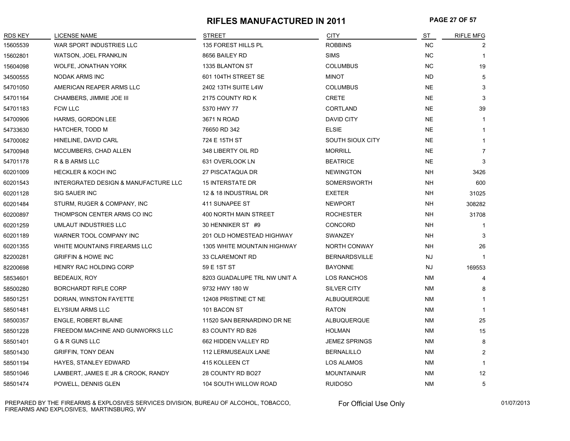#### **RIFLES MANUFACTURED IN 2011 PAGE 27 OF 57**

| <b>RDS KEY</b> | <b>LICENSE NAME</b>                  | <b>STREET</b>                      | <b>CITY</b>          | S <sub>T</sub> | <b>RIFLE MFG</b> |
|----------------|--------------------------------------|------------------------------------|----------------------|----------------|------------------|
| 15605539       | WAR SPORT INDUSTRIES LLC             | 135 FOREST HILLS PL                | <b>ROBBINS</b>       | <b>NC</b>      |                  |
| 15602801       | <b>WATSON, JOEL FRANKLIN</b>         | 8656 BAILEY RD                     | <b>SIMS</b>          | <b>NC</b>      | $\mathbf 1$      |
| 15604098       | WOLFE, JONATHAN YORK                 | 1335 BLANTON ST                    | <b>COLUMBUS</b>      | $NC$           | 19               |
| 34500555       | NODAK ARMS INC                       | 601 104TH STREET SE                | <b>MINOT</b>         | <b>ND</b>      | 5                |
| 54701050       | AMERICAN REAPER ARMS LLC             | 2402 13TH SUITE L4W                | <b>COLUMBUS</b>      | <b>NE</b>      | 3                |
| 54701164       | CHAMBERS, JIMMIE JOE III             | 2175 COUNTY RD K                   | <b>CRETE</b>         | <b>NE</b>      | 3                |
| 54701183       | <b>FCW LLC</b>                       | 5370 HWY 77                        | <b>CORTLAND</b>      | <b>NE</b>      | 39               |
| 54700906       | HARMS, GORDON LEE                    | 3671 N ROAD                        | DAVID CITY           | NE             | 1                |
| 54733630       | HATCHER, TODD M                      | 76650 RD 342                       | <b>ELSIE</b>         | <b>NE</b>      | -1               |
| 54700082       | HINELINE, DAVID CARL                 | 724 E 15TH ST                      | SOUTH SIOUX CITY     | <b>NE</b>      | $\mathbf{1}$     |
| 54700948       | MCCUMBERS, CHAD ALLEN                | 348 LIBERTY OIL RD                 | <b>MORRILL</b>       | <b>NE</b>      | $\overline{7}$   |
| 54701178       | R & B ARMS LLC                       | 631 OVERLOOK LN                    | <b>BEATRICE</b>      | <b>NE</b>      | 3                |
| 60201009       | <b>HECKLER &amp; KOCH INC</b>        | 27 PISCATAQUA DR                   | <b>NEWINGTON</b>     | <b>NH</b>      | 3426             |
| 60201543       | INTERGRATED DESIGN & MANUFACTURE LLC | <b>15 INTERSTATE DR</b>            | <b>SOMERSWORTH</b>   | <b>NH</b>      | 600              |
| 60201128       | SIG SAUER INC                        | 12 & 18 INDUSTRIAL DR              | <b>EXETER</b>        | <b>NH</b>      | 31025            |
| 60201484       | STURM, RUGER & COMPANY, INC          | 411 SUNAPEE ST                     | <b>NEWPORT</b>       | NH             | 308282           |
| 60200897       | THOMPSON CENTER ARMS CO INC          | 400 NORTH MAIN STREET              | <b>ROCHESTER</b>     | <b>NH</b>      | 31708            |
| 60201259       | UMLAUT INDUSTRIES LLC                | 30 HENNIKER ST #9                  | CONCORD              | <b>NH</b>      |                  |
| 60201189       | WARNER TOOL COMPANY INC              | 201 OLD HOMESTEAD HIGHWAY          | <b>SWANZEY</b>       | <b>NH</b>      | 3                |
| 60201355       | WHITE MOUNTAINS FIREARMS LLC         | <b>1305 WHITE MOUNTAIN HIGHWAY</b> | NORTH CONWAY         | NH             | 26               |
| 82200281       | <b>GRIFFIN &amp; HOWE INC</b>        | 33 CLAREMONT RD                    | <b>BERNARDSVILLE</b> | <b>NJ</b>      | -1               |
| 82200698       | HENRY RAC HOLDING CORP               | 59 E 1ST ST                        | <b>BAYONNE</b>       | <b>NJ</b>      | 169553           |
| 58534601       | BEDEAUX, ROY                         | 8203 GUADALUPE TRL NW UNIT A       | LOS RANCHOS          | ΝM             | 4                |
| 58500280       | <b>BORCHARDT RIFLE CORP</b>          | 9732 HWY 180 W                     | SILVER CITY          | <b>NM</b>      | 8                |
| 58501251       | DORIAN, WINSTON FAYETTE              | 12408 PRISTINE CT NE               | <b>ALBUQUERQUE</b>   | <b>NM</b>      | -1               |
| 58501481       | ELYSIUM ARMS LLC                     | 101 BACON ST                       | <b>RATON</b>         | <b>NM</b>      | $\overline{1}$   |
| 58500357       | <b>ENGLE, ROBERT BLAINE</b>          | 11520 SAN BERNARDINO DR NE         | ALBUQUERQUE          | <b>NM</b>      | 25               |
| 58501228       | FREEDOM MACHINE AND GUNWORKS LLC     | 83 COUNTY RD B26                   | <b>HOLMAN</b>        | NM             | 15               |
| 58501401       | <b>G &amp; R GUNS LLC</b>            | 662 HIDDEN VALLEY RD               | <b>JEMEZ SPRINGS</b> | <b>NM</b>      | 8                |
| 58501430       | <b>GRIFFIN, TONY DEAN</b>            | 112 LERMUSEAUX LANE                | <b>BERNALILLO</b>    | <b>NM</b>      | $\overline{2}$   |
| 58501194       | HAYES, STANLEY EDWARD                | 415 KOLLEEN CT                     | LOS ALAMOS           | <b>NM</b>      | $\mathbf 1$      |
| 58501046       | LAMBERT, JAMES E JR & CROOK, RANDY   | 28 COUNTY RD BO27                  | <b>MOUNTAINAIR</b>   | <b>NM</b>      | 12               |
| 58501474       | POWELL, DENNIS GLEN                  | 104 SOUTH WILLOW ROAD              | <b>RUIDOSO</b>       | <b>NM</b>      | 5                |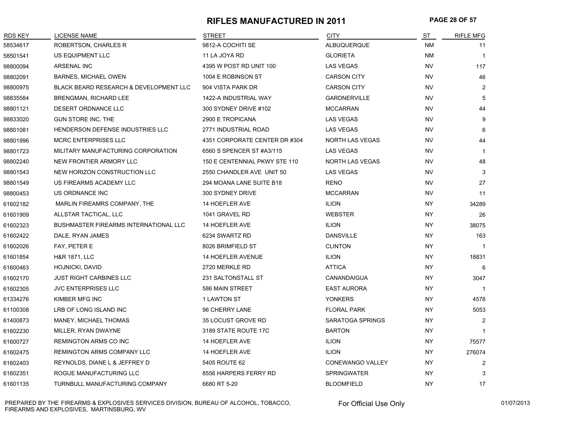#### **RIFLES MANUFACTURED IN 2011 PAGE 28 OF 57**

| <b>RDS KEY</b> | <b>LICENSE NAME</b>                          | STREET                        | <b>CITY</b>         | ST        | <b>RIFLE MFG</b> |
|----------------|----------------------------------------------|-------------------------------|---------------------|-----------|------------------|
| 58534617       | ROBERTSON, CHARLES R                         | 9812-A COCHITI SE             | <b>ALBUQUERQUE</b>  | <b>NM</b> | 11               |
| 58501541       | US EQUIPMENT LLC                             | 11 LA JOYA RD                 | <b>GLORIETA</b>     | <b>NM</b> | 1                |
| 98800094       | ARSENAL INC                                  | 4395 W POST RD UNIT 100       | <b>LAS VEGAS</b>    | <b>NV</b> | 117              |
| 98802091       | <b>BARNES, MICHAEL OWEN</b>                  | 1004 E ROBINSON ST            | <b>CARSON CITY</b>  | <b>NV</b> | 46               |
| 98800975       | BLACK BEARD RESEARCH & DEVELOPMENT LLC       | 904 VISTA PARK DR             | <b>CARSON CITY</b>  | NV        | 2                |
| 98835584       | <b>BRENGMAN, RICHARD LEE</b>                 | 1422-A INDUSTRIAL WAY         | <b>GARDNERVILLE</b> | NV        | 5                |
| 98801121       | DESERT ORDNANCE LLC                          | 300 SYDNEY DRIVE #102         | <b>MCCARRAN</b>     | <b>NV</b> | 44               |
| 98833020       | GUN STORE INC, THE                           | 2900 E TROPICANA              | <b>LAS VEGAS</b>    | <b>NV</b> | 9                |
| 98801081       | HENDERSON DEFENSE INDUSTRIES LLC             | 2771 INDUSTRIAL ROAD          | <b>LAS VEGAS</b>    | <b>NV</b> | 6                |
| 98801996       | <b>MCRC ENTERPRISES LLC</b>                  | 4351 CORPORATE CENTER DR #304 | NORTH LAS VEGAS     | NV        | 44               |
| 98801723       | MILITARY MANUFACTURING CORPORATION           | 6560 S SPENCER ST #A3/115     | <b>LAS VEGAS</b>    | NV        |                  |
| 98802240       | NEW FRONTIER ARMORY LLC                      | 150 E CENTENNIAL PKWY STE 110 | NORTH LAS VEGAS     | <b>NV</b> | 48               |
| 98801543       | NEW HORIZON CONSTRUCTION LLC                 | 2550 CHANDLER AVE UNIT 50     | <b>LAS VEGAS</b>    | <b>NV</b> | 3                |
| 98801549       | US FIREARMS ACADEMY LLC                      | 294 MOANA LANE SUITE B18      | <b>RENO</b>         | <b>NV</b> | 27               |
| 98800453       | US ORDNANCE INC                              | 300 SYDNEY DRIVE              | <b>MCCARRAN</b>     | <b>NV</b> | 11               |
| 61602182       | MARLIN FIREAMRS COMPANY, THE                 | <b>14 HOEFLER AVE</b>         | <b>ILION</b>        | NY.       | 34289            |
| 61601909       | ALLSTAR TACTICAL, LLC                        | 1041 GRAVEL RD                | <b>WEBSTER</b>      | NY.       | 26               |
| 61602323       | <b>BUSHMASTER FIREARMS INTERNATIONAL LLC</b> | 14 HOEFLER AVE                | <b>ILION</b>        | NY        | 38075            |
| 61602422       | DALE, RYAN JAMES                             | 6234 SWARTZ RD                | <b>DANSVILLE</b>    | NY        | 163              |
| 61602026       | FAY, PETER E                                 | 8026 BRIMFIELD ST             | <b>CLINTON</b>      | NY        |                  |
| 61601854       | H&R 1871, LLC                                | <b>14 HOEFLER AVENUE</b>      | <b>ILION</b>        | NY        | 18831            |
| 61600463       | HOJNICKI, DAVID                              | 2720 MERKLE RD                | <b>ATTICA</b>       | NY.       | 6                |
| 61602170       | <b>JUST RIGHT CARBINES LLC</b>               | 231 SALTONSTALL ST            | CANANDAIGUA         | NY        | 3047             |
| 61602305       | JVC ENTERPRISES LLC                          | 586 MAIN STREET               | <b>EAST AURORA</b>  | NY.       | 1                |
| 61334276       | KIMBER MFG INC                               | 1 LAWTON ST                   | <b>YONKERS</b>      | NY        | 4578             |
| 61100308       | LRB OF LONG ISLAND INC                       | 96 CHERRY LANE                | <b>FLORAL PARK</b>  | NY        | 5053             |
| 61400873       | MANEY, MICHAEL THOMAS                        | 35 LOCUST GROVE RD            | SARATOGA SPRINGS    | NY        | 2                |
| 61602230       | MILLER, RYAN DWAYNE                          | 3189 STATE ROUTE 17C          | <b>BARTON</b>       | NY        | 1                |
| 61600727       | <b>REMINGTON ARMS CO INC</b>                 | 14 HOEFLER AVE                | <b>ILION</b>        | NY        | 75577            |
| 61602475       | REMINGTON ARMS COMPANY LLC                   | 14 HOEFLER AVE                | <b>ILION</b>        | <b>NY</b> | 276074           |
| 61602403       | REYNOLDS, DIANE L & JEFFREY D                | 5405 ROUTE 62                 | CONEWANGO VALLEY    | NY        |                  |
| 61602351       | ROGUE MANUFACTURING LLC                      | 8556 HARPERS FERRY RD         | <b>SPRINGWATER</b>  | NY.       |                  |
| 61601135       | TURNBULL MANUFACTURING COMPANY               | 6680 RT 5-20                  | <b>BLOOMFIELD</b>   | <b>NY</b> | 17               |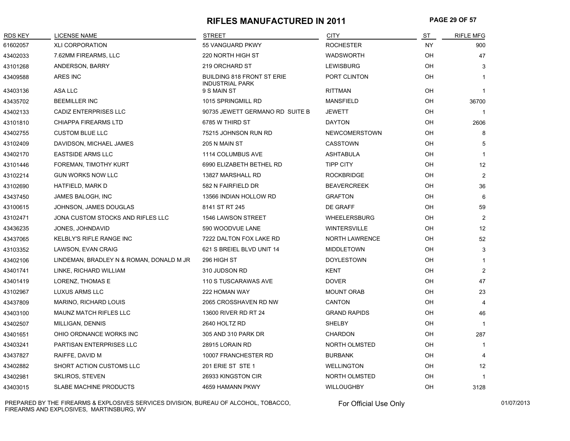### **RIFLES MANUFACTURED IN 2011 PAGE 29 OF 57**

| <b>RDS KEY</b> | <b>LICENSE NAME</b>                      | <b>STREET</b>                                               | <b>CITY</b>           | ST        | <b>RIFLE MFG</b> |
|----------------|------------------------------------------|-------------------------------------------------------------|-----------------------|-----------|------------------|
| 61602057       | <b>XLI CORPORATION</b>                   | 55 VANGUARD PKWY                                            | <b>ROCHESTER</b>      | <b>NY</b> | 900              |
| 43402033       | 7.62MM FIREARMS, LLC                     | 220 NORTH HIGH ST                                           | <b>WADSWORTH</b>      | OH        | 47               |
| 43101268       | ANDERSON, BARRY                          | 219 ORCHARD ST                                              | <b>LEWISBURG</b>      | OH        | 3                |
| 43409588       | ARES INC                                 | <b>BUILDING 818 FRONT ST ERIE</b><br><b>INDUSTRIAL PARK</b> | PORT CLINTON          | OH        | $\mathbf{1}$     |
| 43403136       | ASA LLC                                  | 9 S MAIN ST                                                 | <b>RITTMAN</b>        | OH        | $\mathbf{1}$     |
| 43435702       | <b>BEEMILLER INC</b>                     | 1015 SPRINGMILL RD                                          | <b>MANSFIELD</b>      | OH        | 36700            |
| 43402133       | CADIZ ENTERPRISES LLC                    | 90735 JEWETT GERMANO RD SUITE B                             | JEWETT                | OH        | $\mathbf{1}$     |
| 43101810       | <b>CHIAPPA FIREARMS LTD</b>              | 6785 W THIRD ST                                             | <b>DAYTON</b>         | OH        | 2606             |
| 43402755       | <b>CUSTOM BLUE LLC</b>                   | 75215 JOHNSON RUN RD                                        | NEWCOMERSTOWN         | OH        | 8                |
| 43102409       | DAVIDSON, MICHAEL JAMES                  | 205 N MAIN ST                                               | <b>CASSTOWN</b>       | <b>OH</b> | 5                |
| 43402170       | <b>EASTSIDE ARMS LLC</b>                 | 1114 COLUMBUS AVE                                           | <b>ASHTABULA</b>      | OH        | $\overline{1}$   |
| 43101446       | FOREMAN, TIMOTHY KURT                    | 6990 ELIZABETH BETHEL RD                                    | <b>TIPP CITY</b>      | OH        | 12               |
| 43102214       | <b>GUN WORKS NOW LLC</b>                 | 13827 MARSHALL RD                                           | <b>ROCKBRIDGE</b>     | <b>OH</b> | $\overline{c}$   |
| 43102690       | <b>HATFIELD, MARK D</b>                  | 582 N FAIRFIELD DR                                          | <b>BEAVERCREEK</b>    | OH        | 36               |
| 43437450       | JAMES BALOGH, INC                        | 13566 INDIAN HOLLOW RD                                      | <b>GRAFTON</b>        | OH        | 6                |
| 43100615       | JOHNSON, JAMES DOUGLAS                   | 8141 ST RT 245                                              | <b>DE GRAFF</b>       | OH        | 59               |
| 43102471       | JONA CUSTOM STOCKS AND RIFLES LLC        | 1546 LAWSON STREET                                          | <b>WHEELERSBURG</b>   | OH        | $\overline{2}$   |
| 43436235       | JONES, JOHNDAVID                         | 590 WOODVUE LANE                                            | <b>WINTERSVILLE</b>   | OH        | 12               |
| 43437065       | KELBLY'S RIFLE RANGE INC                 | 7222 DALTON FOX LAKE RD                                     | <b>NORTH LAWRENCE</b> | OH        | 52               |
| 43103352       | LAWSON, EVAN CRAIG                       | 621 S BREIEL BLVD UNIT 14                                   | <b>MIDDLETOWN</b>     | OH        | 3                |
| 43402106       | LINDEMAN, BRADLEY N & ROMAN, DONALD M JR | 296 HIGH ST                                                 | <b>DOYLESTOWN</b>     | OH        | $\overline{1}$   |
| 43401741       | LINKE, RICHARD WILLIAM                   | 310 JUDSON RD                                               | KENT                  | OH        | 2                |
| 43401419       | LORENZ, THOMAS E                         | 110 S TUSCARAWAS AVE                                        | <b>DOVER</b>          | OH        | 47               |
| 43102967       | <b>LUXUS ARMS LLC</b>                    | 222 HOMAN WAY                                               | <b>MOUNT ORAB</b>     | OH        | 23               |
| 43437809       | MARINO, RICHARD LOUIS                    | 2065 CROSSHAVEN RD NW                                       | <b>CANTON</b>         | OH        | $\overline{4}$   |
| 43403100       | <b>MAUNZ MATCH RIFLES LLC</b>            | 13600 RIVER RD RT 24                                        | <b>GRAND RAPIDS</b>   | OH        | 46               |
| 43402507       | MILLIGAN, DENNIS                         | 2640 HOLTZ RD                                               | <b>SHELBY</b>         | OH        | $\mathbf 1$      |
| 43401651       | OHIO ORDNANCE WORKS INC                  | 305 AND 310 PARK DR                                         | <b>CHARDON</b>        | OH        | 287              |
| 43403241       | PARTISAN ENTERPRISES LLC                 | 28915 LORAIN RD                                             | <b>NORTH OLMSTED</b>  | OH        | -1               |
| 43437827       | RAIFFE, DAVID M                          | 10007 FRANCHESTER RD                                        | <b>BURBANK</b>        | OH        | $\overline{4}$   |
| 43402882       | SHORT ACTION CUSTOMS LLC                 | 201 ERIE ST STE 1                                           | <b>WELLINGTON</b>     | OH        | 12               |
| 43402981       | <b>SKLIROS, STEVEN</b>                   | 26933 KINGSTON CIR                                          | <b>NORTH OLMSTED</b>  | OH        | $\mathbf 1$      |
| 43403015       | SLABE MACHINE PRODUCTS                   | 4659 HAMANN PKWY                                            | <b>WILLOUGHBY</b>     | OH        | 3128             |

PREPARED BY THE FIREARMS & EXPLOSIVES SERVICES DIVISION, BUREAU OF ALCOHOL, TOBACCO, FIREARMS AND EXPLOSIVES, MARTINSBURG, WV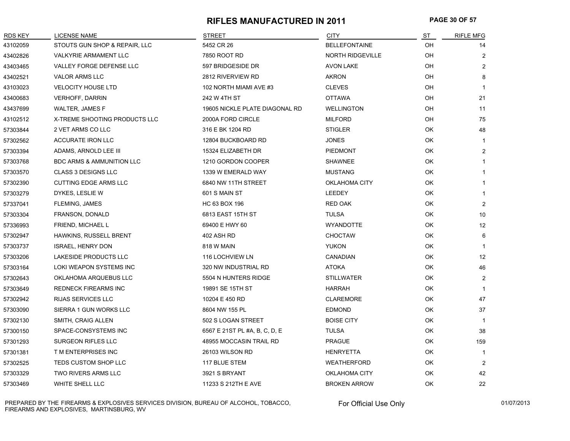#### **RIFLES MANUFACTURED IN 2011 PAGE 30 OF 57**

| <b>RDS KEY</b> | LICENSE NAME                         | <b>STREET</b>                  | <b>CITY</b>          | ST        | <b>RIFLE MFG</b> |
|----------------|--------------------------------------|--------------------------------|----------------------|-----------|------------------|
| 43102059       | STOUTS GUN SHOP & REPAIR, LLC        | 5452 CR 26                     | <b>BELLEFONTAINE</b> | <b>OH</b> | 14               |
| 43402826       | <b>VALKYRIE ARMAMENT LLC</b>         | 7850 ROOT RD                   | NORTH RIDGEVILLE     | OH        | 2                |
| 43403465       | <b>VALLEY FORGE DEFENSE LLC</b>      | 597 BRIDGESIDE DR              | <b>AVON LAKE</b>     | OH        | 2                |
| 43402521       | <b>VALOR ARMS LLC</b>                | 2812 RIVERVIEW RD              | <b>AKRON</b>         | OH        | 8                |
| 43103023       | <b>VELOCITY HOUSE LTD</b>            | 102 NORTH MIAMI AVE #3         | <b>CLEVES</b>        | OH        | $\mathbf{1}$     |
| 43400683       | <b>VERHOFF, DARRIN</b>               | 242 W 4TH ST                   | <b>OTTAWA</b>        | OH        | 21               |
| 43437699       | WALTER, JAMES F                      | 19605 NICKLE PLATE DIAGONAL RD | <b>WELLINGTON</b>    | OH        | 11               |
| 43102512       | X-TREME SHOOTING PRODUCTS LLC        | 2000A FORD CIRCLE              | <b>MILFORD</b>       | OH        | 75               |
| 57303844       | 2 VET ARMS CO LLC                    | 316 E BK 1204 RD               | <b>STIGLER</b>       | OK        | 48               |
| 57302562       | <b>ACCURATE IRON LLC</b>             | 12804 BUCKBOARD RD             | <b>JONES</b>         | OK        |                  |
| 57303394       | ADAMS, ARNOLD LEE III                | 15324 ELIZABETH DR             | <b>PIEDMONT</b>      | OK        | $\overline{2}$   |
| 57303768       | <b>BDC ARMS &amp; AMMUNITION LLC</b> | 1210 GORDON COOPER             | <b>SHAWNEE</b>       | OK        | $\mathbf{1}$     |
| 57303570       | <b>CLASS 3 DESIGNS LLC</b>           | 1339 W EMERALD WAY             | <b>MUSTANG</b>       | OK        | $\mathbf 1$      |
| 57302390       | <b>CUTTING EDGE ARMS LLC</b>         | 6840 NW 11TH STREET            | <b>OKLAHOMA CITY</b> | OK        | $\mathbf 1$      |
| 57303279       | DYKES, LESLIE W                      | 601 S MAIN ST                  | LEEDEY               | OK        |                  |
| 57337041       | FLEMING, JAMES                       | HC 63 BOX 196                  | <b>RED OAK</b>       | OK        | $\overline{2}$   |
| 57303304       | FRANSON, DONALD                      | 6813 EAST 15TH ST              | <b>TULSA</b>         | OK        | 10               |
| 57336993       | FRIEND, MICHAEL L                    | 69400 E HWY 60                 | WYANDOTTE            | OK        | 12               |
| 57302947       | HAWKINS, RUSSELL BRENT               | 402 ASH RD                     | <b>CHOCTAW</b>       | OK        | 6                |
| 57303737       | <b>ISRAEL, HENRY DON</b>             | 818 W MAIN                     | <b>YUKON</b>         | OK        |                  |
| 57303206       | LAKESIDE PRODUCTS LLC                | 116 LOCHVIEW LN                | CANADIAN             | OK        | 12               |
| 57303164       | LOKI WEAPON SYSTEMS INC              | 320 NW INDUSTRIAL RD           | <b>ATOKA</b>         | OK        | 46               |
| 57302643       | OKLAHOMA ARQUEBUS LLC                | 5504 N HUNTERS RIDGE           | <b>STILLWATER</b>    | OK        | 2                |
| 57303649       | REDNECK FIREARMS INC                 | 19891 SE 15TH ST               | <b>HARRAH</b>        | OK        | $\mathbf 1$      |
| 57302942       | <b>RIJAS SERVICES LLC</b>            | 10204 E 450 RD                 | <b>CLAREMORE</b>     | OK        | 47               |
| 57303090       | SIERRA 1 GUN WORKS LLC               | 8604 NW 155 PL                 | <b>EDMOND</b>        | OK        | 37               |
| 57302130       | SMITH, CRAIG ALLEN                   | 502 S LOGAN STREET             | <b>BOISE CITY</b>    | OK        |                  |
| 57300150       | SPACE-CONSYSTEMS INC                 | 6567 E 21ST PL #A, B, C, D, E  | <b>TULSA</b>         | OK        | 38               |
| 57301293       | <b>SURGEON RIFLES LLC</b>            | 48955 MOCCASIN TRAIL RD        | <b>PRAGUE</b>        | OK        | 159              |
| 57301381       | T M ENTERPRISES INC                  | 26103 WILSON RD                | <b>HENRYETTA</b>     | OK        | $\mathbf{1}$     |
| 57302525       | TEDS CUSTOM SHOP LLC                 | 117 BLUE STEM                  | <b>WEATHERFORD</b>   | OK.       | 2                |
| 57303329       | <b>TWO RIVERS ARMS LLC</b>           | 3921 S BRYANT                  | OKLAHOMA CITY        | OK.       | 42               |
| 57303469       | WHITE SHELL LLC                      | 11233 S 212TH E AVE            | <b>BROKEN ARROW</b>  | OK        | 22               |

PREPARED BY THE FIREARMS & EXPLOSIVES SERVICES DIVISION, BUREAU OF ALCOHOL, TOBACCO, FIREARMS AND EXPLOSIVES, MARTINSBURG, WV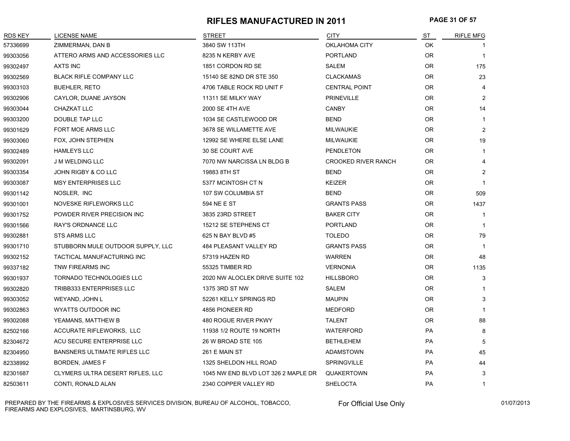#### **RIFLES MANUFACTURED IN 2011 PAGE 31 OF 57**

| <b>RDS KEY</b> | LICENSE NAME                      | STREET                              | <b>CITY</b>                | <b>ST</b>  | <b>RIFLE MFG</b> |
|----------------|-----------------------------------|-------------------------------------|----------------------------|------------|------------------|
| 57336699       | ZIMMERMAN, DAN B                  | 3840 SW 113TH                       | OKLAHOMA CITY              | OK         |                  |
| 99303056       | ATTERO ARMS AND ACCESSORIES LLC   | 8235 N KERBY AVE                    | <b>PORTLAND</b>            | OR.        | $\overline{1}$   |
| 99302497       | <b>AXTS INC</b>                   | 1851 CORDON RD SE                   | <b>SALEM</b>               | <b>OR</b>  | 175              |
| 99302569       | <b>BLACK RIFLE COMPANY LLC</b>    | 15140 SE 82ND DR STE 350            | <b>CLACKAMAS</b>           | OR.        | 23               |
| 99303103       | <b>BUEHLER, RETO</b>              | 4706 TABLE ROCK RD UNIT F           | <b>CENTRAL POINT</b>       | <b>OR</b>  | 4                |
| 99302906       | CAYLOR, DUANE JAYSON              | 11311 SE MILKY WAY                  | <b>PRINEVILLE</b>          | OR.        | $\overline{2}$   |
| 99303044       | <b>CHAZKAT LLC</b>                | 2000 SE 4TH AVE                     | <b>CANBY</b>               | OR.        | 14               |
| 99303200       | DOUBLE TAP LLC                    | 1034 SE CASTLEWOOD DR               | <b>BEND</b>                | ${\sf OR}$ | $\mathbf{1}$     |
| 99301629       | FORT MOE ARMS LLC                 | 3678 SE WILLAMETTE AVE              | <b>MILWAUKIE</b>           | OR.        | $\overline{c}$   |
| 99303060       | FOX, JOHN STEPHEN                 | 12992 SE WHERE ELSE LANE            | <b>MILWAUKIE</b>           | OR.        | 19               |
| 99302489       | <b>HAMLEYS LLC</b>                | 30 SE COURT AVE                     | <b>PENDLETON</b>           | OR.        | 1                |
| 99302091       | <b>J M WELDING LLC</b>            | 7070 NW NARCISSA LN BLDG B          | <b>CROOKED RIVER RANCH</b> | OR.        | $\overline{4}$   |
| 99303354       | JOHN RIGBY & CO LLC               | 19883 8TH ST                        | <b>BEND</b>                | OR.        | $\overline{2}$   |
| 99303087       | <b>MSY ENTERPRISES LLC</b>        | 5377 MCINTOSH CT N                  | <b>KEIZER</b>              | 0R         | $\mathbf 1$      |
| 99301142       | NOSLER, INC                       | 107 SW COLUMBIA ST                  | <b>BEND</b>                | OR.        | 509              |
| 99301001       | NOVESKE RIFLEWORKS LLC            | 594 NE E ST                         | <b>GRANTS PASS</b>         | OR.        | 1437             |
| 99301752       | POWDER RIVER PRECISION INC        | 3835 23RD STREET                    | <b>BAKER CITY</b>          | OR.        | -1               |
| 99301566       | <b>RAY'S ORDNANCE LLC</b>         | 15212 SE STEPHENS CT                | <b>PORTLAND</b>            | OR.        | $\mathbf{1}$     |
| 99302881       | STS ARMS LLC                      | 625 N BAY BLVD #5                   | <b>TOLEDO</b>              | 0R         | 79               |
| 99301710       | STUBBORN MULE OUTDOOR SUPPLY, LLC | 484 PLEASANT VALLEY RD              | <b>GRANTS PASS</b>         | OR.        | 1                |
| 99302152       | TACTICAL MANUFACTURING INC        | 57319 HAZEN RD                      | <b>WARREN</b>              | OR.        | 48               |
| 99337182       | TNW FIREARMS INC                  | 55325 TIMBER RD                     | <b>VERNONIA</b>            | OR.        | 1135             |
| 99301937       | <b>TORNADO TECHNOLOGIES LLC</b>   | 2020 NW ALOCLEK DRIVE SUITE 102     | <b>HILLSBORO</b>           | OR.        | 3                |
| 99302820       | <b>TRIBB333 ENTERPRISES LLC</b>   | 1375 3RD ST NW                      | SALEM                      | 0R         | $\mathbf 1$      |
| 99303052       | WEYAND, JOHN L                    | 52261 KELLY SPRINGS RD              | <b>MAUPIN</b>              | OR.        | 3                |
| 99302863       | WYATTS OUTDOOR INC                | 4856 PIONEER RD                     | <b>MEDFORD</b>             | OR.        | $\mathbf 1$      |
| 99302088       | YEAMANS, MATTHEW B                | 480 ROGUE RIVER PKWY                | <b>TALENT</b>              | OR.        | 88               |
| 82502166       | ACCURATE RIFLEWORKS, LLC          | 11938 1/2 ROUTE 19 NORTH            | <b>WATERFORD</b>           | <b>PA</b>  | 8                |
| 82304672       | ACU SECURE ENTERPRISE LLC         | 26 W BROAD STE 105                  | <b>BETHLEHEM</b>           | <b>PA</b>  | 5                |
| 82304950       | BANSNERS ULTIMATE RIFLES LLC      | 261 E MAIN ST                       | ADAMSTOWN                  | <b>PA</b>  | 45               |
| 82338992       | BORDEN, JAMES F                   | 1325 SHELDON HILL ROAD              | <b>SPRINGVILLE</b>         | <b>PA</b>  | 44               |
| 82301687       | CLYMERS ULTRA DESERT RIFLES, LLC  | 1045 NW END BLVD LOT 326 2 MAPLE DR | QUAKERTOWN                 | <b>PA</b>  | 3                |
| 82503611       | CONTI, RONALD ALAN                | 2340 COPPER VALLEY RD               | <b>SHELOCTA</b>            | PA         | $\mathbf{1}$     |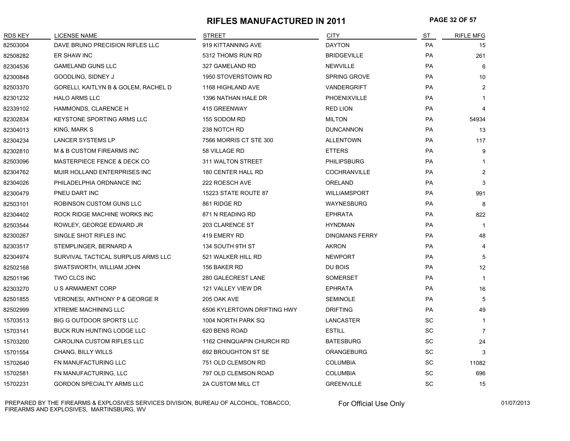#### **RIFLES MANUFACTURED IN 2011 PAGE 32 OF 57**

| <b>RDS KEY</b> | <b>LICENSE NAME</b>                  | <b>STREET</b>               | <b>CITY</b>         | ST        | <b>RIFLE MFG</b>        |
|----------------|--------------------------------------|-----------------------------|---------------------|-----------|-------------------------|
| 82503004       | DAVE BRUNO PRECISION RIFLES LLC      | 919 KITTANNING AVE          | <b>DAYTON</b>       | PA        | 15                      |
| 82508282       | ER SHAW INC                          | 5312 THOMS RUN RD           | <b>BRIDGEVILLE</b>  | PA        | 261                     |
| 82304536       | <b>GAMELAND GUNS LLC</b>             | 327 GAMELAND RD             | NEWVILLE            | PA        | 6                       |
| 82300848       | GOODLING, SIDNEY J                   | 1950 STOVERSTOWN RD         | <b>SPRING GROVE</b> | PA        | 10                      |
| 82503370       | GORELLI, KAITLYN B & GOLEM, RACHEL D | 1168 HIGHLAND AVE           | <b>VANDERGRIFT</b>  | PA        | 2                       |
| 82301232       | <b>HALO ARMS LLC</b>                 | 1396 NATHAN HALE DR         | PHOENIXVILLE        | PA        |                         |
| 82339102       | HAMMONDS, CLARENCE H                 | 415 GREENWAY                | <b>RED LION</b>     | PA        | $\overline{4}$          |
| 82302834       | <b>KEYSTONE SPORTING ARMS LLC</b>    | 155 SODOM RD                | <b>MILTON</b>       | PA        | 54934                   |
| 82304013       | KING, MARK S                         | 238 NOTCH RD                | DUNCANNON           | PA        | 13                      |
| 82304234       | LANCER SYSTEMS LP                    | 7566 MORRIS CT STE 300      | <b>ALLENTOWN</b>    | PA        | 117                     |
| 82302810       | M & B CUSTOM FIREARMS INC            | 58 VILLAGE RD               | ETTERS              | <b>PA</b> | 9                       |
| 82503096       | MASTERPIECE FENCE & DECK CO          | 311 WALTON STREET           | <b>PHILIPSBURG</b>  | PA        | $\mathbf 1$             |
| 82304762       | MUIR HOLLAND ENTERPRISES INC         | 180 CENTER HALL RD          | <b>COCHRANVILLE</b> | PA        | $\overline{2}$          |
| 82304026       | PHILADELPHIA ORDNANCE INC            | 222 ROESCH AVE              | ORELAND             | PA        | 3                       |
| 82300479       | PNEU DART INC                        | 15223 STATE ROUTE 87        | WILLIAMSPORT        | PA        | 991                     |
| 82503101       | ROBINSON CUSTOM GUNS LLC             | 861 RIDGE RD                | WAYNESBURG          | PA        | 8                       |
| 82304402       | ROCK RIDGE MACHINE WORKS INC         | 871 N READING RD            | <b>EPHRATA</b>      | PA        | 822                     |
| 82503544       | ROWLEY, GEORGE EDWARD JR             | 203 CLARENCE ST             | <b>HYNDMAN</b>      | PA        | $\overline{1}$          |
| 82300267       | SINGLE SHOT RIFLES INC               | 419 EMERY RD                | DINGMANS FERRY      | PA        | 48                      |
| 82303517       | STEMPLINGER, BERNARD A               | 134 SOUTH 9TH ST            | <b>AKRON</b>        | <b>PA</b> | $\overline{\mathbf{4}}$ |
| 82304974       | SURVIVAL TACTICAL SURPLUS ARMS LLC   | 521 WALKER HILL RD          | <b>NEWPORT</b>      | PA        | 5                       |
| 82502168       | SWATSWORTH, WILLIAM JOHN             | 156 BAKER RD                | DU BOIS             | PA        | 12                      |
| 82501196       | TWO CLCS INC                         | 280 GALECREST LANE          | <b>SOMERSET</b>     | <b>PA</b> | $\overline{1}$          |
| 82303270       | U S ARMAMENT CORP                    | 121 VALLEY VIEW DR          | EPHRATA             | PA        | 16                      |
| 82501855       | VERONESI, ANTHONY P & GEORGE R       | 205 OAK AVE                 | <b>SEMINOLE</b>     | PA        | 5                       |
| 82502999       | <b>XTREME MACHINING LLC</b>          | 6506 KYLERTOWN DRIFTING HWY | <b>DRIFTING</b>     | PA        | 49                      |
| 15703513       | BIG G OUTDOOR SPORTS LLC             | 1004 NORTH PARK SQ          | LANCASTER           | <b>SC</b> | -1                      |
| 15703141       | BUCK RUN HUNTING LODGE LLC           | 620 BENS ROAD               | ESTILL              | SC        | 7                       |
| 15703200       | CAROLINA CUSTOM RIFLES LLC           | 1162 CHINQUAPIN CHURCH RD   | <b>BATESBURG</b>    | <b>SC</b> | 24                      |
| 15701554       | CHANG, BILLY WILLS                   | 692 BROUGHTON ST SE         | <b>ORANGEBURG</b>   | SC        | 3                       |
| 15702640       | FN MANUFACTURING LLC                 | 751 OLD CLEMSON RD          | <b>COLUMBIA</b>     | SC        | 11082                   |
| 15702581       | FN MANUFACTURING, LLC                | 797 OLD CLEMSON ROAD        | <b>COLUMBIA</b>     | SC        | 696                     |
| 15702231       | <b>GORDON SPECIALTY ARMS LLC</b>     | 2A CUSTOM MILL CT           | <b>GREENVILLE</b>   | SC        | 15                      |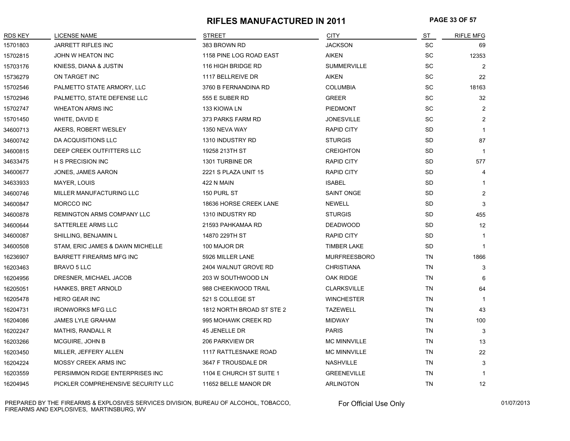#### **RIFLES MANUFACTURED IN 2011 PAGE 33 OF 57**

| <b>RDS KEY</b> | <b>LICENSE NAME</b>                | <b>STREET</b>                | <b>CITY</b>         | $ST$      | <b>RIFLE MFG</b> |
|----------------|------------------------------------|------------------------------|---------------------|-----------|------------------|
| 15701803       | JARRETT RIFLES INC                 | 383 BROWN RD                 | <b>JACKSON</b>      | SC        | 69               |
| 15702815       | JOHN W HEATON INC                  | 1158 PINE LOG ROAD EAST      | <b>AIKEN</b>        | SC        | 12353            |
| 15703176       | KNIESS, DIANA & JUSTIN             | 116 HIGH BRIDGE RD           | <b>SUMMERVILLE</b>  | SC        | 2                |
| 15736279       | ON TARGET INC                      | 1117 BELLREIVE DR            | <b>AIKEN</b>        | SC        | 22               |
| 15702546       | PALMETTO STATE ARMORY, LLC         | 3760 B FERNANDINA RD         | <b>COLUMBIA</b>     | SC        | 18163            |
| 15702946       | PALMETTO, STATE DEFENSE LLC        | 555 E SUBER RD               | <b>GREER</b>        | SC        | 32               |
| 15702747       | <b>WHEATON ARMS INC</b>            | 133 KIOWA LN                 | <b>PIEDMONT</b>     | SC        | $\overline{2}$   |
| 15701450       | WHITE, DAVID E                     | 373 PARKS FARM RD            | <b>JONESVILLE</b>   | SC        | $\overline{2}$   |
| 34600713       | AKERS, ROBERT WESLEY               | 1350 NEVA WAY                | <b>RAPID CITY</b>   | SD        |                  |
| 34600742       | DA ACQUISITIONS LLC                | 1310 INDUSTRY RD             | <b>STURGIS</b>      | SD        | 87               |
| 34600815       | DEEP CREEK OUTFITTERS LLC          | 19258 213TH ST               | <b>CREIGHTON</b>    | SD        | $\mathbf{1}$     |
| 34633475       | H S PRECISION INC                  | 1301 TURBINE DR              | <b>RAPID CITY</b>   | SD        | 577              |
| 34600677       | JONES, JAMES AARON                 | 2221 S PLAZA UNIT 15         | <b>RAPID CITY</b>   | <b>SD</b> | 4                |
| 34633933       | MAYER, LOUIS                       | 422 N MAIN                   | <b>ISABEL</b>       | SD        | $\mathbf{1}$     |
| 34600746       | MILLER MANUFACTURING LLC           | 150 PURL ST                  | <b>SAINT ONGE</b>   | <b>SD</b> | $\overline{2}$   |
| 34600847       | MORCCO INC                         | 18636 HORSE CREEK LANE       | <b>NEWELL</b>       | SD        | 3                |
| 34600878       | REMINGTON ARMS COMPANY LLC         | 1310 INDUSTRY RD             | <b>STURGIS</b>      | <b>SD</b> | 455              |
| 34600644       | SATTERLEE ARMS LLC                 | 21593 PAHKAMAA RD            | <b>DEADWOOD</b>     | SD        | 12               |
| 34600087       | SHILLING, BENJAMIN L               | 14870 229TH ST               | <b>RAPID CITY</b>   | SD        | $\mathbf{1}$     |
| 34600508       | STAM, ERIC JAMES & DAWN MICHELLE   | 100 MAJOR DR                 | <b>TIMBER LAKE</b>  | <b>SD</b> | 1                |
| 16236907       | <b>BARRETT FIREARMS MFG INC</b>    | 5926 MILLER LANE             | <b>MURFREESBORO</b> | <b>TN</b> | 1866             |
| 16203463       | BRAVO 5 LLC                        | 2404 WALNUT GROVE RD         | <b>CHRISTIANA</b>   | <b>TN</b> | 3                |
| 16204956       | DRESNER, MICHAEL JACOB             | 203 W SOUTHWOOD LN           | OAK RIDGE           | TN        | 6                |
| 16205051       | HANKES, BRET ARNOLD                | 988 CHEEKWOOD TRAIL          | <b>CLARKSVILLE</b>  | <b>TN</b> | 64               |
| 16205478       | <b>HERO GEAR INC</b>               | 521 S COLLEGE ST             | <b>WINCHESTER</b>   | <b>TN</b> |                  |
| 16204731       | <b>IRONWORKS MFG LLC</b>           | 1812 NORTH BROAD ST STE 2    | <b>TAZEWELL</b>     | TN        | 43               |
| 16204086       | <b>JAMES LYLE GRAHAM</b>           | 995 MOHAWK CREEK RD          | <b>MIDWAY</b>       | <b>TN</b> | 100              |
| 16202247       | MATHIS, RANDALL R                  | 45 JENELLE DR                | <b>PARIS</b>        | <b>TN</b> | 3                |
| 16203266       | MCGUIRE, JOHN B                    | 206 PARKVIEW DR              | <b>MC MINNVILLE</b> | <b>TN</b> | 13               |
| 16203450       | MILLER, JEFFERY ALLEN              | <b>1117 RATTLESNAKE ROAD</b> | <b>MC MINNVILLE</b> | <b>TN</b> | 22               |
| 16204224       | MOSSY CREEK ARMS INC               | 3647 F TROUSDALE DR          | <b>NASHVILLE</b>    | TN        | 3                |
| 16203559       | PERSIMMON RIDGE ENTERPRISES INC    | 1104 E CHURCH ST SUITE 1     | <b>GREENEVILLE</b>  | <b>TN</b> |                  |
| 16204945       | PICKLER COMPREHENSIVE SECURITY LLC | 11652 BELLE MANOR DR         | <b>ARLINGTON</b>    | <b>TN</b> | 12               |

PREPARED BY THE FIREARMS & EXPLOSIVES SERVICES DIVISION, BUREAU OF ALCOHOL, TOBACCO, FIREARMS AND EXPLOSIVES, MARTINSBURG, WV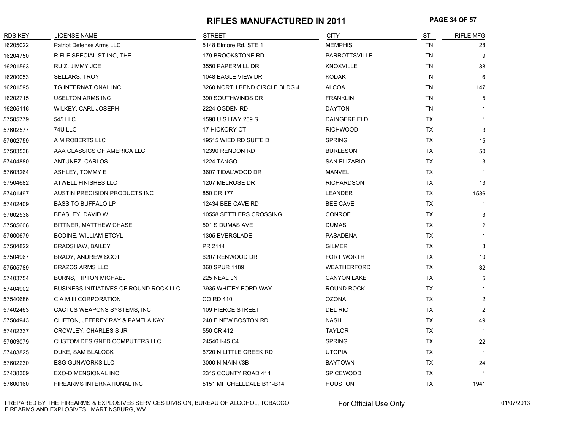#### **RIFLES MANUFACTURED IN 2011 PAGE 34 OF 57**

| <b>RDS KEY</b> | LICENSE NAME                                  | <b>STREET</b>                 | <b>CITY</b>         | ST        | <b>RIFLE MFG</b> |
|----------------|-----------------------------------------------|-------------------------------|---------------------|-----------|------------------|
| 16205022       | Patriot Defense Arms LLC                      | 5148 Elmore Rd, STE 1         | <b>MEMPHIS</b>      | TN        | 28               |
| 16204750       | RIFLE SPECIALIST INC, THE                     | 179 BROOKSTONE RD             | PARROTTSVILLE       | <b>TN</b> | 9                |
| 16201563       | RUIZ, JIMMY JOE                               | 3550 PAPERMILL DR             | <b>KNOXVILLE</b>    | TN        | 38               |
| 16200053       | SELLARS, TROY                                 | 1048 EAGLE VIEW DR            | <b>KODAK</b>        | TN        | 6                |
| 16201595       | TG INTERNATIONAL INC                          | 3260 NORTH BEND CIRCLE BLDG 4 | <b>ALCOA</b>        | <b>TN</b> | 147              |
| 16202715       | <b>USELTON ARMS INC</b>                       | 390 SOUTHWINDS DR             | <b>FRANKLIN</b>     | TN        | 5                |
| 16205116       | WILKEY, CARL JOSEPH                           | 2224 OGDEN RD                 | <b>DAYTON</b>       | <b>TN</b> | 1                |
| 57505779       | 545 LLC                                       | 1590 U S HWY 259 S            | <b>DAINGERFIELD</b> | TX        | 1                |
| 57602577       | 74U LLC                                       | 17 HICKORY CT                 | <b>RICHWOOD</b>     | TX        | 3                |
| 57602759       | A M ROBERTS LLC                               | 19515 WIED RD SUITE D         | <b>SPRING</b>       | TX        | 15               |
| 57503538       | AAA CLASSICS OF AMERICA LLC                   | 12390 RENDON RD               | <b>BURLESON</b>     | TX        | 50               |
| 57404880       | ANTUNEZ, CARLOS                               | 1224 TANGO                    | <b>SAN ELIZARIO</b> | TX        | 3                |
| 57603264       | ASHLEY, TOMMY E                               | 3607 TIDALWOOD DR             | <b>MANVEL</b>       | TX        | 1                |
| 57504682       | ATWELL FINISHES LLC                           | 1207 MELROSE DR               | <b>RICHARDSON</b>   | TX        | 13               |
| 57401497       | AUSTIN PRECISION PRODUCTS INC                 | 850 CR 177                    | <b>LEANDER</b>      | TX        | 1536             |
| 57402409       | <b>BASS TO BUFFALO LP</b>                     | 12434 BEE CAVE RD             | <b>BEE CAVE</b>     | TX        | $\mathbf{1}$     |
| 57602538       | BEASLEY, DAVID W                              | 10558 SETTLERS CROSSING       | CONROE              | TX        | 3                |
| 57505606       | BITTNER, MATTHEW CHASE                        | 501 S DUMAS AVE               | <b>DUMAS</b>        | TX        | $\overline{2}$   |
| 57600679       | <b>BODINE, WILLIAM ETCYL</b>                  | 1305 EVERGLADE                | PASADENA            | TX        | 1                |
| 57504822       | <b>BRADSHAW, BAILEY</b>                       | PR 2114                       | <b>GILMER</b>       | TX        | 3                |
| 57504967       | <b>BRADY, ANDREW SCOTT</b>                    | 6207 RENWOOD DR               | <b>FORT WORTH</b>   | TX        | 10               |
| 57505789       | <b>BRAZOS ARMS LLC</b>                        | 360 SPUR 1189                 | <b>WEATHERFORD</b>  | <b>TX</b> | 32               |
| 57403754       | <b>BURNS, TIPTON MICHAEL</b>                  | 225 NEAL LN                   | <b>CANYON LAKE</b>  | TX        | 5                |
| 57404902       | <b>BUSINESS INITIATIVES OF ROUND ROCK LLC</b> | 3935 WHITEY FORD WAY          | <b>ROUND ROCK</b>   | <b>TX</b> | 1                |
| 57540686       | C A M III CORPORATION                         | CO RD 410                     | <b>OZONA</b>        | <b>TX</b> | $\overline{c}$   |
| 57402463       | CACTUS WEAPONS SYSTEMS, INC                   | 109 PIERCE STREET             | DEL RIO             | TX        | 2                |
| 57504943       | CLIFTON, JEFFREY RAY & PAMELA KAY             | 248 E NEW BOSTON RD           | <b>NASH</b>         | TX        | 49               |
| 57402337       | CROWLEY, CHARLES S JR                         | 550 CR 412                    | <b>TAYLOR</b>       | TX        | $\mathbf{1}$     |
| 57603079       | <b>CUSTOM DESIGNED COMPUTERS LLC</b>          | 24540 I-45 C4                 | <b>SPRING</b>       | TX        | 22               |
| 57403825       | DUKE, SAM BLALOCK                             | 6720 N LITTLE CREEK RD        | <b>UTOPIA</b>       | TX        | 1                |
| 57602230       | <b>ESG GUNWORKS LLC</b>                       | 3000 N MAIN #3B               | <b>BAYTOWN</b>      | TX        | 24               |
| 57438309       | EXO-DIMENSIONAL INC                           | 2315 COUNTY ROAD 414          | SPICEWOOD           | TX        | -1               |
| 57600160       | FIREARMS INTERNATIONAL INC                    | 5151 MITCHELLDALE B11-B14     | <b>HOUSTON</b>      | TX        | 1941             |

PREPARED BY THE FIREARMS & EXPLOSIVES SERVICES DIVISION, BUREAU OF ALCOHOL, TOBACCO, FIREARMS AND EXPLOSIVES, MARTINSBURG, WV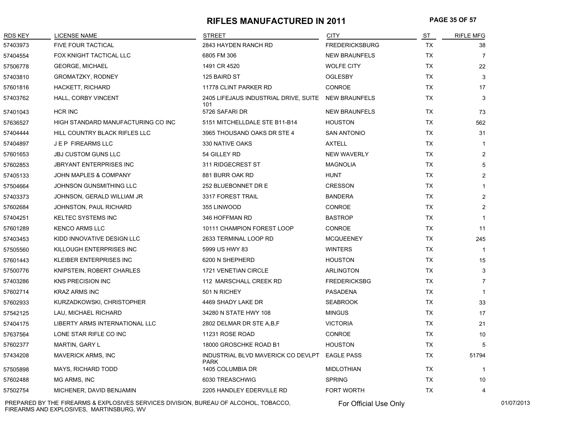#### **RIFLES MANUFACTURED IN 2011 PAGE 35 OF 57**

| <b>RDS KEY</b> | <b>LICENSE NAME</b>                | <b>STREET</b>                                     | <b>CITY</b>           | ST        | <b>RIFLE MFG</b>      |
|----------------|------------------------------------|---------------------------------------------------|-----------------------|-----------|-----------------------|
| 57403973       | <b>FIVE FOUR TACTICAL</b>          | 2843 HAYDEN RANCH RD                              | <b>FREDERICKSBURG</b> | <b>TX</b> | 38                    |
| 57404554       | FOX KNIGHT TACTICAL LLC            | 6805 FM 306                                       | <b>NEW BRAUNFELS</b>  | TX        | $\overline{7}$        |
| 57506778       | <b>GEORGE, MICHAEL</b>             | 1491 CR 4520                                      | <b>WOLFE CITY</b>     | TX        | 22                    |
| 57403810       | <b>GROMATZKY, RODNEY</b>           | 125 BAIRD ST                                      | <b>OGLESBY</b>        | TX        | 3                     |
| 57601816       | HACKETT, RICHARD                   | 11778 CLINT PARKER RD                             | CONROE                | TX        | 17                    |
| 57403762       | HALL, CORBY VINCENT                | 2405 LIFEJAUS INDUSTRIAL DRIVE, SUITE<br>101      | <b>NEW BRAUNFELS</b>  | <b>TX</b> | 3                     |
| 57401043       | HCR INC                            | 5726 SAFARI DR                                    | <b>NEW BRAUNFELS</b>  | TX        | 73                    |
| 57636527       | HIGH STANDARD MANUFACTURING CO INC | 5151 MITCHELLDALE STE B11-B14                     | <b>HOUSTON</b>        | TX        | 562                   |
| 57404444       | HILL COUNTRY BLACK RIFLES LLC      | 3965 THOUSAND OAKS DR STE 4                       | <b>SAN ANTONIO</b>    | TX        | 31                    |
| 57404897       | JEP FIREARMS LLC                   | 330 NATIVE OAKS                                   | <b>AXTELL</b>         | TX        | $\mathbf{1}$          |
| 57601653       | <b>JBJ CUSTOM GUNS LLC</b>         | 54 GILLEY RD                                      | <b>NEW WAVERLY</b>    | <b>TX</b> | $\overline{2}$        |
| 57602853       | <b>JBRYANT ENTERPRISES INC</b>     | 311 RIDGECREST ST                                 | <b>MAGNOLIA</b>       | TX        | 5                     |
| 57405133       | JOHN MAPLES & COMPANY              | 881 BURR OAK RD                                   | <b>HUNT</b>           | TX        | $\mathbf{2}^{\prime}$ |
| 57504664       | JOHNSON GUNSMITHING LLC            | 252 BLUEBONNET DR E                               | <b>CRESSON</b>        | TX        | $\mathbf{1}$          |
| 57403373       | JOHNSON, GERALD WILLIAM JR         | 3317 FOREST TRAIL                                 | <b>BANDERA</b>        | ТX        | $\overline{c}$        |
| 57602684       | JOHNSTON, PAUL RICHARD             | 355 LINWOOD                                       | CONROE                | <b>TX</b> | $\mathbf{2}$          |
| 57404251       | <b>KELTEC SYSTEMS INC</b>          | 346 HOFFMAN RD                                    | <b>BASTROP</b>        | TX        | $\mathbf 1$           |
| 57601289       | <b>KENCO ARMS LLC</b>              | 10111 CHAMPION FOREST LOOP                        | <b>CONROE</b>         | <b>TX</b> | 11                    |
| 57403453       | KIDD INNOVATIVE DESIGN LLC         | 2633 TERMINAL LOOP RD                             | <b>MCQUEENEY</b>      | TX        | 245                   |
| 57505560       | KILLOUGH ENTERPRISES INC           | 5999 US HWY 83                                    | <b>WINTERS</b>        | TX        | $\mathbf{1}$          |
| 57601443       | KLEIBER ENTERPRISES INC            | 6200 N SHEPHERD                                   | <b>HOUSTON</b>        | TX        | 15                    |
| 57500776       | KNIPSTEIN, ROBERT CHARLES          | <b>1721 VENETIAN CIRCLE</b>                       | <b>ARLINGTON</b>      | TX        | 3                     |
| 57403286       | <b>KNS PRECISION INC</b>           | 112 MARSCHALL CREEK RD                            | <b>FREDERICKSBG</b>   | <b>TX</b> | $\overline{7}$        |
| 57602714       | <b>KRAZ ARMS INC</b>               | 501 N RICHEY                                      | PASADENA              | TX        | $\mathbf{1}$          |
| 57602933       | KURZADKOWSKI, CHRISTOPHER          | 4469 SHADY LAKE DR                                | <b>SEABROOK</b>       | <b>TX</b> | 33                    |
| 57542125       | LAU, MICHAEL RICHARD               | 34280 N STATE HWY 108                             | <b>MINGUS</b>         | TX        | 17                    |
| 57404175       | LIBERTY ARMS INTERNATIONAL LLC     | 2802 DELMAR DR STE A,B,F                          | <b>VICTORIA</b>       | TX        | 21                    |
| 57637564       | LONE STAR RIFLE CO INC             | 11231 ROSE ROAD                                   | <b>CONROE</b>         | <b>TX</b> | 10                    |
| 57602377       | MARTIN, GARY L                     | 18000 GROSCHKE ROAD B1                            | <b>HOUSTON</b>        | TX        | 5                     |
| 57434208       | <b>MAVERICK ARMS, INC</b>          | INDUSTRIAL BLVD MAVERICK CO DEVLPT<br><b>PARK</b> | <b>EAGLE PASS</b>     | <b>TX</b> | 51794                 |
| 57505898       | MAYS, RICHARD TODD                 | 1405 COLUMBIA DR                                  | <b>MIDLOTHIAN</b>     | TX        | $\mathbf{1}$          |
| 57602488       | MG ARMS, INC                       | 6030 TREASCHWIG                                   | <b>SPRING</b>         | <b>TX</b> | 10                    |
| 57502754       | MICHENER, DAVID BENJAMIN           | 2205 HANDLEY EDERVILLE RD                         | <b>FORT WORTH</b>     | TX        | 4                     |

PREPARED BY THE FIREARMS & EXPLOSIVES SERVICES DIVISION, BUREAU OF ALCOHOL, TOBACCO, FIREARMS AND EXPLOSIVES, MARTINSBURG, WV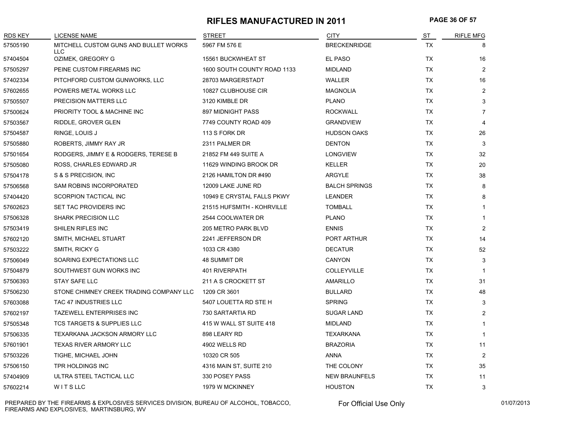#### **RIFLES MANUFACTURED IN 2011 PAGE 36 OF 57**

| <b>RDS KEY</b> | <b>LICENSE NAME</b>                                 | <b>STREET</b>               | <b>CITY</b>          | <b>ST</b> | <b>RIFLE MFG</b> |
|----------------|-----------------------------------------------------|-----------------------------|----------------------|-----------|------------------|
| 57505190       | MITCHELL CUSTOM GUNS AND BULLET WORKS<br><b>LLC</b> | 5967 FM 576 E               | <b>BRECKENRIDGE</b>  | TX        | 8                |
| 57404504       | OZIMEK, GREGORY G                                   | <b>15561 BUCKWHEAT ST</b>   | EL PASO              | <b>TX</b> | 16               |
| 57505297       | PEINE CUSTOM FIREARMS INC                           | 1600 SOUTH COUNTY ROAD 1133 | <b>MIDLAND</b>       | <b>TX</b> | 2                |
| 57402334       | PITCHFORD CUSTOM GUNWORKS, LLC                      | 28703 MARGERSTADT           | <b>WALLER</b>        | <b>TX</b> | 16               |
| 57602655       | POWERS METAL WORKS LLC                              | 10827 CLUBHOUSE CIR         | <b>MAGNOLIA</b>      | <b>TX</b> | 2                |
| 57505507       | PRECISION MATTERS LLC                               | 3120 KIMBLE DR              | <b>PLANO</b>         | <b>TX</b> | 3                |
| 57500624       | PRIORITY TOOL & MACHINE INC                         | 897 MIDNIGHT PASS           | <b>ROCKWALL</b>      | <b>TX</b> | $\overline{7}$   |
| 57503567       | RIDDLE, GROVER GLEN                                 | 7749 COUNTY ROAD 409        | <b>GRANDVIEW</b>     | TX        | 4                |
| 57504587       | RINGE, LOUIS J                                      | 113 S FORK DR               | <b>HUDSON OAKS</b>   | TX        | 26               |
| 57505880       | ROBERTS, JIMMY RAY JR                               | 2311 PALMER DR              | <b>DENTON</b>        | TX        | 3                |
| 57501654       | RODGERS, JIMMY E & RODGERS, TERESE B                | 21852 FM 449 SUITE A        | <b>LONGVIEW</b>      | TX        | 32               |
| 57505080       | ROSS, CHARLES EDWARD JR                             | 11629 WINDING BROOK DR      | <b>KELLER</b>        | <b>TX</b> | 20               |
| 57504178       | S & S PRECISION, INC                                | 2126 HAMILTON DR #490       | ARGYLE               | TX        | 38               |
| 57506568       | SAM ROBINS INCORPORATED                             | 12009 LAKE JUNE RD          | <b>BALCH SPRINGS</b> | TX        | 8                |
| 57404420       | SCORPION TACTICAL INC                               | 10949 E CRYSTAL FALLS PKWY  | <b>LEANDER</b>       | <b>TX</b> | 8                |
| 57602623       | SET TAC PROVIDERS INC                               | 21515 HUFSMITH - KOHRVILLE  | <b>TOMBALL</b>       | <b>TX</b> | 1                |
| 57506328       | <b>SHARK PRECISION LLC</b>                          | 2544 COOLWATER DR           | <b>PLANO</b>         | <b>TX</b> | $\mathbf{1}$     |
| 57503419       | SHILEN RIFLES INC                                   | 205 METRO PARK BLVD         | <b>ENNIS</b>         | TX        | 2                |
| 57602120       | SMITH, MICHAEL STUART                               | 2241 JEFFERSON DR           | PORT ARTHUR          | TX        | 14               |
| 57503222       | SMITH, RICKY G                                      | 1033 CR 4380                | <b>DECATUR</b>       | TX        | 52               |
| 57506049       | SOARING EXPECTATIONS LLC                            | <b>48 SUMMIT DR</b>         | CANYON               | <b>TX</b> | 3                |
| 57504879       | SOUTHWEST GUN WORKS INC                             | 401 RIVERPATH               | COLLEYVILLE          | <b>TX</b> | $\mathbf{1}$     |
| 57506393       | STAY SAFE LLC                                       | 211 A S CROCKETT ST         | AMARILLO             | <b>TX</b> | 31               |
| 57506230       | STONE CHIMNEY CREEK TRADING COMPANY LLC             | 1209 CR 3601                | <b>BULLARD</b>       | TX        | 48               |
| 57603088       | <b>TAC 47 INDUSTRIES LLC</b>                        | 5407 LOUETTA RD STE H       | <b>SPRING</b>        | <b>TX</b> | 3                |
| 57602197       | <b>TAZEWELL ENTERPRISES INC</b>                     | 730 SARTARTIA RD            | <b>SUGAR LAND</b>    | <b>TX</b> | $\overline{2}$   |
| 57505348       | <b>TCS TARGETS &amp; SUPPLIES LLC</b>               | 415 W WALL ST SUITE 418     | <b>MIDLAND</b>       | <b>TX</b> | 1                |
| 57506335       | TEXARKANA JACKSON ARMORY LLC                        | 898 LEARY RD                | <b>TEXARKANA</b>     | <b>TX</b> | 1                |
| 57601901       | <b>TEXAS RIVER ARMORY LLC</b>                       | 4902 WELLS RD               | <b>BRAZORIA</b>      | TX        | 11               |
| 57503226       | TIGHE, MICHAEL JOHN                                 | 10320 CR 505                | <b>ANNA</b>          | <b>TX</b> | 2                |
| 57506150       | TPR HOLDINGS INC                                    | 4316 MAIN ST, SUITE 210     | THE COLONY           | TX        | 35               |
| 57404909       | ULTRA STEEL TACTICAL LLC                            | 330 POSEY PASS              | <b>NEW BRAUNFELS</b> | <b>TX</b> | 11               |
| 57602214       | WITSLLC                                             | 1979 W MCKINNEY             | <b>HOUSTON</b>       | <b>TX</b> | 3                |

PREPARED BY THE FIREARMS & EXPLOSIVES SERVICES DIVISION, BUREAU OF ALCOHOL, TOBACCO, FIREARMS AND EXPLOSIVES, MARTINSBURG, WV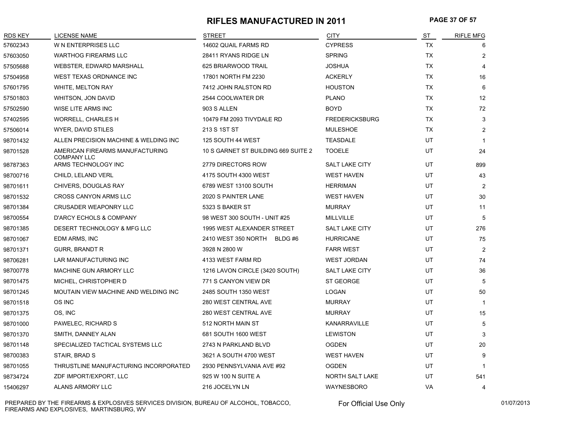#### **RIFLES MANUFACTURED IN 2011 PAGE 37 OF 57**

| <b>RDS KEY</b> | <b>LICENSE NAME</b>                                   | <b>STREET</b>                       | <b>CITY</b>           | <b>ST</b> | <b>RIFLE MFG</b> |
|----------------|-------------------------------------------------------|-------------------------------------|-----------------------|-----------|------------------|
| 57602343       | W N ENTERPRISES LLC                                   | 14602 QUAIL FARMS RD                | <b>CYPRESS</b>        | TX        | 6                |
| 57603050       | <b>WARTHOG FIREARMS LLC</b>                           | 28411 RYANS RIDGE LN                | <b>SPRING</b>         | TX        | $\overline{2}$   |
| 57505688       | WEBSTER, EDWARD MARSHALL                              | 625 BRIARWOOD TRAIL                 | <b>JOSHUA</b>         | TX        | $\overline{4}$   |
| 57504958       | WEST TEXAS ORDNANCE INC                               | 17801 NORTH FM 2230                 | <b>ACKERLY</b>        | TX        | 16               |
| 57601795       | <b>WHITE, MELTON RAY</b>                              | 7412 JOHN RALSTON RD                | <b>HOUSTON</b>        | TX        | 6                |
| 57501803       | WHITSON, JON DAVID                                    | 2544 COOLWATER DR                   | <b>PLANO</b>          | <b>TX</b> | 12               |
| 57502590       | WISE LITE ARMS INC                                    | 903 S ALLEN                         | <b>BOYD</b>           | <b>TX</b> | 72               |
| 57402595       | <b>WORRELL, CHARLES H</b>                             | 10479 FM 2093 TIVYDALE RD           | <b>FREDERICKSBURG</b> | <b>TX</b> | 3                |
| 57506014       | <b>WYER, DAVID STILES</b>                             | 213 S 1ST ST                        | <b>MULESHOE</b>       | TX        | $\overline{2}$   |
| 98701432       | ALLEN PRECISION MACHINE & WELDING INC                 | 125 SOUTH 44 WEST                   | <b>TEASDALE</b>       | UT        | $\mathbf 1$      |
| 98701528       | AMERICAN FIREARMS MANUFACTURING<br><b>COMPANY LLC</b> | 10 S GARNET ST BUILDING 669 SUITE 2 | <b>TOOELE</b>         | UT        | 24               |
| 98787363       | ARMS TECHNOLOGY INC                                   | 2779 DIRECTORS ROW                  | <b>SALT LAKE CITY</b> | UT        | 899              |
| 98700716       | CHILD, LELAND VERL                                    | 4175 SOUTH 4300 WEST                | <b>WEST HAVEN</b>     | UT        | 43               |
| 98701611       | CHIVERS, DOUGLAS RAY                                  | 6789 WEST 13100 SOUTH               | <b>HERRIMAN</b>       | UT        | 2                |
| 98701532       | <b>CROSS CANYON ARMS LLC</b>                          | 2020 S PAINTER LANE                 | <b>WEST HAVEN</b>     | UT        | 30               |
| 98701384       | <b>CRUSADER WEAPONRY LLC</b>                          | 5323 S BAKER ST                     | <b>MURRAY</b>         | UT        | 11               |
| 98700554       | <b>D'ARCY ECHOLS &amp; COMPANY</b>                    | 98 WEST 300 SOUTH - UNIT #25        | MILLVILLE             | UT        | 5                |
| 98701385       | DESERT TECHNOLOGY & MFG LLC                           | 1995 WEST ALEXANDER STREET          | <b>SALT LAKE CITY</b> | UT        | 276              |
| 98701067       | EDM ARMS, INC                                         | 2410 WEST 350 NORTH BLDG #6         | <b>HURRICANE</b>      | UT        | 75               |
| 98701371       | <b>GURR, BRANDT R</b>                                 | 3928 N 2800 W                       | <b>FARR WEST</b>      | UT        | $\overline{2}$   |
| 98706281       | LAR MANUFACTURING INC                                 | 4133 WEST FARM RD                   | <b>WEST JORDAN</b>    | UT        | 74               |
| 98700778       | MACHINE GUN ARMORY LLC                                | 1216 LAVON CIRCLE (3420 SOUTH)      | <b>SALT LAKE CITY</b> | UT        | 36               |
| 98701475       | MICHEL, CHRISTOPHER D                                 | 771 S CANYON VIEW DR                | <b>ST GEORGE</b>      | UT        | 5                |
| 98701245       | MOUTAIN VIEW MACHINE AND WELDING INC                  | 2485 SOUTH 1350 WEST                | LOGAN                 | UT        | 50               |
| 98701518       | OS INC                                                | 280 WEST CENTRAL AVE                | <b>MURRAY</b>         | UT        | $\mathbf 1$      |
| 98701375       | OS, INC                                               | 280 WEST CENTRAL AVE                | <b>MURRAY</b>         | UT        | 15               |
| 98701000       | PAWELEC, RICHARD S                                    | 512 NORTH MAIN ST                   | <b>KANARRAVILLE</b>   | UT        | 5                |
| 98701370       | SMITH, DANNEY ALAN                                    | 681 SOUTH 1600 WEST                 | <b>LEWISTON</b>       | UT        | 3                |
| 98701148       | SPECIALIZED TACTICAL SYSTEMS LLC                      | 2743 N PARKLAND BLVD                | <b>OGDEN</b>          | UT        | 20               |
| 98700383       | STAIR, BRAD S                                         | 3621 A SOUTH 4700 WEST              | <b>WEST HAVEN</b>     | UT        | 9                |
| 98701055       | THRUSTLINE MANUFACTURING INCORPORATED                 | 2930 PENNSYLVANIA AVE #92           | <b>OGDEN</b>          | UT        | $\mathbf{1}$     |
| 98734724       | ZDF IMPORT/EXPORT, LLC                                | 925 W 100 N SUITE A                 | NORTH SALT LAKE       | UT        | 541              |
| 15406297       | ALANS ARMORY LLC                                      | 216 JOCELYN LN                      | <b>WAYNESBORO</b>     | VA        | 4                |

PREPARED BY THE FIREARMS & EXPLOSIVES SERVICES DIVISION, BUREAU OF ALCOHOL, TOBACCO, FIREARMS AND EXPLOSIVES, MARTINSBURG, WV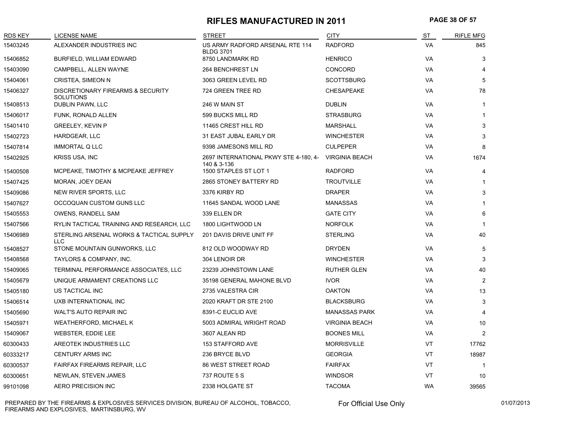#### **RIFLES MANUFACTURED IN 2011 PAGE 38 OF 57**

| <b>RDS KEY</b> | LICENSE NAME                                           | <b>STREET</b>                                        | <b>CITY</b>           | ST        | <b>RIFLE MFG</b> |
|----------------|--------------------------------------------------------|------------------------------------------------------|-----------------------|-----------|------------------|
| 15403245       | ALEXANDER INDUSTRIES INC                               | US ARMY RADFORD ARSENAL RTE 114<br><b>BLDG 3701</b>  | <b>RADFORD</b>        | <b>VA</b> | 845              |
| 15406852       | BURFIELD, WILLIAM EDWARD                               | 8750 LANDMARK RD                                     | <b>HENRICO</b>        | VA        | 3                |
| 15403090       | CAMPBELL, ALLEN WAYNE                                  | 264 BENCHREST LN                                     | <b>CONCORD</b>        | <b>VA</b> | $\overline{4}$   |
| 15404061       | CRISTEA, SIMEON N                                      | 3063 GREEN LEVEL RD                                  | <b>SCOTTSBURG</b>     | VA        | 5                |
| 15406327       | DISCRETIONARY FIREARMS & SECURITY<br><b>SOLUTIONS</b>  | 724 GREEN TREE RD                                    | <b>CHESAPEAKE</b>     | VA        | 78               |
| 15408513       | DUBLIN PAWN, LLC                                       | 246 W MAIN ST                                        | <b>DUBLIN</b>         | VA        | $\mathbf{1}$     |
| 15406017       | FUNK, RONALD ALLEN                                     | 599 BUCKS MILL RD                                    | <b>STRASBURG</b>      | VA        | -1               |
| 15401410       | <b>GREELEY, KEVIN P</b>                                | 11465 CREST HILL RD                                  | <b>MARSHALL</b>       | VA        | 3                |
| 15402723       | HARDGEAR, LLC                                          | 31 EAST JUBAL EARLY DR                               | <b>WINCHESTER</b>     | <b>VA</b> | 3                |
| 15407814       | <b>IMMORTAL Q LLC</b>                                  | 9398 JAMESONS MILL RD                                | <b>CULPEPER</b>       | <b>VA</b> | 8                |
| 15402925       | KRISS USA, INC                                         | 2697 INTERNATIONAL PKWY STE 4-180, 4-<br>140 & 3-136 | <b>VIRGINIA BEACH</b> | VA        | 1674             |
| 15400508       | MCPEAKE, TIMOTHY & MCPEAKE JEFFREY                     | 1500 STAPLES ST LOT 1                                | <b>RADFORD</b>        | VA        | $\overline{4}$   |
| 15407425       | MORAN, JOEY DEAN                                       | 2865 STONEY BATTERY RD                               | <b>TROUTVILLE</b>     | VA        | $\mathbf{1}$     |
| 15409086       | NEW RIVER SPORTS, LLC                                  | 3376 KIRBY RD                                        | <b>DRAPER</b>         | VA        | 3                |
| 15407627       | OCCOQUAN CUSTOM GUNS LLC                               | 11645 SANDAL WOOD LANE                               | <b>MANASSAS</b>       | VA        | $\mathbf 1$      |
| 15405553       | OWENS, RANDELL SAM                                     | 339 ELLEN DR                                         | <b>GATE CITY</b>      | <b>VA</b> | 6                |
| 15407566       | RYLIN TACTICAL TRAINING AND RESEARCH, LLC              | 1800 LIGHTWOOD LN                                    | <b>NORFOLK</b>        | VA        | -1               |
| 15406989       | STERLING ARSENAL WORKS & TACTICAL SUPPLY<br><b>LLC</b> | 201 DAVIS DRIVE UNIT FF                              | <b>STERLING</b>       | VA        | 40               |
| 15408527       | STONE MOUNTAIN GUNWORKS, LLC                           | 812 OLD WOODWAY RD                                   | <b>DRYDEN</b>         | VA        | 5                |
| 15408568       | TAYLORS & COMPANY, INC.                                | 304 LENOIR DR                                        | <b>WINCHESTER</b>     | <b>VA</b> | 3                |
| 15409065       | TERMINAL PERFORMANCE ASSOCIATES, LLC                   | 23239 JOHNSTOWN LANE                                 | <b>RUTHER GLEN</b>    | VA        | 40               |
| 15405679       | UNIQUE ARMAMENT CREATIONS LLC                          | 35198 GENERAL MAHONE BLVD                            | <b>IVOR</b>           | VA        | $\overline{2}$   |
| 15405180       | US TACTICAL INC                                        | 2735 VALESTRA CIR                                    | <b>OAKTON</b>         | VA        | 13               |
| 15406514       | <b>UXB INTERNATIONAL INC</b>                           | 2020 KRAFT DR STE 2100                               | <b>BLACKSBURG</b>     | VA        | 3                |
| 15405690       | <b>WALT'S AUTO REPAIR INC</b>                          | 8391-C EUCLID AVE                                    | <b>MANASSAS PARK</b>  | VA        | $\overline{4}$   |
| 15405971       | WEATHERFORD, MICHAEL K                                 | 5003 ADMIRAL WRIGHT ROAD                             | <b>VIRGINIA BEACH</b> | VA        | 10               |
| 15409067       | WEBSTER, EDDIE LEE                                     | 3607 ALEAN RD                                        | <b>BOONES MILL</b>    | VA        | 2                |
| 60300433       | AREOTEK INDUSTRIES LLC                                 | <b>153 STAFFORD AVE</b>                              | <b>MORRISVILLE</b>    | <b>VT</b> | 17762            |
| 60333217       | <b>CENTURY ARMS INC</b>                                | 236 BRYCE BLVD                                       | <b>GEORGIA</b>        | <b>VT</b> | 18987            |
| 60300537       | <b>FAIRFAX FIREARMS REPAIR, LLC</b>                    | <b>86 WEST STREET ROAD</b>                           | <b>FAIRFAX</b>        | VT        | -1               |
| 60300651       | <b>NEWLAN, STEVEN JAMES</b>                            | 737 ROUTE 5 S                                        | <b>WINDSOR</b>        | VT        | 10               |
| 99101098       | AERO PRECISION INC                                     | 2338 HOLGATE ST                                      | <b>TACOMA</b>         | <b>WA</b> | 39565            |

PREPARED BY THE FIREARMS & EXPLOSIVES SERVICES DIVISION, BUREAU OF ALCOHOL, TOBACCO, FIREARMS AND EXPLOSIVES, MARTINSBURG, WV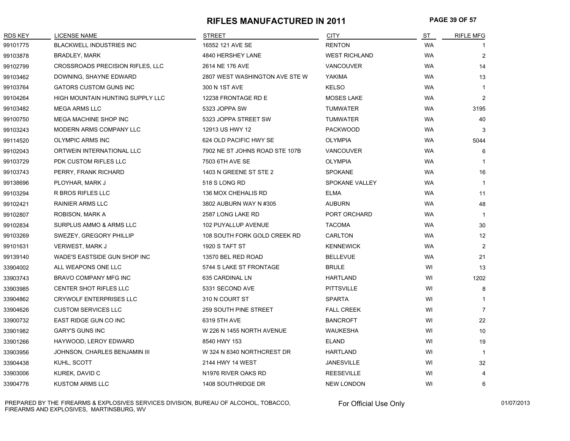#### **RIFLES MANUFACTURED IN 2011 PAGE 39 OF 57**

| <b>RDS KEY</b> | LICENSE NAME                     | <b>STREET</b>                  | <b>CITY</b>          | ST        | <b>RIFLE MFG</b> |
|----------------|----------------------------------|--------------------------------|----------------------|-----------|------------------|
| 99101775       | <b>BLACKWELL INDUSTRIES INC</b>  | 16552 121 AVE SE               | <b>RENTON</b>        | <b>WA</b> |                  |
| 99103878       | <b>BRADLEY, MARK</b>             | 4840 HERSHEY LANE              | <b>WEST RICHLAND</b> | WA        | $\overline{2}$   |
| 99102799       | CROSSROADS PRECISION RIFLES, LLC | 2614 NE 176 AVE                | <b>VANCOUVER</b>     | WA        | 14               |
| 99103462       | DOWNING, SHAYNE EDWARD           | 2807 WEST WASHINGTON AVE STE W | YAKIMA               | <b>WA</b> | 13               |
| 99103764       | GATORS CUSTOM GUNS INC           | 300 N 1ST AVE                  | <b>KELSO</b>         | WA        | $\mathbf{1}$     |
| 99104264       | HIGH MOUNTAIN HUNTING SUPPLY LLC | 12238 FRONTAGE RD E            | <b>MOSES LAKE</b>    | <b>WA</b> | $\overline{c}$   |
| 99103482       | <b>MEGA ARMS LLC</b>             | 5323 JOPPA SW                  | <b>TUMWATER</b>      | <b>WA</b> | 3195             |
| 99100750       | MEGA MACHINE SHOP INC            | 5323 JOPPA STREET SW           | <b>TUMWATER</b>      | <b>WA</b> | 40               |
| 99103243       | MODERN ARMS COMPANY LLC          | 12913 US HWY 12                | <b>PACKWOOD</b>      | WA        | 3                |
| 99114520       | <b>OLYMPIC ARMS INC</b>          | 624 OLD PACIFIC HWY SE         | <b>OLYMPIA</b>       | WA        | 5044             |
| 99102043       | ORTWEIN INTERNATIONAL LLC        | 7902 NE ST JOHNS ROAD STE 107B | <b>VANCOUVER</b>     | <b>WA</b> | 6                |
| 99103729       | PDK CUSTOM RIFLES LLC            | 7503 6TH AVE SE                | <b>OLYMPIA</b>       | <b>WA</b> | -1               |
| 99103743       | PERRY, FRANK RICHARD             | 1403 N GREENE ST STE 2         | <b>SPOKANE</b>       | <b>WA</b> | 16               |
| 99138696       | PLOYHAR, MARK J                  | 518 S LONG RD                  | SPOKANE VALLEY       | <b>WA</b> | $\mathbf{1}$     |
| 99103294       | R BROS RIFLES LLC                | 136 MOX CHEHALIS RD            | <b>ELMA</b>          | <b>WA</b> | 11               |
| 99102421       | <b>RAINIER ARMS LLC</b>          | 3802 AUBURN WAY N #305         | <b>AUBURN</b>        | WA        | 48               |
| 99102807       | ROBISON, MARK A                  | 2587 LONG LAKE RD              | PORT ORCHARD         | WA        | $\mathbf 1$      |
| 99102834       | SURPLUS AMMO & ARMS LLC          | 102 PUYALLUP AVENUE            | <b>TACOMA</b>        | WA        | 30               |
| 99103269       | SWEZEY, GREGORY PHILLIP          | 108 SOUTH FORK GOLD CREEK RD   | CARLTON              | <b>WA</b> | 12               |
| 99101631       | VERWEST, MARK J                  | 1920 S TAFT ST                 | <b>KENNEWICK</b>     | <b>WA</b> | 2                |
| 99139140       | WADE'S EASTSIDE GUN SHOP INC     | 13570 BEL RED ROAD             | <b>BELLEVUE</b>      | WA        | 21               |
| 33904002       | ALL WEAPONS ONE LLC              | 5744 S LAKE ST FRONTAGE        | <b>BRULE</b>         | WI        | 13               |
| 33903743       | BRAVO COMPANY MFG INC            | 635 CARDINAL LN                | <b>HARTLAND</b>      | WI        | 1202             |
| 33903985       | CENTER SHOT RIFLES LLC           | 5331 SECOND AVE                | <b>PITTSVILLE</b>    | WI        | 8                |
| 33904862       | <b>CRYWOLF ENTERPRISES LLC</b>   | 310 N COURT ST                 | <b>SPARTA</b>        | WI        |                  |
| 33904626       | <b>CUSTOM SERVICES LLC</b>       | 259 SOUTH PINE STREET          | <b>FALL CREEK</b>    | WI        | $\overline{7}$   |
| 33900732       | EAST RIDGE GUN CO INC            | 6319 5TH AVE                   | <b>BANCROFT</b>      | WI        | 22               |
| 33901982       | <b>GARY'S GUNS INC</b>           | W 226 N 1455 NORTH AVENUE      | <b>WAUKESHA</b>      | WI        | 10               |
| 33901266       | HAYWOOD, LEROY EDWARD            | 8540 HWY 153                   | <b>ELAND</b>         | WI        | 19               |
| 33903956       | JOHNSON, CHARLES BENJAMIN III    | W 324 N 8340 NORTHCREST DR     | <b>HARTLAND</b>      | WI        | $\mathbf{1}$     |
| 33904438       | KUHL, SCOTT                      | 2144 HWY 14 WEST               | <b>JANESVILLE</b>    | WI        | 32               |
| 33903006       | KUREK, DAVID C                   | N1976 RIVER OAKS RD            | <b>REESEVILLE</b>    | WI        | 4                |
| 33904776       | <b>KUSTOM ARMS LLC</b>           | 1408 SOUTHRIDGE DR             | <b>NEW LONDON</b>    | WI        | 6                |

PREPARED BY THE FIREARMS & EXPLOSIVES SERVICES DIVISION, BUREAU OF ALCOHOL, TOBACCO, FIREARMS AND EXPLOSIVES, MARTINSBURG, WV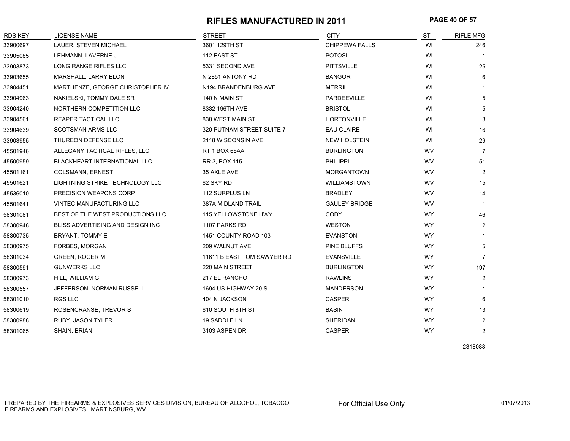#### **RIFLES MANUFACTURED IN 2011 PAGE 40 OF 57**

| <b>RDS KEY</b> | LICENSE NAME                     | <b>STREET</b>              | <b>CITY</b>           | ST        | <b>RIFLE MFG</b> |
|----------------|----------------------------------|----------------------------|-----------------------|-----------|------------------|
| 33900697       | LAUER, STEVEN MICHAEL            | 3601 129TH ST              | <b>CHIPPEWA FALLS</b> | WI        | 246              |
| 33905085       | LEHMANN, LAVERNE J               | 112 EAST ST                | <b>POTOSI</b>         | WI        |                  |
| 33903873       | LONG RANGE RIFLES LLC            | 5331 SECOND AVE            | <b>PITTSVILLE</b>     | WI        | 25               |
| 33903655       | MARSHALL, LARRY ELON             | N 2851 ANTONY RD           | <b>BANGOR</b>         | WI        | 6                |
| 33904451       | MARTHENZE, GEORGE CHRISTOPHER IV | N194 BRANDENBURG AVE       | <b>MERRILL</b>        | WI        | -1               |
| 33904963       | NAKIELSKI, TOMMY DALE SR         | 140 N MAIN ST              | PARDEEVILLE           | WI        | 5                |
| 33904240       | NORTHERN COMPETITION LLC         | 8332 196TH AVE             | <b>BRISTOL</b>        | WI        | 5                |
| 33904561       | REAPER TACTICAL LLC              | 838 WEST MAIN ST           | <b>HORTONVILLE</b>    | WI        | 3                |
| 33904639       | <b>SCOTSMAN ARMS LLC</b>         | 320 PUTNAM STREET SUITE 7  | <b>EAU CLAIRE</b>     | WI        | 16               |
| 33903955       | THUREON DEFENSE LLC              | 2118 WISCONSIN AVE         | <b>NEW HOLSTEIN</b>   | WI        | 29               |
| 45501946       | ALLEGANY TACTICAL RIFLES, LLC    | RT 1 BOX 68AA              | <b>BURLINGTON</b>     | WV        | 7                |
| 45500959       | BLACKHEART INTERNATIONAL LLC     | RR 3, BOX 115              | <b>PHILIPPI</b>       | WV        | 51               |
| 45501161       | COLSMANN, ERNEST                 | 35 AXLE AVE                | <b>MORGANTOWN</b>     | <b>WV</b> | $\overline{2}$   |
| 45501621       | LIGHTNING STRIKE TECHNOLOGY LLC  | 62 SKY RD                  | <b>WILLIAMSTOWN</b>   | <b>WV</b> | 15               |
| 45536010       | PRECISION WEAPONS CORP           | 112 SURPLUS LN             | <b>BRADLEY</b>        | <b>WV</b> | 14               |
| 45501641       | VINTEC MANUFACTURING LLC         | 387A MIDLAND TRAIL         | <b>GAULEY BRIDGE</b>  | WV        | $\mathbf 1$      |
| 58301081       | BEST OF THE WEST PRODUCTIONS LLC | 115 YELLOWSTONE HWY        | <b>CODY</b>           | <b>WY</b> | 46               |
| 58300948       | BLISS ADVERTISING AND DESIGN INC | 1107 PARKS RD              | <b>WESTON</b>         | <b>WY</b> | 2                |
| 58300735       | BRYANT, TOMMY E                  | 1451 COUNTY ROAD 103       | <b>EVANSTON</b>       | <b>WY</b> | -1               |
| 58300975       | FORBES, MORGAN                   | 209 WALNUT AVE             | PINE BLUFFS           | <b>WY</b> | 5                |
| 58301034       | GREEN, ROGER M                   | 11611 B EAST TOM SAWYER RD | <b>EVANSVILLE</b>     | <b>WY</b> | 7                |
| 58300591       | <b>GUNWERKS LLC</b>              | 220 MAIN STREET            | <b>BURLINGTON</b>     | <b>WY</b> | 197              |
| 58300973       | HILL, WILLIAM G                  | 217 EL RANCHO              | <b>RAWLINS</b>        | <b>WY</b> | $\overline{2}$   |
| 58300557       | JEFFERSON, NORMAN RUSSELL        | 1694 US HIGHWAY 20 S       | <b>MANDERSON</b>      | <b>WY</b> | $\mathbf 1$      |
| 58301010       | <b>RGS LLC</b>                   | 404 N JACKSON              | <b>CASPER</b>         | <b>WY</b> | 6                |
| 58300619       | ROSENCRANSE, TREVOR S            | 610 SOUTH 8TH ST           | <b>BASIN</b>          | <b>WY</b> | 13               |
| 58300988       | RUBY, JASON TYLER                | 19 SADDLE LN               | <b>SHERIDAN</b>       | <b>WY</b> | $\overline{2}$   |
| 58301065       | SHAIN, BRIAN                     | 3103 ASPEN DR              | <b>CASPER</b>         | <b>WY</b> | $\overline{2}$   |
|                |                                  |                            |                       |           |                  |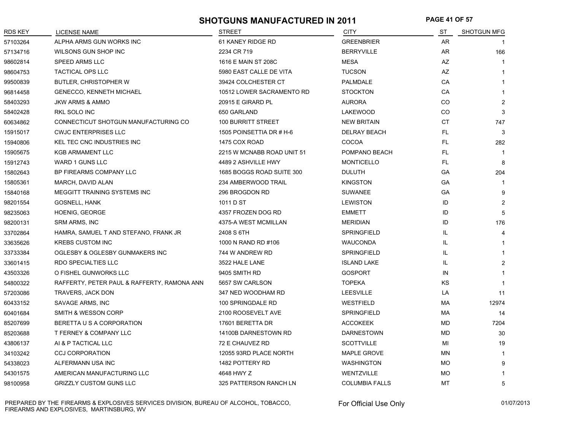# **SHOTGUNS MANUFACTURED IN 2011 PAGE 41 OF 57**

| RDS KEY  | <b>LICENSE NAME</b>                         | <b>STREET</b>              | <b>CITY</b>           | ST        | <b>SHOTGUN MFG</b> |
|----------|---------------------------------------------|----------------------------|-----------------------|-----------|--------------------|
| 57103264 | ALPHA ARMS GUN WORKS INC                    | 61 KANEY RIDGE RD          | <b>GREENBRIER</b>     | AR.       |                    |
| 57134716 | WILSONS GUN SHOP INC                        | 2234 CR 719                | <b>BERRYVILLE</b>     | AR        | 166                |
| 98602814 | <b>SPEED ARMS LLC</b>                       | 1616 E MAIN ST 208C        | MESA                  | AZ        | -1                 |
| 98604753 | <b>TACTICAL OPS LLC</b>                     | 5980 EAST CALLE DE VITA    | <b>TUCSON</b>         | <b>AZ</b> | -1                 |
| 99500839 | <b>BUTLER, CHRISTOPHER W</b>                | 39424 COLCHESTER CT        | PALMDALE              | CA        | $\mathbf{1}$       |
| 96814458 | <b>GENECCO, KENNETH MICHAEL</b>             | 10512 LOWER SACRAMENTO RD  | <b>STOCKTON</b>       | CA        | $\mathbf{1}$       |
| 58403293 | <b>JKW ARMS &amp; AMMO</b>                  | 20915 E GIRARD PL          | <b>AURORA</b>         | <b>CO</b> | $\overline{2}$     |
| 58402428 | RKL SOLO INC                                | 650 GARLAND                | LAKEWOOD              | CO.       | 3                  |
| 60634862 | CONNECTICUT SHOTGUN MANUFACTURING CO        | 100 BURRITT STREET         | <b>NEW BRITAIN</b>    | СT        | 747                |
| 15915017 | <b>CWJC ENTERPRISES LLC</b>                 | 1505 POINSETTIA DR # H-6   | <b>DELRAY BEACH</b>   | <b>FL</b> | 3                  |
| 15940806 | KEL TEC CNC INDUSTRIES INC                  | 1475 COX ROAD              | <b>COCOA</b>          | <b>FL</b> | 282                |
| 15905675 | <b>KGB ARMAMENT LLC</b>                     | 2215 W MCNABB ROAD UNIT 51 | POMPANO BEACH         | FL.       | -1                 |
| 15912743 | WARD 1 GUNS LLC                             | 4489 2 ASHVILLE HWY        | <b>MONTICELLO</b>     | FL.       | 8                  |
| 15802643 | BP FIREARMS COMPANY LLC                     | 1685 BOGGS ROAD SUITE 300  | <b>DULUTH</b>         | GA        | 204                |
| 15805361 | MARCH, DAVID ALAN                           | 234 AMBERWOOD TRAIL        | <b>KINGSTON</b>       | GA        | -1                 |
| 15840168 | MEGGITT TRAINING SYSTEMS INC                | 296 BROGDON RD             | <b>SUWANEE</b>        | GA        | 9                  |
| 98201554 | GOSNELL, HANK                               | 1011 D ST                  | <b>LEWISTON</b>       | ID        | 2                  |
| 98235063 | <b>HOENIG, GEORGE</b>                       | 4357 FROZEN DOG RD         | <b>EMMETT</b>         | ID        | 5                  |
| 98200131 | <b>SRM ARMS, INC</b>                        | 4375-A WEST MCMILLAN       | <b>MERIDIAN</b>       | ID        | 176                |
| 33702864 | HAMRA, SAMUEL T AND STEFANO, FRANK JR       | 2408 S 6TH                 | <b>SPRINGFIELD</b>    | IL        | $\overline{4}$     |
| 33635626 | <b>KREBS CUSTOM INC</b>                     | 1000 N RAND RD #106        | <b>WAUCONDA</b>       | IL        |                    |
| 33733384 | OGLESBY & OGLESBY GUNMAKERS INC             | 744 W ANDREW RD            | SPRINGFIELD           | IL        |                    |
| 33601415 | RDO SPECIALTIES LLC                         | 3522 HALE LANE             | <b>ISLAND LAKE</b>    | IL        | $\overline{2}$     |
| 43503326 | O FISHEL GUNWORKS LLC                       | 9405 SMITH RD              | <b>GOSPORT</b>        | IN        |                    |
| 54800322 | RAFFERTY, PETER PAUL & RAFFERTY, RAMONA ANN | 5657 SW CARLSON            | <b>TOPEKA</b>         | <b>KS</b> |                    |
| 57203086 | TRAVERS, JACK DON                           | 347 NED WOODHAM RD         | <b>LEESVILLE</b>      | LA        | 11                 |
| 60433152 | SAVAGE ARMS, INC                            | 100 SPRINGDALE RD          | <b>WESTFIELD</b>      | МA        | 12974              |
| 60401684 | SMITH & WESSON CORP                         | 2100 ROOSEVELT AVE         | SPRINGFIELD           | MA        | 14                 |
| 85207699 | BERETTA U S A CORPORATION                   | 17601 BERETTA DR           | <b>ACCOKEEK</b>       | MD        | 7204               |
| 85203688 | T FERNEY & COMPANY LLC                      | 14100B DARNESTOWN RD       | <b>DARNESTOWN</b>     | MD        | 30                 |
| 43806137 | AI & P TACTICAL LLC                         | 72 E CHAUVEZ RD            | <b>SCOTTVILLE</b>     | MI        | 19                 |
| 34103242 | <b>CCJ CORPORATION</b>                      | 12055 93RD PLACE NORTH     | <b>MAPLE GROVE</b>    | ΜN        | -1                 |
| 54338023 | ALFERMANN USA INC                           | 1482 POTTERY RD            | <b>WASHINGTON</b>     | <b>MO</b> | 9                  |
| 54301575 | AMERICAN MANUFACTURING LLC                  | 4648 HWY Z                 | WENTZVILLE            | <b>MO</b> | -1                 |
| 98100958 | <b>GRIZZLY CUSTOM GUNS LLC</b>              | 325 PATTERSON RANCH LN     | <b>COLUMBIA FALLS</b> | MT        | 5                  |

PREPARED BY THE FIREARMS & EXPLOSIVES SERVICES DIVISION, BUREAU OF ALCOHOL, TOBACCO, FIREARMS AND EXPLOSIVES, MARTINSBURG, WV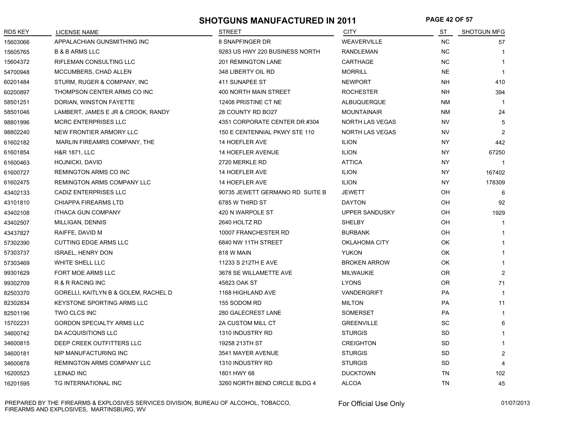# **SHOTGUNS MANUFACTURED IN 2011 PAGE 42 OF 57**

| <b>RDS KEY</b> | <b>LICENSE NAME</b>                  | <b>STREET</b>                   | <b>CITY</b>           | ST        | <b>SHOTGUN MFG</b> |
|----------------|--------------------------------------|---------------------------------|-----------------------|-----------|--------------------|
| 15603066       | APPALACHIAN GUNSMITHING INC          | 8 SNAPFINGER DR                 | <b>WEAVERVILLE</b>    | <b>NC</b> | 57                 |
| 15605765       | <b>B &amp; B ARMS LLC</b>            | 9283 US HWY 220 BUSINESS NORTH  | RANDLEMAN             | <b>NC</b> | $\overline{1}$     |
| 15604372       | RIFLEMAN CONSULTING LLC              | 201 REMINGTON LANE              | CARTHAGE              | <b>NC</b> | $\overline{1}$     |
| 54700948       | MCCUMBERS, CHAD ALLEN                | 348 LIBERTY OIL RD              | <b>MORRILL</b>        | <b>NE</b> | $\mathbf{1}$       |
| 60201484       | STURM, RUGER & COMPANY, INC          | 411 SUNAPEE ST                  | <b>NEWPORT</b>        | NΗ        | 410                |
| 60200897       | THOMPSON CENTER ARMS CO INC          | 400 NORTH MAIN STREET           | <b>ROCHESTER</b>      | NΗ        | 394                |
| 58501251       | DORIAN, WINSTON FAYETTE              | 12408 PRISTINE CT NE            | ALBUQUERQUE           | ΝM        | $\mathbf{1}$       |
| 58501046       | LAMBERT, JAMES E JR & CROOK, RANDY   | 28 COUNTY RD BO27               | <b>MOUNTAINAIR</b>    | ΝM        | 24                 |
| 98801996       | MCRC ENTERPRISES LLC                 | 4351 CORPORATE CENTER DR #304   | NORTH LAS VEGAS       | <b>NV</b> | 5                  |
| 98802240       | NEW FRONTIER ARMORY LLC              | 150 E CENTENNIAL PKWY STE 110   | NORTH LAS VEGAS       | <b>NV</b> | $\overline{2}$     |
| 61602182       | MARLIN FIREAMRS COMPANY, THE         | 14 HOEFLER AVE                  | <b>ILION</b>          | NY        | 442                |
| 61601854       | <b>H&amp;R 1871, LLC</b>             | 14 HOEFLER AVENUE               | <b>ILION</b>          | NY        | 67250              |
| 61600463       | <b>HOJNICKI, DAVID</b>               | 2720 MERKLE RD                  | <b>ATTICA</b>         | NY        | $\mathbf{1}$       |
| 61600727       | <b>REMINGTON ARMS CO INC.</b>        | 14 HOEFLER AVE                  | <b>ILION</b>          | NY        | 167402             |
| 61602475       | REMINGTON ARMS COMPANY LLC           | 14 HOEFLER AVE                  | <b>ILION</b>          | NY        | 178309             |
| 43402133       | <b>CADIZ ENTERPRISES LLC</b>         | 90735 JEWETT GERMANO RD SUITE B | <b>JEWETT</b>         | OН        | 6                  |
| 43101810       | <b>CHIAPPA FIREARMS LTD</b>          | 6785 W THIRD ST                 | <b>DAYTON</b>         | OН        | 92                 |
| 43402108       | <b>ITHACA GUN COMPANY</b>            | 420 N WARPOLE ST                | <b>UPPER SANDUSKY</b> | OН        | 1929               |
| 43402507       | MILLIGAN, DENNIS                     | 2640 HOLTZ RD                   | SHELBY                | OH        | $\mathbf{1}$       |
| 43437827       | RAIFFE, DAVID M                      | 10007 FRANCHESTER RD            | <b>BURBANK</b>        | OH        | 1                  |
| 57302390       | <b>CUTTING EDGE ARMS LLC</b>         | 6840 NW 11TH STREET             | OKLAHOMA CITY         | OK        | $\mathbf 1$        |
| 57303737       | <b>ISRAEL, HENRY DON</b>             | 818 W MAIN                      | <b>YUKON</b>          | OK        | $\overline{1}$     |
| 57303469       | WHITE SHELL LLC                      | 11233 S 212TH E AVE             | <b>BROKEN ARROW</b>   | OK        | $\mathbf{1}$       |
| 99301629       | FORT MOE ARMS LLC                    | 3678 SE WILLAMETTE AVE          | <b>MILWAUKIE</b>      | <b>OR</b> | 2                  |
| 99302709       | R & R RACING INC                     | 45823 OAK ST                    | <b>LYONS</b>          | 0R        | 71                 |
| 82503370       | GORELLI, KAITLYN B & GOLEM, RACHEL D | 1168 HIGHLAND AVE               | VANDERGRIFT           | PA        | $\mathbf{1}$       |
| 82302834       | <b>KEYSTONE SPORTING ARMS LLC</b>    | 155 SODOM RD                    | <b>MILTON</b>         | <b>PA</b> | 11                 |
| 82501196       | TWO CLCS INC                         | 280 GALECREST LANE              | <b>SOMERSET</b>       | PA        | $\mathbf{1}$       |
| 15702231       | <b>GORDON SPECIALTY ARMS LLC</b>     | 2A CUSTOM MILL CT               | <b>GREENVILLE</b>     | SC        | 6                  |
| 34600742       | DA ACQUISITIONS LLC                  | 1310 INDUSTRY RD                | <b>STURGIS</b>        | <b>SD</b> | $\mathbf{1}$       |
| 34600815       | DEEP CREEK OUTFITTERS LLC            | 19258 213TH ST                  | <b>CREIGHTON</b>      | <b>SD</b> | $\overline{1}$     |
| 34600181       | NIP MANUFACTURING INC                | 3541 MAYER AVENUE               | <b>STURGIS</b>        | SD        | 2                  |
| 34600878       | REMINGTON ARMS COMPANY LLC           | 1310 INDUSTRY RD                | <b>STURGIS</b>        | <b>SD</b> |                    |
| 16200523       | <b>LEINAD INC</b>                    | 1801 HWY 68                     | <b>DUCKTOWN</b>       | TN        | 102                |
| 16201595       | TG INTERNATIONAL INC                 | 3260 NORTH BEND CIRCLE BLDG 4   | <b>ALCOA</b>          | <b>TN</b> | 45                 |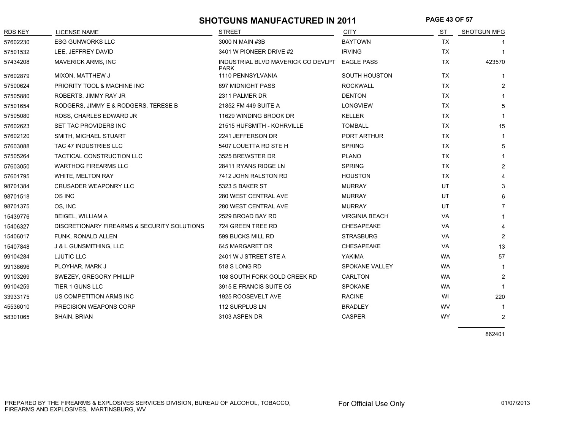### **SHOTGUNS MANUFACTURED IN 2011 PAGE 43 OF 57**

| <b>RDS KEY</b> | <b>LICENSE NAME</b>                         | <b>STREET</b>                                     | <b>CITY</b>           | <b>ST</b> | <b>SHOTGUN MFG</b> |
|----------------|---------------------------------------------|---------------------------------------------------|-----------------------|-----------|--------------------|
| 57602230       | <b>ESG GUNWORKS LLC</b>                     | 3000 N MAIN #3B                                   | <b>BAYTOWN</b>        | <b>TX</b> |                    |
| 57501532       | LEE, JEFFREY DAVID                          | 3401 W PIONEER DRIVE #2                           | <b>IRVING</b>         | <b>TX</b> |                    |
| 57434208       | <b>MAVERICK ARMS, INC</b>                   | INDUSTRIAL BLVD MAVERICK CO DEVLPT<br><b>PARK</b> | <b>EAGLE PASS</b>     | <b>TX</b> | 423570             |
| 57602879       | MIXON, MATTHEW J                            | 1110 PENNSYLVANIA                                 | SOUTH HOUSTON         | <b>TX</b> | 1                  |
| 57500624       | <b>PRIORITY TOOL &amp; MACHINE INC</b>      | 897 MIDNIGHT PASS                                 | <b>ROCKWALL</b>       | <b>TX</b> | $\overline{2}$     |
| 57505880       | ROBERTS, JIMMY RAY JR                       | 2311 PALMER DR                                    | <b>DENTON</b>         | TX        |                    |
| 57501654       | RODGERS, JIMMY E & RODGERS, TERESE B        | 21852 FM 449 SUITE A                              | <b>LONGVIEW</b>       | <b>TX</b> | 5                  |
| 57505080       | ROSS, CHARLES EDWARD JR                     | 11629 WINDING BROOK DR                            | <b>KELLER</b>         | <b>TX</b> | 1                  |
| 57602623       | SET TAC PROVIDERS INC                       | 21515 HUFSMITH - KOHRVILLE                        | <b>TOMBALL</b>        | <b>TX</b> | 15                 |
| 57602120       | SMITH, MICHAEL STUART                       | 2241 JEFFERSON DR                                 | PORT ARTHUR           | <b>TX</b> | $\mathbf{1}$       |
| 57603088       | TAC 47 INDUSTRIES LLC                       | 5407 LOUETTA RD STE H                             | <b>SPRING</b>         | <b>TX</b> | 5                  |
| 57505264       | TACTICAL CONSTRUCTION LLC                   | 3525 BREWSTER DR                                  | <b>PLANO</b>          | <b>TX</b> | $\mathbf{1}$       |
| 57603050       | <b>WARTHOG FIREARMS LLC</b>                 | 28411 RYANS RIDGE LN                              | <b>SPRING</b>         | <b>TX</b> | $\overline{2}$     |
| 57601795       | WHITE, MELTON RAY                           | 7412 JOHN RALSTON RD                              | <b>HOUSTON</b>        | <b>TX</b> |                    |
| 98701384       | <b>CRUSADER WEAPONRY LLC</b>                | 5323 S BAKER ST                                   | <b>MURRAY</b>         | UT        | 3                  |
| 98701518       | OS INC                                      | 280 WEST CENTRAL AVE                              | <b>MURRAY</b>         | UT        | 6                  |
| 98701375       | OS, INC                                     | 280 WEST CENTRAL AVE                              | <b>MURRAY</b>         | UT        | $\overline{7}$     |
| 15439776       | <b>BEIGEL, WILLIAM A</b>                    | 2529 BROAD BAY RD                                 | <b>VIRGINIA BEACH</b> | VA        |                    |
| 15406327       | DISCRETIONARY FIREARMS & SECURITY SOLUTIONS | 724 GREEN TREE RD                                 | <b>CHESAPEAKE</b>     | <b>VA</b> | 4                  |
| 15406017       | FUNK, RONALD ALLEN                          | 599 BUCKS MILL RD                                 | <b>STRASBURG</b>      | VA        | $\overline{2}$     |
| 15407848       | J & L GUNSMITHING, LLC                      | 645 MARGARET DR                                   | CHESAPEAKE            | VA        | 13                 |
| 99104284       | <b>LJUTIC LLC</b>                           | 2401 W J STREET STE A                             | YAKIMA                | <b>WA</b> | 57                 |
| 99138696       | PLOYHAR, MARK J                             | 518 S LONG RD                                     | <b>SPOKANE VALLEY</b> | <b>WA</b> | -1                 |
| 99103269       | SWEZEY, GREGORY PHILLIP                     | 108 SOUTH FORK GOLD CREEK RD                      | CARLTON               | <b>WA</b> | 2                  |
| 99104259       | TIER 1 GUNS LLC                             | 3915 E FRANCIS SUITE C5                           | <b>SPOKANE</b>        | <b>WA</b> | $\mathbf{1}$       |
| 33933175       | US COMPETITION ARMS INC                     | 1925 ROOSEVELT AVE                                | <b>RACINE</b>         | WI        | 220                |
| 45536010       | PRECISION WEAPONS CORP                      | 112 SURPLUS LN                                    | <b>BRADLEY</b>        | WV        | -1                 |
| 58301065       | SHAIN, BRIAN                                | 3103 ASPEN DR                                     | <b>CASPER</b>         | <b>WY</b> | 2                  |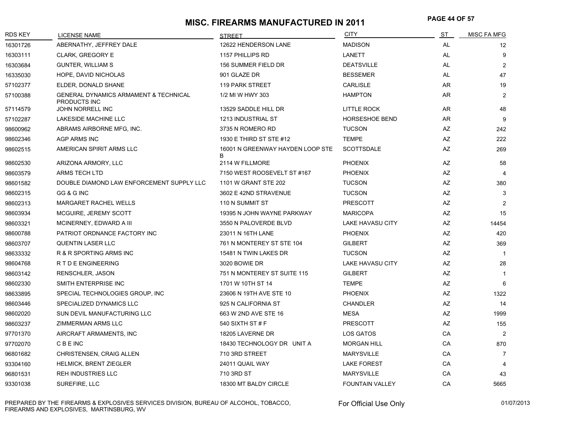# **MISC. FIREARMS MANUFACTURED IN 2011 PAGE 44 OF 57**

| <b>RDS KEY</b> | <b>LICENSE NAME</b>                                              | <b>STREET</b>                         | <b>CITY</b>             | ST        | MISC FA MFG    |
|----------------|------------------------------------------------------------------|---------------------------------------|-------------------------|-----------|----------------|
| 16301726       | ABERNATHY, JEFFREY DALE                                          | 12622 HENDERSON LANE                  | <b>MADISON</b>          | AL.       | 12             |
| 16303111       | <b>CLARK, GREGORY E</b>                                          | 1157 PHILLIPS RD                      | LANETT                  | AL.       | 9              |
| 16303684       | <b>GUNTER, WILLIAM S</b>                                         | 156 SUMMER FIELD DR                   | <b>DEATSVILLE</b>       | AL        | 2              |
| 16335030       | HOPE, DAVID NICHOLAS                                             | 901 GLAZE DR                          | <b>BESSEMER</b>         | AL        | 47             |
| 57102377       | ELDER, DONALD SHANE                                              | 119 PARK STREET                       | <b>CARLISLE</b>         | <b>AR</b> | 19             |
| 57100388       | <b>GENERAL DYNAMICS ARMAMENT &amp; TECHNICAL</b><br>PRODUCTS INC | 1/2 MI W HWY 303                      | <b>HAMPTON</b>          | <b>AR</b> | 2              |
| 57114579       | <b>JOHN NORRELL INC</b>                                          | 13529 SADDLE HILL DR                  | <b>LITTLE ROCK</b>      | <b>AR</b> | 48             |
| 57102287       | <b>LAKESIDE MACHINE LLC</b>                                      | 1213 INDUSTRIAL ST                    | <b>HORSESHOE BEND</b>   | <b>AR</b> | 9              |
| 98600962       | ABRAMS AIRBORNE MFG, INC.                                        | 3735 N ROMERO RD                      | <b>TUCSON</b>           | AZ        | 242            |
| 98602346       | <b>AGP ARMS INC</b>                                              | 1930 E THIRD ST STE #12               | <b>TEMPE</b>            | AZ        | 222            |
| 98602515       | AMERICAN SPIRIT ARMS LLC                                         | 16001 N GREENWAY HAYDEN LOOP STE<br>В | <b>SCOTTSDALE</b>       | AZ        | 269            |
| 98602530       | ARIZONA ARMORY, LLC                                              | 2114 W FILLMORE                       | <b>PHOENIX</b>          | AZ        | 58             |
| 98603579       | ARMS TECH LTD                                                    | 7150 WEST ROOSEVELT ST #167           | <b>PHOENIX</b>          | AZ        | 4              |
| 98601582       | DOUBLE DIAMOND LAW ENFORCEMENT SUPPLY LLC                        | 1101 W GRANT STE 202                  | <b>TUCSON</b>           | AZ        | 380            |
| 98602315       | GG & G INC                                                       | 3602 E 42ND STRAVENUE                 | <b>TUCSON</b>           | AZ        | 3              |
| 98602313       | <b>MARGARET RACHEL WELLS</b>                                     | 110 N SUMMIT ST                       | <b>PRESCOTT</b>         | <b>AZ</b> | 2              |
| 98603934       | MCGUIRE, JEREMY SCOTT                                            | 19395 N JOHN WAYNE PARKWAY            | <b>MARICOPA</b>         | AZ        | 15             |
| 98603321       | MCINERNEY, EDWARD A III                                          | 3550 N PALOVERDE BLVD                 | LAKE HAVASU CITY        | <b>AZ</b> | 14454          |
| 98600788       | PATRIOT ORDNANCE FACTORY INC                                     | 23011 N 16TH LANE                     | <b>PHOENIX</b>          | AZ        | 420            |
| 98603707       | <b>QUENTIN LASER LLC</b>                                         | 761 N MONTEREY ST STE 104             | <b>GILBERT</b>          | AZ        | 369            |
| 98633332       | R & R SPORTING ARMS INC                                          | 15481 N TWIN LAKES DR                 | <b>TUCSON</b>           | AZ        | $\mathbf{1}$   |
| 98604768       | R T D E ENGINEERING                                              | 3020 BOWIE DR                         | <b>LAKE HAVASU CITY</b> | AZ        | 28             |
| 98603142       | RENSCHLER, JASON                                                 | 751 N MONTEREY ST SUITE 115           | <b>GILBERT</b>          | AZ        | $\overline{1}$ |
| 98602330       | SMITH ENTERPRISE INC                                             | 1701 W 10TH ST 14                     | <b>TEMPE</b>            | AZ        | 6              |
| 98633895       | SPECIAL TECHNOLOGIES GROUP, INC                                  | 23606 N 19TH AVE STE 10               | <b>PHOENIX</b>          | <b>AZ</b> | 1322           |
| 98603446       | SPECIALIZED DYNAMICS LLC                                         | 925 N CALIFORNIA ST                   | <b>CHANDLER</b>         | AZ        | 14             |
| 98602020       | SUN DEVIL MANUFACTURING LLC                                      | 663 W 2ND AVE STE 16                  | <b>MESA</b>             | AZ        | 1999           |
| 98603237       | ZIMMERMAN ARMS LLC                                               | 540 SIXTH ST # F                      | PRESCOTT                | AZ        | 155            |
| 97701370       | AIRCRAFT ARMAMENTS, INC                                          | 18205 LAVERNE DR                      | LOS GATOS               | CA        | 2              |
| 97702070       | <b>CBEINC</b>                                                    | 18430 TECHNOLOGY DR UNIT A            | <b>MORGAN HILL</b>      | CA        | 870            |
| 96801682       | CHRISTENSEN, CRAIG ALLEN                                         | 710 3RD STREET                        | <b>MARYSVILLE</b>       | CA        | $\overline{7}$ |
| 93304160       | <b>HELMICK, BRENT ZIEGLER</b>                                    | 24011 QUAIL WAY                       | <b>LAKE FOREST</b>      | CA        | 4              |
| 96801531       | <b>REH INDUSTRIES LLC</b>                                        | 710 3RD ST                            | <b>MARYSVILLE</b>       | CA        | 43             |
| 93301038       | SUREFIRE, LLC                                                    | 18300 MT BALDY CIRCLE                 | <b>FOUNTAIN VALLEY</b>  | CA        | 5665           |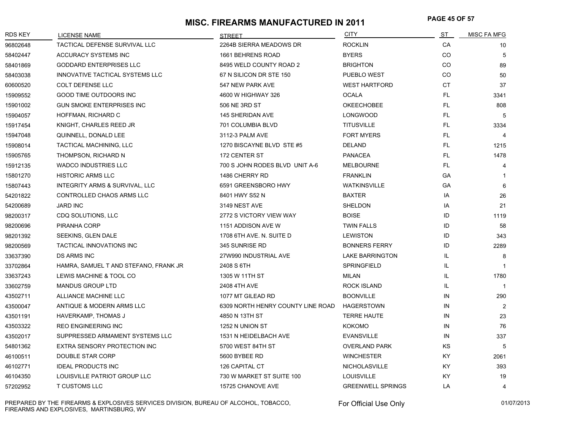# **MISC. FIREARMS MANUFACTURED IN 2011 PAGE 45 OF 57**

| <b>RDS KEY</b> | <b>LICENSE NAME</b>                   | <b>STREET</b>                     | <b>CITY</b>              | ST        | <b>MISC FA MFG</b> |
|----------------|---------------------------------------|-----------------------------------|--------------------------|-----------|--------------------|
| 96802648       | TACTICAL DEFENSE SURVIVAL LLC         | 2264B SIERRA MEADOWS DR           | <b>ROCKLIN</b>           | CA        | 10                 |
| 58402447       | ACCURACY SYSTEMS INC                  | 1661 BEHRENS ROAD                 | <b>BYERS</b>             | CO.       | 5                  |
| 58401869       | <b>GODDARD ENTERPRISES LLC</b>        | 8495 WELD COUNTY ROAD 2           | <b>BRIGHTON</b>          | <b>CO</b> | 89                 |
| 58403038       | INNOVATIVE TACTICAL SYSTEMS LLC       | 67 N SILICON DR STE 150           | PUEBLO WEST              | <b>CO</b> | 50                 |
| 60600520       | <b>COLT DEFENSE LLC</b>               | 547 NEW PARK AVE                  | <b>WEST HARTFORD</b>     | <b>CT</b> | 37                 |
| 15909552       | GOOD TIME OUTDOORS INC                | 4600 W HIGHWAY 326                | <b>OCALA</b>             | FL.       | 3341               |
| 15901002       | <b>GUN SMOKE ENTERPRISES INC</b>      | 506 NE 3RD ST                     | <b>OKEECHOBEE</b>        | FL.       | 808                |
| 15904057       | HOFFMAN, RICHARD C                    | 145 SHERIDAN AVE                  | <b>LONGWOOD</b>          | FL.       | $\overline{5}$     |
| 15917454       | KNIGHT, CHARLES REED JR               | 701 COLUMBIA BLVD                 | <b>TITUSVILLE</b>        | FL.       | 3334               |
| 15947048       | QUINNELL, DONALD LEE                  | 3112-3 PALM AVE                   | <b>FORT MYERS</b>        | FL.       | 4                  |
| 15908014       | TACTICAL MACHINING, LLC               | 1270 BISCAYNE BLVD STE #5         | DELAND                   | FL.       | 1215               |
| 15905765       | THOMPSON, RICHARD N                   | 172 CENTER ST                     | <b>PANACEA</b>           | FL.       | 1478               |
| 15912135       | <b>WADCO INDUSTRIES LLC</b>           | 700 S JOHN RODES BLVD UNIT A-6    | <b>MELBOURNE</b>         | FL.       | 4                  |
| 15801270       | <b>HISTORIC ARMS LLC</b>              | 1486 CHERRY RD                    | <b>FRANKLIN</b>          | GA        | $\mathbf{1}$       |
| 15807443       | INTEGRITY ARMS & SURVIVAL, LLC        | 6591 GREENSBORO HWY               | <b>WATKINSVILLE</b>      | GA        | 6                  |
| 54201822       | CONTROLLED CHAOS ARMS LLC             | 8401 HWY S52 N                    | <b>BAXTER</b>            | IA        | 26                 |
| 54200689       | <b>JARD INC</b>                       | 3149 NEST AVE                     | SHELDON                  | IA        | 21                 |
| 98200317       | CDQ SOLUTIONS, LLC                    | 2772 S VICTORY VIEW WAY           | <b>BOISE</b>             | ID        | 1119               |
| 98200696       | PIRANHA CORP                          | 1151 ADDISON AVE W                | <b>TWIN FALLS</b>        | ID        | 58                 |
| 98201392       | SEEKINS, GLEN DALE                    | 1708 6TH AVE. N. SUITE D          | <b>LEWISTON</b>          | ID        | 343                |
| 98200569       | TACTICAL INNOVATIONS INC              | 345 SUNRISE RD                    | <b>BONNERS FERRY</b>     | ID        | 2289               |
| 33637390       | <b>DS ARMS INC</b>                    | 27W990 INDUSTRIAL AVE             | <b>LAKE BARRINGTON</b>   | IL        | 8                  |
| 33702864       | HAMRA, SAMUEL T AND STEFANO, FRANK JR | 2408 S 6TH                        | <b>SPRINGFIELD</b>       | IL        | $\mathbf{1}$       |
| 33637243       | LEWIS MACHINE & TOOL CO               | 1305 W 11TH ST                    | <b>MILAN</b>             | IL.       | 1780               |
| 33602759       | <b>MANDUS GROUP LTD</b>               | 2408 4TH AVE                      | <b>ROCK ISLAND</b>       | IL.       | $\overline{1}$     |
| 43502711       | ALLIANCE MACHINE LLC                  | 1077 MT GILEAD RD                 | <b>BOONVILLE</b>         | IN        | 290                |
| 43500047       | ANTIQUE & MODERN ARMS LLC             | 6309 NORTH HENRY COUNTY LINE ROAD | <b>HAGERSTOWN</b>        | IN        | 2                  |
| 43501191       | HAVERKAMP, THOMAS J                   | 4850 N 13TH ST                    | <b>TERRE HAUTE</b>       | IN        | 23                 |
| 43503322       | <b>REO ENGINEERING INC</b>            | 1252 N UNION ST                   | <b>KOKOMO</b>            | IN        | 76                 |
| 43502017       | SUPPRESSED ARMAMENT SYSTEMS LLC       | 1531 N HEIDELBACH AVE             | <b>EVANSVILLE</b>        | IN        | 337                |
| 54801362       | EXTRA SENSORY PROTECTION INC          | 5700 WEST 84TH ST                 | <b>OVERLAND PARK</b>     | KS        | 5                  |
| 46100511       | DOUBLE STAR CORP                      | 5600 BYBEE RD                     | <b>WINCHESTER</b>        | KY.       | 2061               |
| 46102771       | <b>IDEAL PRODUCTS INC</b>             | 126 CAPITAL CT                    | NICHOLASVILLE            | KY.       | 393                |
| 46104350       | LOUISVILLE PATRIOT GROUP LLC          | 730 W MARKET ST SUITE 100         | <b>LOUISVILLE</b>        | KY.       | 19                 |
| 57202952       | <b>T CUSTOMS LLC</b>                  | 15725 CHANOVE AVE                 | <b>GREENWELL SPRINGS</b> | LA        | $\overline{4}$     |

PREPARED BY THE FIREARMS & EXPLOSIVES SERVICES DIVISION, BUREAU OF ALCOHOL, TOBACCO, FIREARMS AND EXPLOSIVES, MARTINSBURG, WV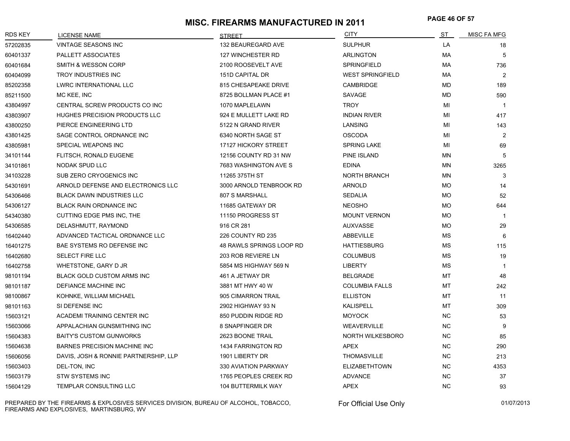# **MISC. FIREARMS MANUFACTURED IN 2011 PAGE 46 OF 57**

| <b>RDS KEY</b> | <b>LICENSE NAME</b>                   | <b>STREET</b>             | <b>CITY</b>             | ST        | <b>MISC FA MFG</b> |
|----------------|---------------------------------------|---------------------------|-------------------------|-----------|--------------------|
| 57202835       | <b>VINTAGE SEASONS INC</b>            | 132 BEAUREGARD AVE        | <b>SULPHUR</b>          | LA        | 18                 |
| 60401337       | PALLETT ASSOCIATES                    | 127 WINCHESTER RD         | <b>ARLINGTON</b>        | МA        | 5                  |
| 60401684       | SMITH & WESSON CORP                   | 2100 ROOSEVELT AVE        | SPRINGFIELD             | МA        | 736                |
| 60404099       | <b>TROY INDUSTRIES INC</b>            | 151D CAPITAL DR           | <b>WEST SPRINGFIELD</b> | МA        | 2                  |
| 85202358       | <b>LWRC INTERNATIONAL LLC</b>         | 815 CHESAPEAKE DRIVE      | CAMBRIDGE               | <b>MD</b> | 189                |
| 85211500       | MC KEE, INC                           | 8725 BOLLMAN PLACE #1     | <b>SAVAGE</b>           | <b>MD</b> | 590                |
| 43804997       | CENTRAL SCREW PRODUCTS CO INC         | 1070 MAPLELAWN            | <b>TROY</b>             | MI        | $\overline{1}$     |
| 43803907       | HUGHES PRECISION PRODUCTS LLC         | 924 E MULLETT LAKE RD     | <b>INDIAN RIVER</b>     | MI        | 417                |
| 43800250       | PIERCE ENGINEERING LTD                | 5122 N GRAND RIVER        | LANSING                 | MI        | 143                |
| 43801425       | SAGE CONTROL ORDNANCE INC             | 6340 NORTH SAGE ST        | <b>OSCODA</b>           | MI        | 2                  |
| 43805981       | SPECIAL WEAPONS INC                   | 17127 HICKORY STREET      | <b>SPRING LAKE</b>      | MI        | 69                 |
| 34101144       | FLITSCH, RONALD EUGENE                | 12156 COUNTY RD 31 NW     | PINE ISLAND             | MN        | 5                  |
| 34101861       | NODAK SPUD LLC                        | 7683 WASHINGTON AVE S     | <b>EDINA</b>            | <b>MN</b> | 3265               |
| 34103228       | SUB ZERO CRYOGENICS INC               | 11265 375TH ST            | <b>NORTH BRANCH</b>     | ΜN        | 3                  |
| 54301691       | ARNOLD DEFENSE AND ELECTRONICS LLC    | 3000 ARNOLD TENBROOK RD   | <b>ARNOLD</b>           | МO        | 14                 |
| 54306466       | <b>BLACK DAWN INDUSTRIES LLC</b>      | 807 S MARSHALL            | <b>SEDALIA</b>          | <b>MO</b> | 52                 |
| 54306127       | <b>BLACK RAIN ORDNANCE INC</b>        | 11685 GATEWAY DR          | <b>NEOSHO</b>           | <b>MO</b> | 644                |
| 54340380       | CUTTING EDGE PMS INC, THE             | 11150 PROGRESS ST         | <b>MOUNT VERNON</b>     | <b>MO</b> | $\mathbf{1}$       |
| 54306585       | DELASHMUTT, RAYMOND                   | 916 CR 281                | <b>AUXVASSE</b>         | <b>MO</b> | 29                 |
| 16402440       | ADVANCED TACTICAL ORDNANCE LLC        | 226 COUNTY RD 235         | <b>ABBEVILLE</b>        | <b>MS</b> | 6                  |
| 16401275       | BAE SYSTEMS RO DEFENSE INC            | 48 RAWLS SPRINGS LOOP RD  | <b>HATTIESBURG</b>      | МS        | 115                |
| 16402680       | <b>SELECT FIRE LLC</b>                | 203 ROB REVIERE LN        | <b>COLUMBUS</b>         | МS        | 19                 |
| 16402758       | WHETSTONE, GARY D JR                  | 5854 MS HIGHWAY 569 N     | <b>LIBERTY</b>          | МS        | $\mathbf{1}$       |
| 98101194       | <b>BLACK GOLD CUSTOM ARMS INC</b>     | 461 A JETWAY DR           | <b>BELGRADE</b>         | MT        | 48                 |
| 98101187       | DEFIANCE MACHINE INC                  | 3881 MT HWY 40 W          | <b>COLUMBIA FALLS</b>   | МT        | 242                |
| 98100867       | KOHNKE, WILLIAM MICHAEL               | 905 CIMARRON TRAIL        | <b>ELLISTON</b>         | MT        | 11                 |
| 98101163       | SI DEFENSE INC                        | 2902 HIGHWAY 93 N         | <b>KALISPELL</b>        | MT        | 309                |
| 15603121       | ACADEMI TRAINING CENTER INC           | 850 PUDDIN RIDGE RD       | <b>MOYOCK</b>           | <b>NC</b> | 53                 |
| 15603066       | APPALACHIAN GUNSMITHING INC           | 8 SNAPFINGER DR           | WEAVERVILLE             | <b>NC</b> | 9                  |
| 15604383       | <b>BAITY'S CUSTOM GUNWORKS</b>        | 2623 BOONE TRAIL          | NORTH WILKESBORO        | <b>NC</b> | 85                 |
| 15604638       | <b>BARNES PRECISION MACHINE INC</b>   | 1434 FARRINGTON RD        | <b>APEX</b>             | <b>NC</b> | 290                |
| 15606056       | DAVIS, JOSH & RONNIE PARTNERSHIP, LLP | 1901 LIBERTY DR           | <b>THOMASVILLE</b>      | NC        | 213                |
| 15603403       | DEL-TON, INC                          | 330 AVIATION PARKWAY      | <b>ELIZABETHTOWN</b>    | <b>NC</b> | 4353               |
| 15603179       | <b>STW SYSTEMS INC</b>                | 1765 PEOPLES CREEK RD     | <b>ADVANCE</b>          | <b>NC</b> | 37                 |
| 15604129       | TEMPLAR CONSULTING LLC                | <b>104 BUTTERMILK WAY</b> | <b>APEX</b>             | <b>NC</b> | 93                 |

PREPARED BY THE FIREARMS & EXPLOSIVES SERVICES DIVISION, BUREAU OF ALCOHOL, TOBACCO, FIREARMS AND EXPLOSIVES, MARTINSBURG, WV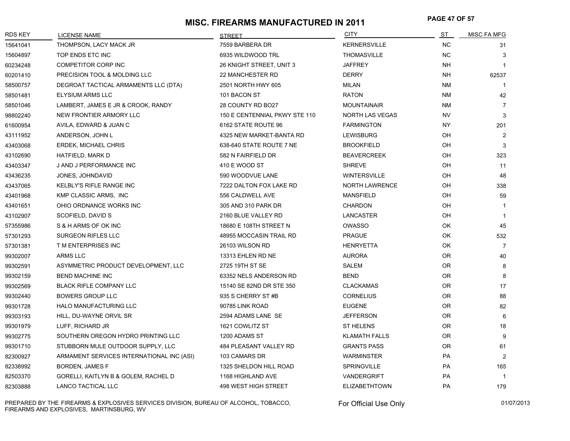# **MISC. FIREARMS MANUFACTURED IN 2011 PAGE 47 OF 57**

| RDS KEY  | <b>LICENSE NAME</b>                       | <b>STREET</b>                 | <b>CITY</b>            | <u>ST</u> | MISC FA MFG    |
|----------|-------------------------------------------|-------------------------------|------------------------|-----------|----------------|
| 15641041 | THOMPSON, LACY MACK JR                    | 7559 BARBERA DR               | <b>KERNERSVILLE</b>    | <b>NC</b> | 31             |
| 15604897 | TOP ENDS ETC INC                          | 6935 WILDWOOD TRL             | <b>THOMASVILLE</b>     | <b>NC</b> | 3              |
| 60234248 | <b>COMPETITOR CORP INC</b>                | 26 KNIGHT STREET, UNIT 3      | <b>JAFFREY</b>         | NH        | $\mathbf{1}$   |
| 60201410 | PRECISION TOOL & MOLDING LLC              | <b>22 MANCHESTER RD</b>       | <b>DERRY</b>           | NΗ        | 62537          |
| 58500757 | DEGROAT TACTICAL ARMAMENTS LLC (DTA)      | 2501 NORTH HWY 605            | <b>MILAN</b>           | <b>NM</b> | -1             |
| 58501481 | <b>ELYSIUM ARMS LLC</b>                   | 101 BACON ST                  | <b>RATON</b>           | <b>NM</b> | 42             |
| 58501046 | LAMBERT, JAMES E JR & CROOK, RANDY        | 28 COUNTY RD BO27             | <b>MOUNTAINAIR</b>     | <b>NM</b> | $\overline{7}$ |
| 98802240 | NEW FRONTIER ARMORY LLC                   | 150 E CENTENNIAL PKWY STE 110 | <b>NORTH LAS VEGAS</b> | <b>NV</b> | 3              |
| 61600954 | AVILA, EDWARD & JUAN C                    | 6162 STATE ROUTE 96           | <b>FARMINGTON</b>      | NY.       | 201            |
| 43111952 | ANDERSON, JOHN L                          | 4325 NEW MARKET-BANTA RD      | <b>LEWISBURG</b>       | OH        | $\overline{2}$ |
| 43403068 | <b>ERDEK, MICHAEL CHRIS</b>               | 638-640 STATE ROUTE 7 NE      | <b>BROOKFIELD</b>      | OH        | 3              |
| 43102690 | HATFIELD, MARK D                          | 582 N FAIRFIELD DR            | <b>BEAVERCREEK</b>     | OH        | 323            |
| 43403347 | J AND J PERFORMANCE INC                   | 410 E WOOD ST                 | <b>SHREVE</b>          | OH        | 11             |
| 43436235 | JONES, JOHNDAVID                          | 590 WOODVUE LANE              | <b>WINTERSVILLE</b>    | OH        | 48             |
| 43437065 | KELBLY'S RIFLE RANGE INC                  | 7222 DALTON FOX LAKE RD       | <b>NORTH LAWRENCE</b>  | OH        | 338            |
| 43401968 | KMP CLASSIC ARMS, INC                     | 556 CALDWELL AVE              | <b>MANSFIELD</b>       | OH        | 59             |
| 43401651 | OHIO ORDNANCE WORKS INC                   | 305 AND 310 PARK DR           | <b>CHARDON</b>         | OH        | $\mathbf{1}$   |
| 43102907 | SCOFIELD, DAVID S                         | 2160 BLUE VALLEY RD           | LANCASTER              | OH        | $\mathbf{1}$   |
| 57355986 | S & H ARMS OF OK INC                      | 18680 E 108TH STREET N        | <b>OWASSO</b>          | OK        | 45             |
| 57301293 | <b>SURGEON RIFLES LLC</b>                 | 48955 MOCCASIN TRAIL RD       | <b>PRAGUE</b>          | OK        | 532            |
| 57301381 | T M ENTERPRISES INC                       | 26103 WILSON RD               | <b>HENRYETTA</b>       | OK        | $\overline{7}$ |
| 99302007 | <b>ARMS LLC</b>                           | 13313 EHLEN RD NE             | <b>AURORA</b>          | 0R        | 40             |
| 99302591 | ASYMMETRIC PRODUCT DEVELOPMENT, LLC       | 2725 19TH ST SE               | <b>SALEM</b>           | 0R        | 8              |
| 99302159 | <b>BEND MACHINE INC</b>                   | 63352 NELS ANDERSON RD        | <b>BEND</b>            | 0R        | 8              |
| 99302569 | <b>BLACK RIFLE COMPANY LLC</b>            | 15140 SE 82ND DR STE 350      | <b>CLACKAMAS</b>       | 0R        | 17             |
| 99302440 | <b>BOWERS GROUP LLC</b>                   | 935 S CHERRY ST#B             | <b>CORNELIUS</b>       | 0R        | 88             |
| 99301728 | <b>HALO MANUFACTURING LLC</b>             | 90785 LINK ROAD               | <b>EUGENE</b>          | 0R        | 82             |
| 99303193 | HILL, DU-WAYNE ORVIL SR                   | 2594 ADAMS LANE SE            | <b>JEFFERSON</b>       | 0R        | 6              |
| 99301979 | LUFF, RICHARD JR                          | 1621 COWLITZ ST               | <b>ST HELENS</b>       | 0R        | 18             |
| 99302775 | SOUTHERN OREGON HYDRO PRINTING LLC        | 1200 ADAMS ST                 | <b>KLAMATH FALLS</b>   | 0R        | 9              |
| 99301710 | STUBBORN MULE OUTDOOR SUPPLY, LLC         | 484 PLEASANT VALLEY RD        | <b>GRANTS PASS</b>     | <b>OR</b> | 61             |
| 82300927 | ARMAMENT SERVICES INTERNATIONAL INC (ASI) | 103 CAMARS DR                 | WARMINSTER             | PA        | $\overline{2}$ |
| 82338992 | BORDEN, JAMES F                           | 1325 SHELDON HILL ROAD        | <b>SPRINGVILLE</b>     | <b>PA</b> | 165            |
| 82503370 | GORELLI, KAITLYN B & GOLEM, RACHEL D      | 1168 HIGHLAND AVE             | VANDERGRIFT            | <b>PA</b> | $\mathbf{1}$   |
| 82303888 | <b>LANCO TACTICAL LLC</b>                 | 498 WEST HIGH STREET          | <b>ELIZABETHTOWN</b>   | <b>PA</b> | 179            |

PREPARED BY THE FIREARMS & EXPLOSIVES SERVICES DIVISION, BUREAU OF ALCOHOL, TOBACCO, FIREARMS AND EXPLOSIVES, MARTINSBURG, WV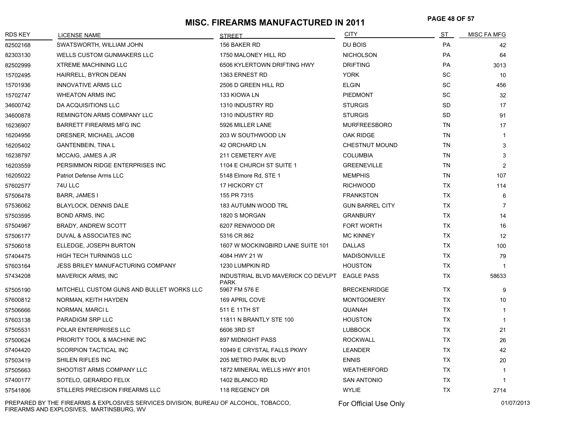# **MISC. FIREARMS MANUFACTURED IN 2011 PAGE 48 OF 57**

| <b>RDS KEY</b> | LICENSE NAME                                                                         | <b>STREET</b>                                                | <b>CITY</b>            | ST        | <b>MISC FA MFG</b> |
|----------------|--------------------------------------------------------------------------------------|--------------------------------------------------------------|------------------------|-----------|--------------------|
| 82502168       | SWATSWORTH, WILLIAM JOHN                                                             | 156 BAKER RD                                                 | DU BOIS                | PA        | 42                 |
| 82303130       | <b>WELLS CUSTOM GUNMAKERS LLC</b>                                                    | 1750 MALONEY HILL RD                                         | <b>NICHOLSON</b>       | PA        | 64                 |
| 82502999       | <b>XTREME MACHINING LLC</b>                                                          | 6506 KYLERTOWN DRIFTING HWY                                  | <b>DRIFTING</b>        | PA        | 3013               |
| 15702495       | HAIRRELL, BYRON DEAN                                                                 | 1363 ERNEST RD                                               | <b>YORK</b>            | SC        | 10                 |
| 15701936       | <b>INNOVATIVE ARMS LLC</b>                                                           | 2506 D GREEN HILL RD                                         | <b>ELGIN</b>           | <b>SC</b> | 456                |
| 15702747       | <b>WHEATON ARMS INC</b>                                                              | 133 KIOWA LN                                                 | PIEDMONT               | SC        | 32                 |
| 34600742       | DA ACQUISITIONS LLC                                                                  | 1310 INDUSTRY RD                                             | <b>STURGIS</b>         | <b>SD</b> | 17                 |
| 34600878       | REMINGTON ARMS COMPANY LLC                                                           | 1310 INDUSTRY RD                                             | <b>STURGIS</b>         | <b>SD</b> | 91                 |
| 16236907       | <b>BARRETT FIREARMS MFG INC</b>                                                      | 5926 MILLER LANE                                             | <b>MURFREESBORO</b>    | <b>TN</b> | 17                 |
| 16204956       | DRESNER, MICHAEL JACOB                                                               | 203 W SOUTHWOOD LN                                           | <b>OAK RIDGE</b>       | <b>TN</b> | 1                  |
| 16205402       | <b>GANTENBEIN, TINA L</b>                                                            | 42 ORCHARD LN                                                | <b>CHESTNUT MOUND</b>  | <b>TN</b> | 3                  |
| 16238797       | MCCAIG, JAMES A JR                                                                   | 211 CEMETERY AVE                                             | <b>COLUMBIA</b>        | <b>TN</b> | 3                  |
| 16203559       | PERSIMMON RIDGE ENTERPRISES INC                                                      | 1104 E CHURCH ST SUITE 1                                     | <b>GREENEVILLE</b>     | <b>TN</b> | $\overline{2}$     |
| 16205022       | Patriot Defense Arms LLC                                                             | 5148 Elmore Rd, STE 1                                        | <b>MEMPHIS</b>         | <b>TN</b> | 107                |
| 57602577       | 74U LLC                                                                              | 17 HICKORY CT                                                | <b>RICHWOOD</b>        | <b>TX</b> | 114                |
| 57506478       | BARR, JAMES I                                                                        | 155 PR 7315                                                  | <b>FRANKSTON</b>       | <b>TX</b> | 6                  |
| 57536062       | <b>BLAYLOCK, DENNIS DALE</b>                                                         | 183 AUTUMN WOOD TRL                                          | <b>GUN BARREL CITY</b> | TX        | $\overline{7}$     |
| 57503595       | <b>BOND ARMS, INC</b>                                                                | 1820 S MORGAN                                                | <b>GRANBURY</b>        | TX        | 14                 |
| 57504967       | BRADY, ANDREW SCOTT                                                                  | 6207 RENWOOD DR                                              | FORT WORTH             | TX        | 16                 |
| 57506177       | DUVAL & ASSOCIATES INC                                                               | 5316 CR 862                                                  | <b>MC KINNEY</b>       | <b>TX</b> | 12                 |
| 57506018       | ELLEDGE, JOSEPH BURTON                                                               | 1607 W MOCKINGBIRD LANE SUITE 101                            | <b>DALLAS</b>          | <b>TX</b> | 100                |
| 57404475       | HIGH TECH TURNINGS LLC                                                               | 4084 HWY 21 W                                                | MADISONVILLE           | <b>TX</b> | 79                 |
| 57603164       | JESS BRILEY MANUFACTURING COMPANY                                                    | 1230 LUMPKIN RD                                              | <b>HOUSTON</b>         | <b>TX</b> | 1                  |
| 57434208       | <b>MAVERICK ARMS, INC</b>                                                            | INDUSTRIAL BLVD MAVERICK CO DEVLPT EAGLE PASS<br><b>PARK</b> |                        | TX        | 58633              |
| 57505190       | MITCHELL CUSTOM GUNS AND BULLET WORKS LLC                                            | 5967 FM 576 E                                                | <b>BRECKENRIDGE</b>    | TX        | 9                  |
| 57600812       | NORMAN, KEITH HAYDEN                                                                 | 169 APRIL COVE                                               | <b>MONTGOMERY</b>      | TX        | 10                 |
| 57506666       | NORMAN, MARCI L                                                                      | 511 E 11TH ST                                                | QUANAH                 | TX        | 1                  |
| 57603138       | PARADIGM SRP LLC                                                                     | 11811 N BRANTLY STE 100                                      | <b>HOUSTON</b>         | TX        | $\mathbf{1}$       |
| 57505531       | POLAR ENTERPRISES LLC                                                                | 6606 3RD ST                                                  | <b>LUBBOCK</b>         | TX        | 21                 |
| 57500624       | PRIORITY TOOL & MACHINE INC                                                          | 897 MIDNIGHT PASS                                            | <b>ROCKWALL</b>        | TX        | 26                 |
| 57404420       | <b>SCORPION TACTICAL INC</b>                                                         | 10949 E CRYSTAL FALLS PKWY                                   | <b>LEANDER</b>         | <b>TX</b> | 42                 |
| 57503419       | SHILEN RIFLES INC                                                                    | 205 METRO PARK BLVD                                          | <b>ENNIS</b>           | TX        | 20                 |
| 57505663       | SHOOTIST ARMS COMPANY LLC                                                            | 1872 MINERAL WELLS HWY #101                                  | WEATHERFORD            | <b>TX</b> | $\mathbf{1}$       |
| 57400177       | SOTELO, GERARDO FELIX                                                                | 1402 BLANCO RD                                               | <b>SAN ANTONIO</b>     | TX        | $\mathbf{1}$       |
| 57541806       | STILLERS PRECISION FIREARMS LLC                                                      | 118 REGENCY DR                                               | <b>WYLIE</b>           | <b>TX</b> | 2714               |
|                | PREPARED BY THE FIREARMS & EXPLOSIVES SERVICES DIVISION, BUREAU OF ALCOHOL, TOBACCO, |                                                              | For Official Use Only  |           | 01/07/2013         |

FIREARMS AND EXPLOSIVES, MARTINSBURG, WV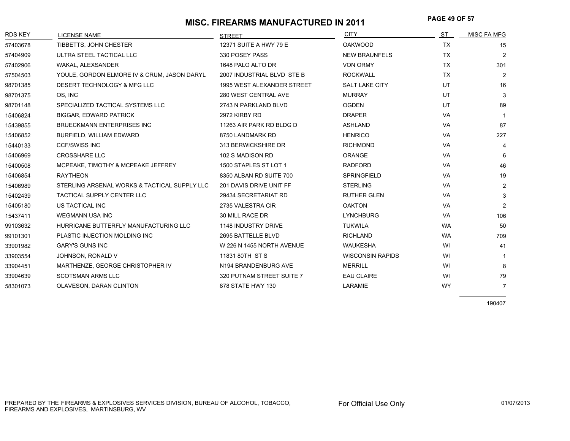# **MISC. FIREARMS MANUFACTURED IN 2011 PAGE 49 OF 57**

| <b>RDS KEY</b> | <b>LICENSE NAME</b>                          | <b>STREET</b>                     | <b>CITY</b>             | ST        | MISC FA MFG    |
|----------------|----------------------------------------------|-----------------------------------|-------------------------|-----------|----------------|
| 57403678       | TIBBETTS, JOHN CHESTER                       | 12371 SUITE A HWY 79 E            | <b>OAKWOOD</b>          | <b>TX</b> | 15             |
| 57404909       | ULTRA STEEL TACTICAL LLC                     | 330 POSEY PASS                    | <b>NEW BRAUNFELS</b>    | <b>TX</b> | 2              |
| 57402906       | WAKAL, ALEXSANDER                            | 1648 PALO ALTO DR                 | <b>VON ORMY</b>         | <b>TX</b> | 301            |
| 57504503       | YOULE, GORDON ELMORE IV & CRUM, JASON DARYL  | 2007 INDUSTRIAL BLVD STE B        | <b>ROCKWALL</b>         | <b>TX</b> | 2              |
| 98701385       | DESERT TECHNOLOGY & MFG LLC                  | <b>1995 WEST ALEXANDER STREET</b> | <b>SALT LAKE CITY</b>   | UT        | 16             |
| 98701375       | OS, INC                                      | 280 WEST CENTRAL AVE              | <b>MURRAY</b>           | UT        | 3              |
| 98701148       | SPECIALIZED TACTICAL SYSTEMS LLC             | 2743 N PARKLAND BLVD              | <b>OGDEN</b>            | UT        | 89             |
| 15406824       | <b>BIGGAR, EDWARD PATRICK</b>                | 2972 KIRBY RD                     | <b>DRAPER</b>           | <b>VA</b> | 1              |
| 15439855       | <b>BRUECKMANN ENTERPRISES INC</b>            | 11263 AIR PARK RD BLDG D          | <b>ASHLAND</b>          | <b>VA</b> | 87             |
| 15406852       | BURFIELD, WILLIAM EDWARD                     | 8750 LANDMARK RD                  | <b>HENRICO</b>          | <b>VA</b> | 227            |
| 15440133       | <b>CCF/SWISS INC</b>                         | 313 BERWICKSHIRE DR               | <b>RICHMOND</b>         | <b>VA</b> | 4              |
| 15406969       | <b>CROSSHARE LLC</b>                         | 102 S MADISON RD                  | ORANGE                  | VA        | 6              |
| 15400508       | MCPEAKE, TIMOTHY & MCPEAKE JEFFREY           | 1500 STAPLES ST LOT 1             | <b>RADFORD</b>          | <b>VA</b> | 46             |
| 15406854       | <b>RAYTHEON</b>                              | 8350 ALBAN RD SUITE 700           | <b>SPRINGFIELD</b>      | <b>VA</b> | 19             |
| 15406989       | STERLING ARSENAL WORKS & TACTICAL SUPPLY LLC | 201 DAVIS DRIVE UNIT FF           | <b>STERLING</b>         | <b>VA</b> | $\overline{c}$ |
| 15402439       | <b>TACTICAL SUPPLY CENTER LLC</b>            | 29434 SECRETARIAT RD              | <b>RUTHER GLEN</b>      | <b>VA</b> | 3              |
| 15405180       | US TACTICAL INC                              | 2735 VALESTRA CIR                 | <b>OAKTON</b>           | <b>VA</b> | 2              |
| 15437411       | <b>WEGMANN USA INC</b>                       | 30 MILL RACE DR                   | <b>LYNCHBURG</b>        | <b>VA</b> | 106            |
| 99103632       | HURRICANE BUTTERFLY MANUFACTURING LLC        | <b>1148 INDUSTRY DRIVE</b>        | <b>TUKWILA</b>          | <b>WA</b> | 50             |
| 99101301       | PLASTIC INJECTION MOLDING INC                | 2695 BATTELLE BLVD                | <b>RICHLAND</b>         | <b>WA</b> | 709            |
| 33901982       | <b>GARY'S GUNS INC</b>                       | W 226 N 1455 NORTH AVENUE         | <b>WAUKESHA</b>         | WI        | 41             |
| 33903554       | JOHNSON, RONALD V                            | 11831 80TH ST S                   | <b>WISCONSIN RAPIDS</b> | WI        | 1              |
| 33904451       | MARTHENZE, GEORGE CHRISTOPHER IV             | N194 BRANDENBURG AVE              | <b>MERRILL</b>          | WI        | 8              |
| 33904639       | <b>SCOTSMAN ARMS LLC</b>                     | 320 PUTNAM STREET SUITE 7         | <b>EAU CLAIRE</b>       | WI        | 79             |
| 58301073       | OLAVESON, DARAN CLINTON                      | 878 STATE HWY 130                 | LARAMIE                 | <b>WY</b> | $\overline{7}$ |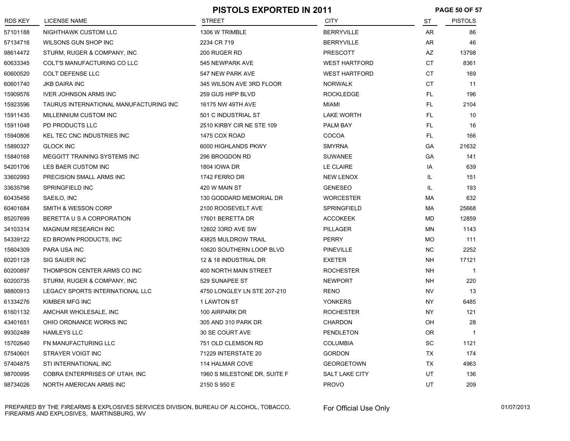#### **PISTOLS EXPORTED IN 2011 PAGE 50 OF 57**

| <b>RDS KEY</b> | <b>LICENSE NAME</b>                    | <b>STREET</b>                | <b>CITY</b>           | ST        | <b>PISTOLS</b> |
|----------------|----------------------------------------|------------------------------|-----------------------|-----------|----------------|
| 57101188       | NIGHTHAWK CUSTOM LLC                   | 1306 W TRIMBLE               | <b>BERRYVILLE</b>     | <b>AR</b> | 86             |
| 57134716       | WILSONS GUN SHOP INC                   | 2234 CR 719                  | <b>BERRYVILLE</b>     | AR        | 46             |
| 98614472       | STURM, RUGER & COMPANY, INC            | 200 RUGER RD                 | <b>PRESCOTT</b>       | AZ        | 13798          |
| 60633345       | COLT'S MANUFACTURING CO LLC            | 545 NEWPARK AVE              | <b>WEST HARTFORD</b>  | <b>CT</b> | 8361           |
| 60600520       | <b>COLT DEFENSE LLC</b>                | 547 NEW PARK AVE             | <b>WEST HARTFORD</b>  | <b>CT</b> | 169            |
| 60601740       | <b>JKB DAIRA INC</b>                   | 345 WILSON AVE 3RD FLOOR     | <b>NORWALK</b>        | <b>CT</b> | 11             |
| 15909576       | <b>IVER JOHNSON ARMS INC</b>           | 259 GUS HIPP BLVD            | <b>ROCKLEDGE</b>      | FL.       | 196            |
| 15923596       | TAURUS INTERNATIONAL MANUFACTURING INC | 16175 NW 49TH AVE            | MIAMI                 | FL.       | 2104           |
| 15911435       | MILLENNIUM CUSTOM INC                  | 501 C INDUSTRIAL ST          | <b>LAKE WORTH</b>     | FL.       | 10             |
| 15911048       | PD PRODUCTS LLC                        | 2510 KIRBY CIR NE STE 109    | PALM BAY              | FL.       | 16             |
| 15940806       | KEL TEC CNC INDUSTRIES INC             | 1475 COX ROAD                | <b>COCOA</b>          | FL.       | 166            |
| 15890327       | <b>GLOCK INC</b>                       | 6000 HIGHLANDS PKWY          | <b>SMYRNA</b>         | GA        | 21632          |
| 15840168       | MEGGITT TRAINING SYSTEMS INC           | 296 BROGDON RD               | <b>SUWANEE</b>        | GA        | 141            |
| 54201706       | LES BAER CUSTOM INC                    | <b>1804 IOWA DR</b>          | LE CLAIRE             | IA        | 639            |
| 33602993       | PRECISION SMALL ARMS INC               | 1742 FERRO DR                | <b>NEW LENOX</b>      | IL        | 151            |
| 33635798       | SPRINGFIELD INC                        | 420 W MAIN ST                | <b>GENESEO</b>        | IL.       | 193            |
| 60435456       | SAEILO, INC                            | 130 GODDARD MEMORIAL DR      | <b>WORCESTER</b>      | MA        | 632            |
| 60401684       | SMITH & WESSON CORP                    | 2100 ROOSEVELT AVE           | <b>SPRINGFIELD</b>    | <b>MA</b> | 25668          |
| 85207699       | BERETTA U S A CORPORATION              | 17601 BERETTA DR             | <b>ACCOKEEK</b>       | <b>MD</b> | 12859          |
| 34103314       | MAGNUM RESEARCH INC                    | 12602 33RD AVE SW            | <b>PILLAGER</b>       | MN        | 1143           |
| 54339122       | ED BROWN PRODUCTS, INC                 | 43825 MULDROW TRAIL          | <b>PERRY</b>          | <b>MO</b> | 111            |
| 15604309       | PARA USA INC                           | 10620 SOUTHERN LOOP BLVD     | <b>PINEVILLE</b>      | <b>NC</b> | 2252           |
| 60201128       | SIG SAUER INC                          | 12 & 18 INDUSTRIAL DR        | <b>EXETER</b>         | <b>NH</b> | 17121          |
| 60200897       | THOMPSON CENTER ARMS CO INC            | 400 NORTH MAIN STREET        | <b>ROCHESTER</b>      | NΗ        | $\overline{1}$ |
| 60200735       | STURM, RUGER & COMPANY, INC            | 529 SUNAPEE ST               | <b>NEWPORT</b>        | NΗ        | 220            |
| 98800913       | LEGACY SPORTS INTERNATIONAL LLC        | 4750 LONGLEY LN STE 207-210  | <b>RENO</b>           | <b>NV</b> | 13             |
| 61334276       | KIMBER MFG INC                         | 1 LAWTON ST                  | <b>YONKERS</b>        | NY        | 6485           |
| 61601132       | AMCHAR WHOLESALE, INC                  | 100 AIRPARK DR               | <b>ROCHESTER</b>      | <b>NY</b> | 121            |
| 43401651       | OHIO ORDNANCE WORKS INC                | 305 AND 310 PARK DR          | <b>CHARDON</b>        | OH        | 28             |
| 99302489       | <b>HAMLEYS LLC</b>                     | 30 SE COURT AVE              | PENDLETON             | <b>OR</b> | $\overline{1}$ |
| 15702640       | <b>FN MANUFACTURING LLC</b>            | 751 OLD CLEMSON RD           | <b>COLUMBIA</b>       | <b>SC</b> | 1121           |
| 57540601       | STRAYER VOIGT INC                      | 71229 INTERSTATE 20          | <b>GORDON</b>         | TX        | 174            |
| 57404875       | STI INTERNATIONAL INC                  | 114 HALMAR COVE              | <b>GEORGETOWN</b>     | TX        | 4963           |
| 98700995       | COBRA ENTERPRISES OF UTAH, INC         | 1960 S MILESTONE DR, SUITE F | <b>SALT LAKE CITY</b> | UT        | 136            |
| 98734026       | NORTH AMERICAN ARMS INC                | 2150 S 950 E                 | <b>PROVO</b>          | UT        | 209            |

PREPARED BY THE FIREARMS & EXPLOSIVES SERVICES DIVISION, BUREAU OF ALCOHOL, TOBACCO, FIREARMS AND EXPLOSIVES, MARTINSBURG, WV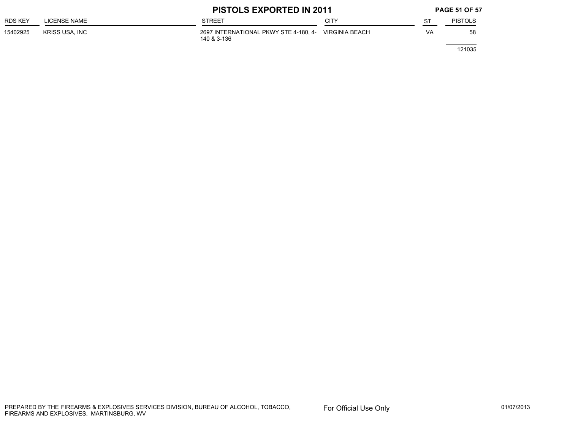|                |                | <b>PISTOLS EXPORTED IN 2011</b>                                     |             |    | <b>PAGE 51 OF 57</b> |  |
|----------------|----------------|---------------------------------------------------------------------|-------------|----|----------------------|--|
| <b>RDS KEY</b> | LICENSE NAME   | <b>STREET</b>                                                       | <b>CITY</b> | S1 | <b>PISTOLS</b>       |  |
| 15402925       | KRISS USA. INC | 2697 INTERNATIONAL PKWY STE 4-180, 4- VIRGINIA BEACH<br>140 & 3-136 |             | VA | 58                   |  |
|                |                |                                                                     |             |    | 121035               |  |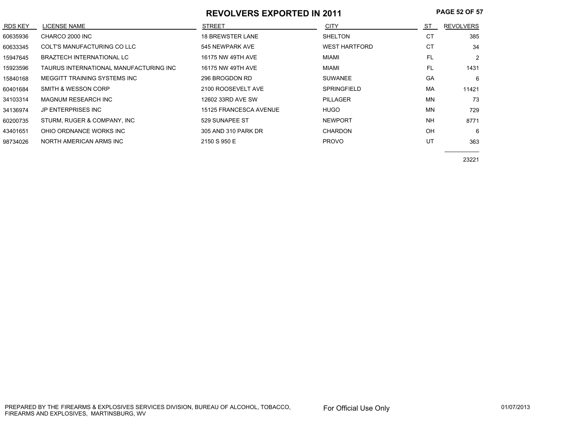#### **REVOLVERS EXPORTED IN 2011**

| <b>RDS KEY</b> | LICENSE NAME                           | <b>STREET</b>           | <b>CITY</b>          | ST        | <b>REVOLVERS</b> |
|----------------|----------------------------------------|-------------------------|----------------------|-----------|------------------|
| 60635936       | CHARCO 2000 INC                        | <b>18 BREWSTER LANE</b> | <b>SHELTON</b>       | CT        | 385              |
| 60633345       | COLT'S MANUFACTURING CO LLC            | 545 NEWPARK AVE         | <b>WEST HARTFORD</b> | <b>CT</b> | 34               |
| 15947645       | BRAZTECH INTERNATIONAL LC              | 16175 NW 49TH AVE       | <b>MIAMI</b>         | <b>FL</b> | 2                |
| 15923596       | TAURUS INTERNATIONAL MANUFACTURING INC | 16175 NW 49TH AVE       | <b>MIAMI</b>         | FL        | 1431             |
| 15840168       | MEGGITT TRAINING SYSTEMS INC           | 296 BROGDON RD          | <b>SUWANEE</b>       | GA        | 6                |
| 60401684       | SMITH & WESSON CORP                    | 2100 ROOSEVELT AVE      | <b>SPRINGFIELD</b>   | MA        | 11421            |
| 34103314       | MAGNUM RESEARCH INC                    | 12602 33RD AVE SW       | <b>PILLAGER</b>      | <b>MN</b> | 73               |
| 34136974       | JP ENTERPRISES INC                     | 15125 FRANCESCA AVENUE  | <b>HUGO</b>          | <b>MN</b> | 729              |
| 60200735       | STURM, RUGER & COMPANY, INC            | 529 SUNAPEE ST          | <b>NEWPORT</b>       | <b>NH</b> | 8771             |
| 43401651       | OHIO ORDNANCE WORKS INC                | 305 AND 310 PARK DR     | CHARDON              | OH        | 6                |
| 98734026       | NORTH AMERICAN ARMS INC                | 2150 S 950 E            | <b>PROVO</b>         | UT        | 363              |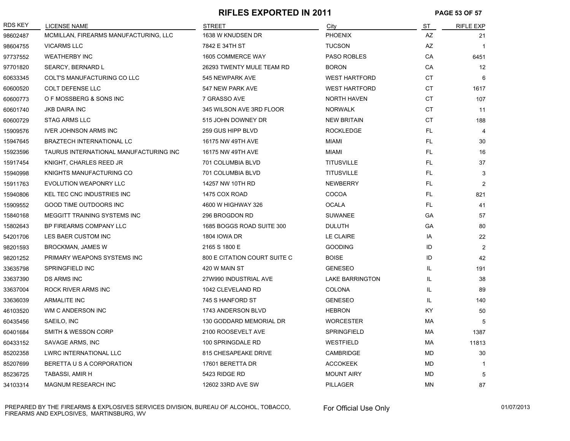### **RIFLES EXPORTED IN 2011 PAGE 53 OF 57**

| RDS KEY  | <b>LICENSE NAME</b>                    | <b>STREET</b>                | City                   | ST        | <b>RIFLE EXP</b> |
|----------|----------------------------------------|------------------------------|------------------------|-----------|------------------|
| 98602487 | MCMILLAN, FIREARMS MANUFACTURING, LLC  | 1638 W KNUDSEN DR            | <b>PHOENIX</b>         | AZ        | 21               |
| 98604755 | <b>VICARMS LLC</b>                     | 7842 E 34TH ST               | <b>TUCSON</b>          | AZ        |                  |
| 97737552 | <b>WEATHERBY INC</b>                   | 1605 COMMERCE WAY            | <b>PASO ROBLES</b>     | CA        | 6451             |
| 97701820 | SEARCY, BERNARD L                      | 26293 TWENTY MULE TEAM RD    | <b>BORON</b>           | CA        | 12               |
| 60633345 | COLT'S MANUFACTURING CO LLC            | 545 NEWPARK AVE              | <b>WEST HARTFORD</b>   | <b>CT</b> | 6                |
| 60600520 | <b>COLT DEFENSE LLC</b>                | 547 NEW PARK AVE             | <b>WEST HARTFORD</b>   | CT        | 1617             |
| 60600773 | O F MOSSBERG & SONS INC                | 7 GRASSO AVE                 | <b>NORTH HAVEN</b>     | <b>CT</b> | 107              |
| 60601740 | <b>JKB DAIRA INC</b>                   | 345 WILSON AVE 3RD FLOOR     | <b>NORWALK</b>         | <b>CT</b> | 11               |
| 60600729 | <b>STAG ARMS LLC</b>                   | 515 JOHN DOWNEY DR           | <b>NEW BRITAIN</b>     | <b>CT</b> | 188              |
| 15909576 | <b>IVER JOHNSON ARMS INC</b>           | 259 GUS HIPP BLVD            | <b>ROCKLEDGE</b>       | FL.       | $\overline{4}$   |
| 15947645 | <b>BRAZTECH INTERNATIONAL LC</b>       | 16175 NW 49TH AVE            | MIAMI                  | <b>FL</b> | 30               |
| 15923596 | TAURUS INTERNATIONAL MANUFACTURING INC | 16175 NW 49TH AVE            | MIAMI                  | FL.       | 16               |
| 15917454 | KNIGHT, CHARLES REED JR                | 701 COLUMBIA BLVD            | <b>TITUSVILLE</b>      | FL.       | 37               |
| 15940998 | KNIGHTS MANUFACTURING CO               | 701 COLUMBIA BLVD            | <b>TITUSVILLE</b>      | FL.       | 3                |
| 15911763 | EVOLUTION WEAPONRY LLC                 | 14257 NW 10TH RD             | <b>NEWBERRY</b>        | FL        | $\overline{2}$   |
| 15940806 | KEL TEC CNC INDUSTRIES INC             | 1475 COX ROAD                | COCOA                  | FL.       | 821              |
| 15909552 | <b>GOOD TIME OUTDOORS INC</b>          | 4600 W HIGHWAY 326           | <b>OCALA</b>           | FL.       | 41               |
| 15840168 | MEGGITT TRAINING SYSTEMS INC           | 296 BROGDON RD               | <b>SUWANEE</b>         | GA        | 57               |
| 15802643 | BP FIREARMS COMPANY LLC                | 1685 BOGGS ROAD SUITE 300    | <b>DULUTH</b>          | GA        | 80               |
| 54201706 | LES BAER CUSTOM INC                    | 1804 IOWA DR                 | LE CLAIRE              | IA        | 22               |
| 98201593 | BROCKMAN, JAMES W                      | 2165 S 1800 E                | <b>GOODING</b>         | ID        | $\overline{2}$   |
| 98201252 | PRIMARY WEAPONS SYSTEMS INC            | 800 E CITATION COURT SUITE C | <b>BOISE</b>           | ID        | 42               |
| 33635798 | SPRINGFIELD INC                        | 420 W MAIN ST                | <b>GENESEO</b>         | IL.       | 191              |
| 33637390 | <b>DS ARMS INC</b>                     | 27W990 INDUSTRIAL AVE        | <b>LAKE BARRINGTON</b> | IL        | 38               |
| 33637004 | ROCK RIVER ARMS INC                    | 1042 CLEVELAND RD            | <b>COLONA</b>          | IL.       | 89               |
| 33636039 | <b>ARMALITE INC</b>                    | 745 S HANFORD ST             | <b>GENESEO</b>         | IL        | 140              |
| 46103520 | WM C ANDERSON INC                      | 1743 ANDERSON BLVD           | <b>HEBRON</b>          | KY        | 50               |
| 60435456 | SAEILO, INC                            | 130 GODDARD MEMORIAL DR      | <b>WORCESTER</b>       | МA        | 5                |
| 60401684 | SMITH & WESSON CORP                    | 2100 ROOSEVELT AVE           | SPRINGFIELD            | MA        | 1387             |
| 60433152 | SAVAGE ARMS, INC                       | 100 SPRINGDALE RD            | WESTFIELD              | МA        | 11813            |
| 85202358 | LWRC INTERNATIONAL LLC                 | 815 CHESAPEAKE DRIVE         | CAMBRIDGE              | MD        | 30               |
| 85207699 | BERETTA U S A CORPORATION              | 17601 BERETTA DR             | <b>ACCOKEEK</b>        | MD        | -1               |
| 85236725 | TABASSI, AMIR H                        | 5423 RIDGE RD                | <b>MOUNT AIRY</b>      | MD        | 5                |
| 34103314 | MAGNUM RESEARCH INC                    | 12602 33RD AVE SW            | <b>PILLAGER</b>        | ΜN        | 87               |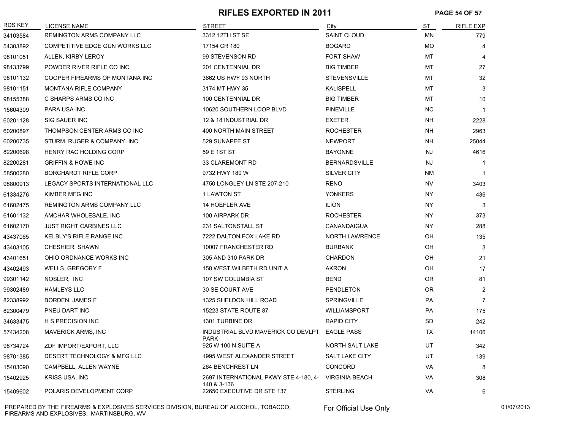### **RIFLES EXPORTED IN 2011 PAGE 54 OF 57**

| RDS KEY  | <b>LICENSE NAME</b>             | <b>STREET</b>                                                       | City                   | ST        | <b>RIFLE EXP</b> |
|----------|---------------------------------|---------------------------------------------------------------------|------------------------|-----------|------------------|
| 34103584 | REMINGTON ARMS COMPANY LLC      | 3312 12TH ST SE                                                     | <b>SAINT CLOUD</b>     | <b>MN</b> | 779              |
| 54303892 | COMPETITIVE EDGE GUN WORKS LLC  | 17154 CR 180                                                        | <b>BOGARD</b>          | <b>MO</b> | 4                |
| 98101051 | ALLEN, KIRBY LEROY              | 99 STEVENSON RD                                                     | <b>FORT SHAW</b>       | MT        | 4                |
| 98133799 | POWDER RIVER RIFLE CO INC       | 201 CENTENNIAL DR                                                   | <b>BIG TIMBER</b>      | MT        | 27               |
| 98101132 | COOPER FIREARMS OF MONTANA INC  | 3662 US HWY 93 NORTH                                                | <b>STEVENSVILLE</b>    | MT        | 32               |
| 98101151 | MONTANA RIFLE COMPANY           | 3174 MT HWY 35                                                      | <b>KALISPELL</b>       | МT        | 3                |
| 98155388 | C SHARPS ARMS CO INC            | 100 CENTENNIAL DR                                                   | <b>BIG TIMBER</b>      | MT        | 10               |
| 15604309 | PARA USA INC                    | 10620 SOUTHERN LOOP BLVD                                            | <b>PINEVILLE</b>       | <b>NC</b> | $\mathbf{1}$     |
| 60201128 | <b>SIG SAUER INC</b>            | 12 & 18 INDUSTRIAL DR                                               | <b>EXETER</b>          | NΗ        | 2228             |
| 60200897 | THOMPSON CENTER ARMS CO INC     | 400 NORTH MAIN STREET                                               | <b>ROCHESTER</b>       | NΗ        | 2963             |
| 60200735 | STURM, RUGER & COMPANY, INC     | 529 SUNAPEE ST                                                      | <b>NEWPORT</b>         | NΗ        | 25044            |
| 82200698 | HENRY RAC HOLDING CORP          | 59 E 1ST ST                                                         | <b>BAYONNE</b>         | <b>NJ</b> | 4616             |
| 82200281 | <b>GRIFFIN &amp; HOWE INC</b>   | 33 CLAREMONT RD                                                     | <b>BERNARDSVILLE</b>   | NJ        | $\mathbf{1}$     |
| 58500280 | <b>BORCHARDT RIFLE CORP</b>     | 9732 HWY 180 W                                                      | SILVER CITY            | <b>NM</b> | $\mathbf{1}$     |
| 98800913 | LEGACY SPORTS INTERNATIONAL LLC | 4750 LONGLEY LN STE 207-210                                         | <b>RENO</b>            | <b>NV</b> | 3403             |
| 61334276 | KIMBER MFG INC                  | 1 LAWTON ST                                                         | <b>YONKERS</b>         | <b>NY</b> | 436              |
| 61602475 | REMINGTON ARMS COMPANY LLC      | 14 HOEFLER AVE                                                      | <b>ILION</b>           | <b>NY</b> | 3                |
| 61601132 | AMCHAR WHOLESALE, INC           | 100 AIRPARK DR                                                      | <b>ROCHESTER</b>       | NY.       | 373              |
| 61602170 | <b>JUST RIGHT CARBINES LLC</b>  | 231 SALTONSTALL ST                                                  | CANANDAIGUA            | NY        | 288              |
| 43437065 | KELBLY'S RIFLE RANGE INC        | 7222 DALTON FOX LAKE RD                                             | <b>NORTH LAWRENCE</b>  | OH        | 135              |
| 43403105 | CHESHIER, SHAWN                 | 10007 FRANCHESTER RD                                                | <b>BURBANK</b>         | OH        | 3                |
| 43401651 | OHIO ORDNANCE WORKS INC         | 305 AND 310 PARK DR                                                 | <b>CHARDON</b>         | OH        | 21               |
| 43402493 | WELLS, GREGORY F                | 158 WEST WILBETH RD UNIT A                                          | <b>AKRON</b>           | OH        | 17               |
| 99301142 | NOSLER, INC                     | 107 SW COLUMBIA ST                                                  | <b>BEND</b>            | <b>OR</b> | 81               |
| 99302489 | <b>HAMLEYS LLC</b>              | 30 SE COURT AVE                                                     | PENDLETON              | <b>OR</b> | $\overline{2}$   |
| 82338992 | BORDEN, JAMES F                 | 1325 SHELDON HILL ROAD                                              | SPRINGVILLE            | <b>PA</b> | 7                |
| 82300479 | PNEU DART INC                   | 15223 STATE ROUTE 87                                                | <b>WILLIAMSPORT</b>    | PA        | 175              |
| 34633475 | H S PRECISION INC               | 1301 TURBINE DR                                                     | <b>RAPID CITY</b>      | <b>SD</b> | 242              |
| 57434208 | <b>MAVERICK ARMS, INC</b>       | INDUSTRIAL BLVD MAVERICK CO DEVLPT EAGLE PASS<br><b>PARK</b>        |                        | TX        | 14106            |
| 98734724 | ZDF IMPORT/EXPORT, LLC          | 925 W 100 N SUITE A                                                 | <b>NORTH SALT LAKE</b> | UT        | 342              |
| 98701385 | DESERT TECHNOLOGY & MFG LLC     | 1995 WEST ALEXANDER STREET                                          | SALT LAKE CITY         | UT        | 139              |
| 15403090 | CAMPBELL, ALLEN WAYNE           | 264 BENCHREST LN                                                    | <b>CONCORD</b>         | VA        | 8                |
| 15402925 | <b>KRISS USA, INC</b>           | 2697 INTERNATIONAL PKWY STE 4-180, 4- VIRGINIA BEACH<br>140 & 3-136 |                        | VA        | 308              |
| 15409602 | POLARIS DEVELOPMENT CORP        | 22650 EXECUTIVE DR STE 137                                          | <b>STERLING</b>        | VA        | 6                |

PREPARED BY THE FIREARMS & EXPLOSIVES SERVICES DIVISION, BUREAU OF ALCOHOL, TOBACCO, FIREARMS AND EXPLOSIVES, MARTINSBURG, WV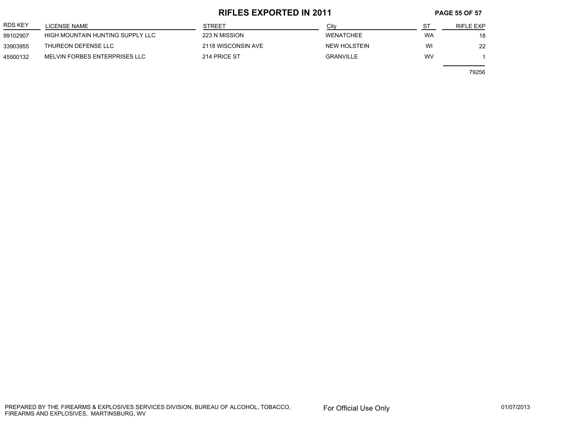## **RIFLES EXPORTED IN 2011 PAGE 55 OF 57**

| <b>RDS KEY</b> | LICENSE NAME                     | <b>STREET</b>      | City             |           | RIFLE EXP |
|----------------|----------------------------------|--------------------|------------------|-----------|-----------|
| 99102907       | HIGH MOUNTAIN HUNTING SUPPLY LLC | 223 N MISSION      | WENATCHEE        | <b>WA</b> | 18        |
| 33903955       | THUREON DEFENSE LLC              | 2118 WISCONSIN AVE | NEW HOLSTEIN     | WI        | 22        |
| 45500132       | MELVIN FORBES ENTERPRISES LLC    | 214 PRICE ST       | <b>GRANVILLE</b> | WV        |           |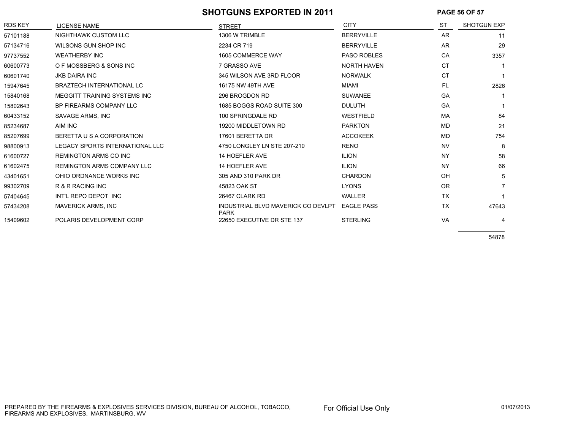#### SHOTGUNS EXPORTED IN 2011 **PAGE 56 OF 57**

| <b>RDS KEY</b> | <b>LICENSE NAME</b>                 | <b>STREET</b>                                     | <b>CITY</b>        | <b>ST</b> | <b>SHOTGUN EXP</b> |
|----------------|-------------------------------------|---------------------------------------------------|--------------------|-----------|--------------------|
| 57101188       | NIGHTHAWK CUSTOM LLC                | 1306 W TRIMBLE                                    | <b>BERRYVILLE</b>  | <b>AR</b> | 11                 |
| 57134716       | WILSONS GUN SHOP INC                | 2234 CR 719                                       | <b>BERRYVILLE</b>  | <b>AR</b> | 29                 |
| 97737552       | <b>WEATHERBY INC</b>                | 1605 COMMERCE WAY                                 | <b>PASO ROBLES</b> | CA        | 3357               |
| 60600773       | O F MOSSBERG & SONS INC             | 7 GRASSO AVE                                      | <b>NORTH HAVEN</b> | <b>CT</b> |                    |
| 60601740       | <b>JKB DAIRA INC</b>                | 345 WILSON AVE 3RD FLOOR                          | <b>NORWALK</b>     | <b>CT</b> |                    |
| 15947645       | <b>BRAZTECH INTERNATIONAL LC</b>    | 16175 NW 49TH AVE                                 | <b>MIAMI</b>       | FL.       | 2826               |
| 15840168       | <b>MEGGITT TRAINING SYSTEMS INC</b> | 296 BROGDON RD                                    | <b>SUWANEE</b>     | GA        |                    |
| 15802643       | BP FIREARMS COMPANY LLC             | 1685 BOGGS ROAD SUITE 300                         | <b>DULUTH</b>      | GA        |                    |
| 60433152       | SAVAGE ARMS, INC                    | 100 SPRINGDALE RD                                 | WESTFIELD          | MA        | 84                 |
| 85234687       | AIM INC                             | 19200 MIDDLETOWN RD                               | <b>PARKTON</b>     | MD        | 21                 |
| 85207699       | BERETTA U S A CORPORATION           | 17601 BERETTA DR                                  | <b>ACCOKEEK</b>    | <b>MD</b> | 754                |
| 98800913       | LEGACY SPORTS INTERNATIONAL LLC     | 4750 LONGLEY LN STE 207-210                       | <b>RENO</b>        | <b>NV</b> | 8                  |
| 61600727       | <b>REMINGTON ARMS CO INC</b>        | <b>14 HOEFLER AVE</b>                             | <b>ILION</b>       | <b>NY</b> | 58                 |
| 61602475       | <b>REMINGTON ARMS COMPANY LLC</b>   | <b>14 HOEFLER AVE</b>                             | <b>ILION</b>       | <b>NY</b> | 66                 |
| 43401651       | OHIO ORDNANCE WORKS INC             | 305 AND 310 PARK DR                               | <b>CHARDON</b>     | OH        | 5                  |
| 99302709       | R & R RACING INC                    | 45823 OAK ST                                      | <b>LYONS</b>       | <b>OR</b> | 7                  |
| 57404645       | INT'L REPO DEPOT INC                | 26467 CLARK RD                                    | WALLER             | <b>TX</b> |                    |
| 57434208       | <b>MAVERICK ARMS, INC</b>           | INDUSTRIAL BLVD MAVERICK CO DEVLPT<br><b>PARK</b> | <b>EAGLE PASS</b>  | <b>TX</b> | 47643              |
| 15409602       | POLARIS DEVELOPMENT CORP            | 22650 EXECUTIVE DR STE 137                        | <b>STERLING</b>    | <b>VA</b> | 4                  |